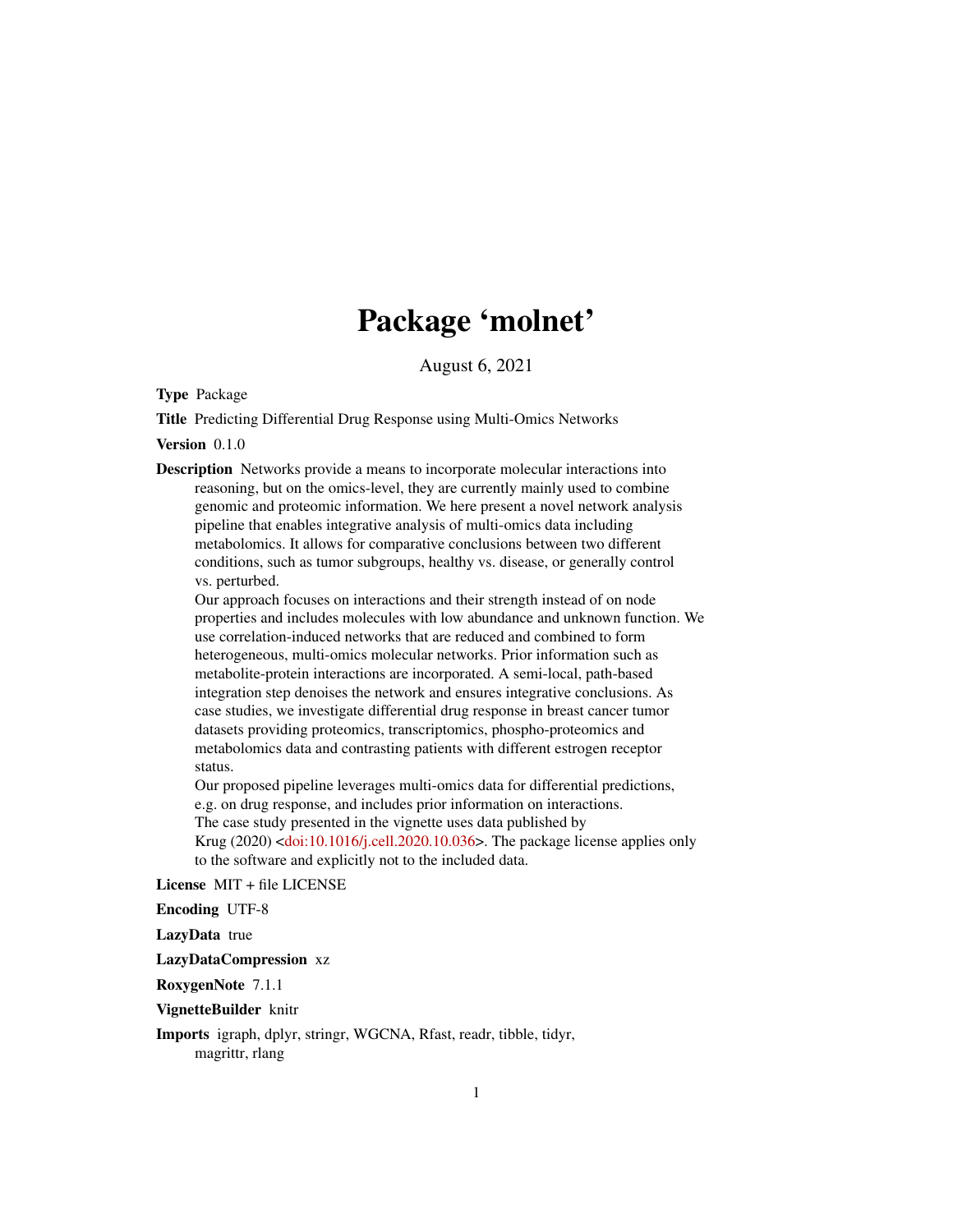# Package 'molnet'

August 6, 2021

<span id="page-0-0"></span>Type Package

Title Predicting Differential Drug Response using Multi-Omics Networks

Version 0.1.0

Description Networks provide a means to incorporate molecular interactions into reasoning, but on the omics-level, they are currently mainly used to combine genomic and proteomic information. We here present a novel network analysis pipeline that enables integrative analysis of multi-omics data including metabolomics. It allows for comparative conclusions between two different conditions, such as tumor subgroups, healthy vs. disease, or generally control vs. perturbed.

Our approach focuses on interactions and their strength instead of on node properties and includes molecules with low abundance and unknown function. We use correlation-induced networks that are reduced and combined to form heterogeneous, multi-omics molecular networks. Prior information such as metabolite-protein interactions are incorporated. A semi-local, path-based integration step denoises the network and ensures integrative conclusions. As case studies, we investigate differential drug response in breast cancer tumor datasets providing proteomics, transcriptomics, phospho-proteomics and metabolomics data and contrasting patients with different estrogen receptor status.

Our proposed pipeline leverages multi-omics data for differential predictions, e.g. on drug response, and includes prior information on interactions. The case study presented in the vignette uses data published by Krug  $(2020)$  [<doi:10.1016/j.cell.2020.10.036>](https://doi.org/10.1016/j.cell.2020.10.036). The package license applies only to the software and explicitly not to the included data.

License MIT + file LICENSE

Encoding UTF-8

LazyData true

LazyDataCompression xz

RoxygenNote 7.1.1

VignetteBuilder knitr

Imports igraph, dplyr, stringr, WGCNA, Rfast, readr, tibble, tidyr, magrittr, rlang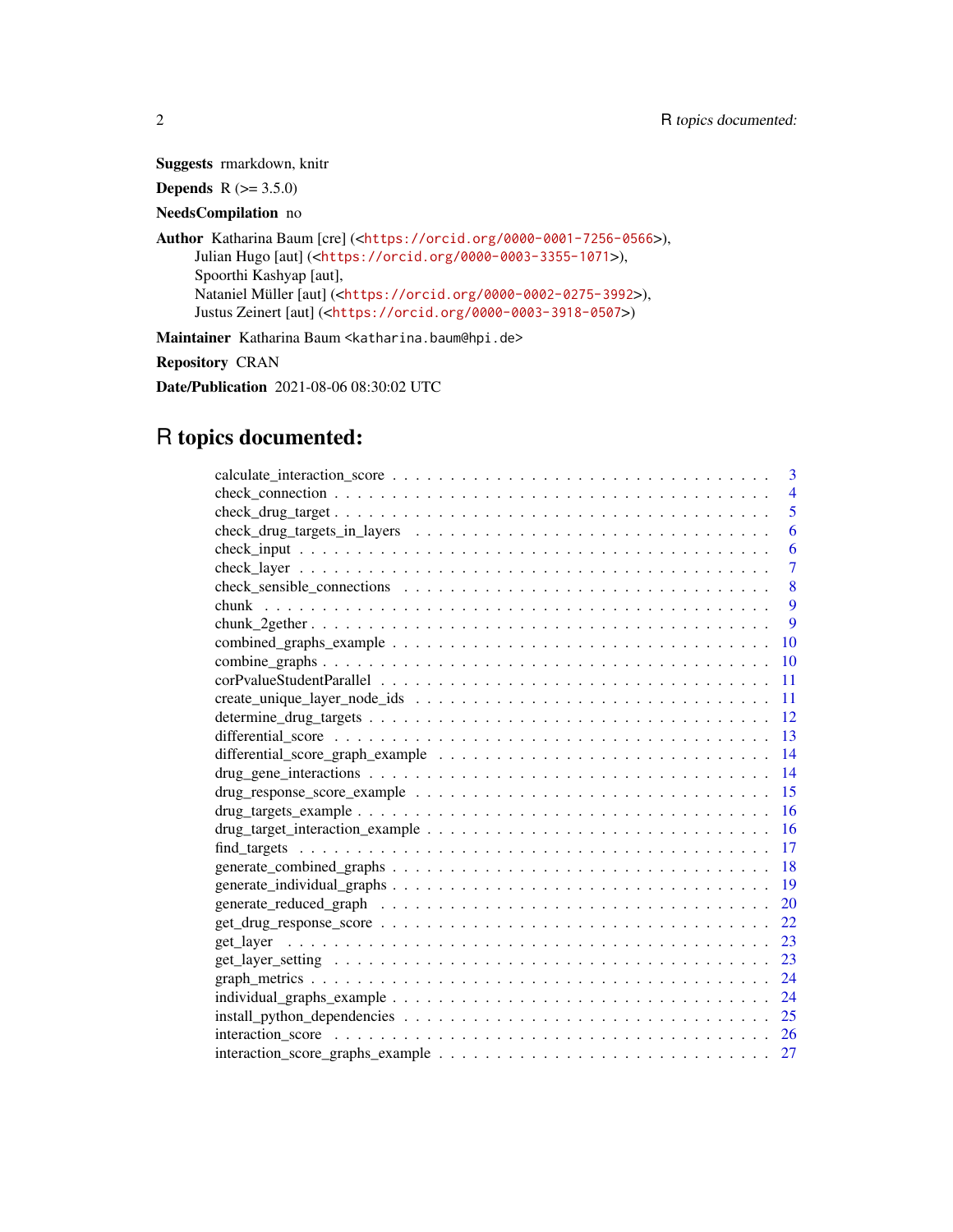Suggests rmarkdown, knitr

**Depends** R  $(>= 3.5.0)$ 

# NeedsCompilation no

Author Katharina Baum [cre] (<<https://orcid.org/0000-0001-7256-0566>>), Julian Hugo [aut] (<<https://orcid.org/0000-0003-3355-1071>>), Spoorthi Kashyap [aut], Nataniel Müller [aut] (<<https://orcid.org/0000-0002-0275-3992>>), Justus Zeinert [aut] (<<https://orcid.org/0000-0003-3918-0507>>)

Maintainer Katharina Baum <katharina.baum@hpi.de>

Repository CRAN

Date/Publication 2021-08-06 08:30:02 UTC

# R topics documented:

|    | 3              |
|----|----------------|
|    | $\overline{4}$ |
|    | $\overline{5}$ |
|    | 6              |
|    | 6              |
|    | $\overline{7}$ |
|    | 8              |
|    | 9              |
|    | 9              |
| 10 |                |
| 10 |                |
| 11 |                |
| 11 |                |
| 12 |                |
| 13 |                |
| 14 |                |
| 14 |                |
| 15 |                |
| 16 |                |
| 16 |                |
| 17 |                |
| 18 |                |
| 19 |                |
| 20 |                |
| 22 |                |
| 23 |                |
| 23 |                |
| 24 |                |
| 24 |                |
| 25 |                |
| 26 |                |
| 27 |                |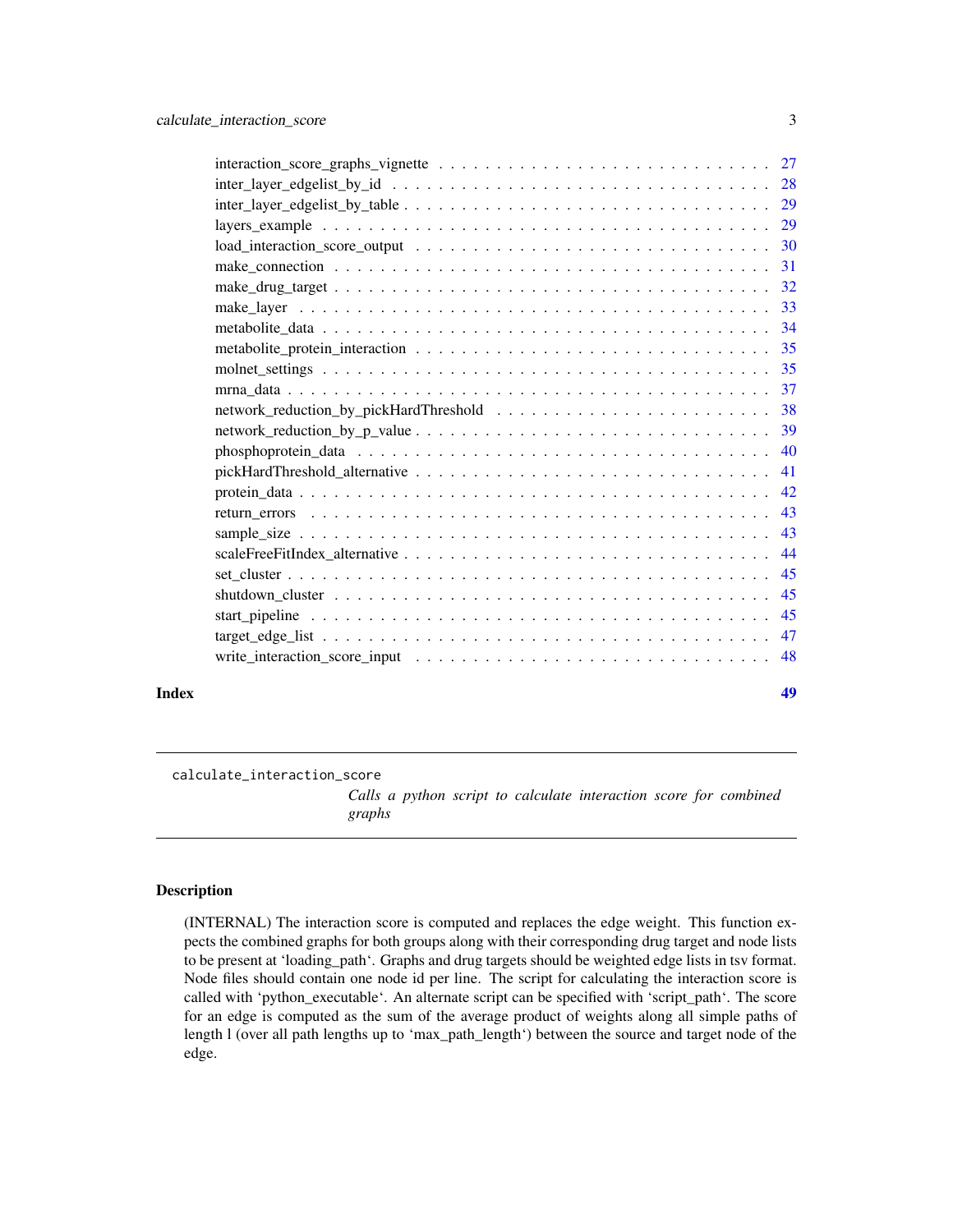<span id="page-2-0"></span>

| Index | 49 |
|-------|----|

<span id="page-2-1"></span>calculate\_interaction\_score

*Calls a python script to calculate interaction score for combined graphs*

# Description

(INTERNAL) The interaction score is computed and replaces the edge weight. This function expects the combined graphs for both groups along with their corresponding drug target and node lists to be present at 'loading\_path'. Graphs and drug targets should be weighted edge lists in tsv format. Node files should contain one node id per line. The script for calculating the interaction score is called with 'python\_executable'. An alternate script can be specified with 'script\_path'. The score for an edge is computed as the sum of the average product of weights along all simple paths of length l (over all path lengths up to 'max\_path\_length') between the source and target node of the edge.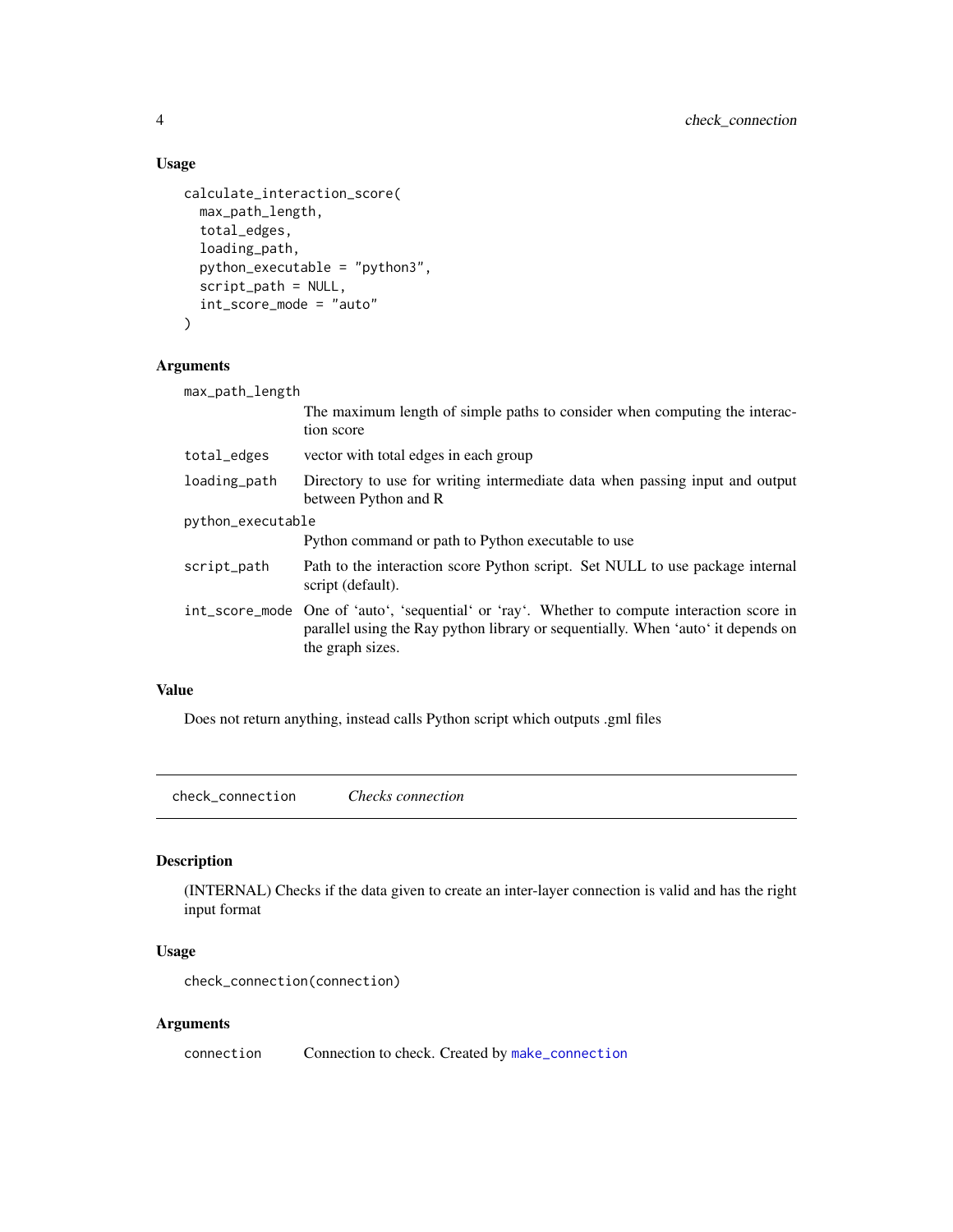# Usage

```
calculate_interaction_score(
 max_path_length,
  total_edges,
  loading_path,
 python_executable = "python3",
  script_path = NULL,
  int_score_mode = "auto"
)
```
# Arguments

| max_path_length   |                                                                                                                                                                                                      |  |
|-------------------|------------------------------------------------------------------------------------------------------------------------------------------------------------------------------------------------------|--|
|                   | The maximum length of simple paths to consider when computing the interac-<br>tion score                                                                                                             |  |
| total_edges       | vector with total edges in each group                                                                                                                                                                |  |
| loading_path      | Directory to use for writing intermediate data when passing input and output<br>between Python and R                                                                                                 |  |
| python_executable |                                                                                                                                                                                                      |  |
|                   | Python command or path to Python executable to use                                                                                                                                                   |  |
| script_path       | Path to the interaction score Python script. Set NULL to use package internal<br>script (default).                                                                                                   |  |
|                   | int_score_mode One of 'auto', 'sequential' or 'ray'. Whether to compute interaction score in<br>parallel using the Ray python library or sequentially. When 'auto' it depends on<br>the graph sizes. |  |

# Value

Does not return anything, instead calls Python script which outputs .gml files

check\_connection *Checks connection*

# Description

(INTERNAL) Checks if the data given to create an inter-layer connection is valid and has the right input format

# Usage

check\_connection(connection)

# Arguments

connection Connection to check. Created by [make\\_connection](#page-30-1)

<span id="page-3-0"></span>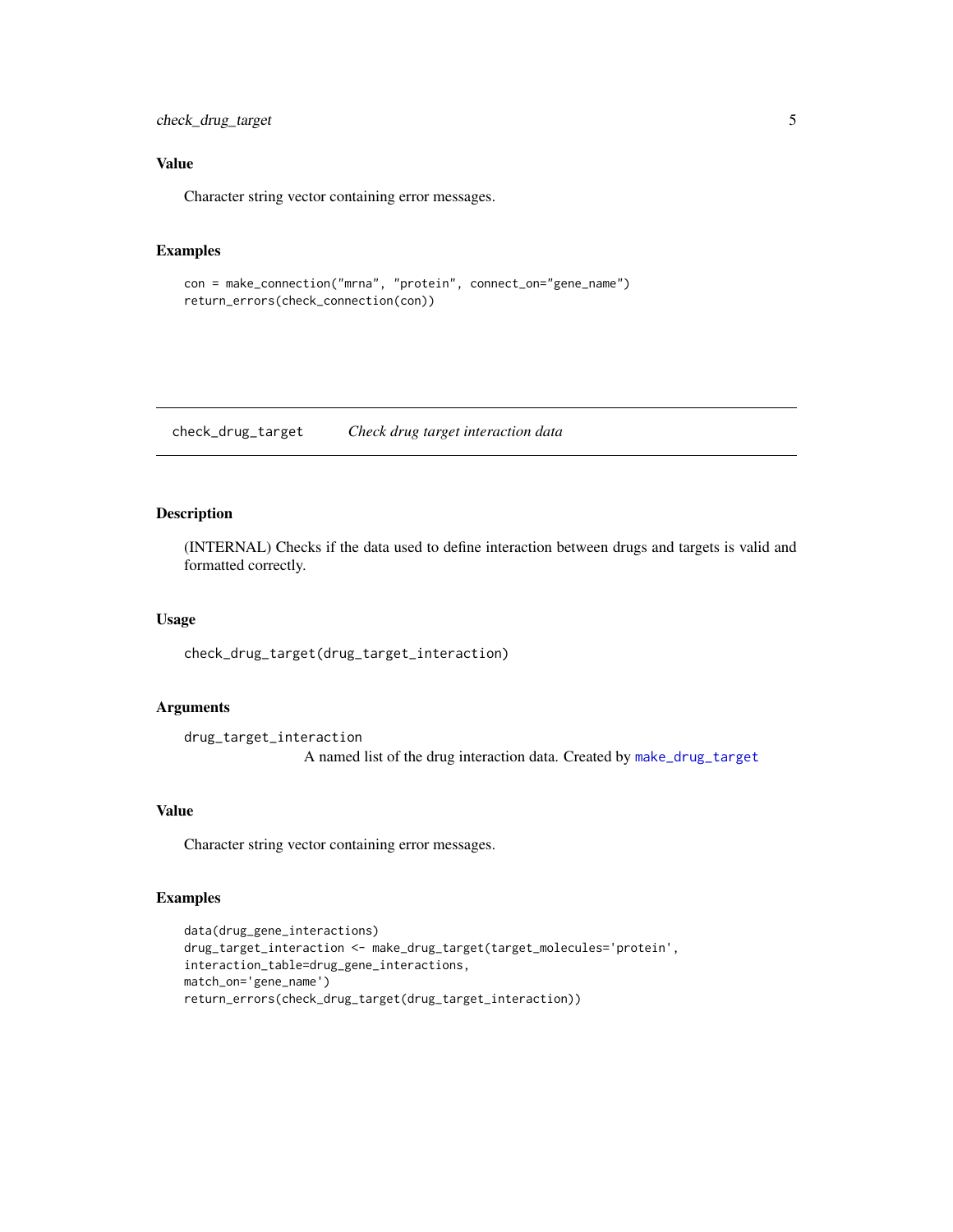<span id="page-4-0"></span>check\_drug\_target 5

# Value

Character string vector containing error messages.

# Examples

```
con = make_connection("mrna", "protein", connect_on="gene_name")
return_errors(check_connection(con))
```
check\_drug\_target *Check drug target interaction data*

# Description

(INTERNAL) Checks if the data used to define interaction between drugs and targets is valid and formatted correctly.

#### Usage

check\_drug\_target(drug\_target\_interaction)

# Arguments

drug\_target\_interaction A named list of the drug interaction data. Created by [make\\_drug\\_target](#page-31-1)

# Value

Character string vector containing error messages.

# Examples

```
data(drug_gene_interactions)
drug_target_interaction <- make_drug_target(target_molecules='protein',
interaction_table=drug_gene_interactions,
match_on='gene_name')
return_errors(check_drug_target(drug_target_interaction))
```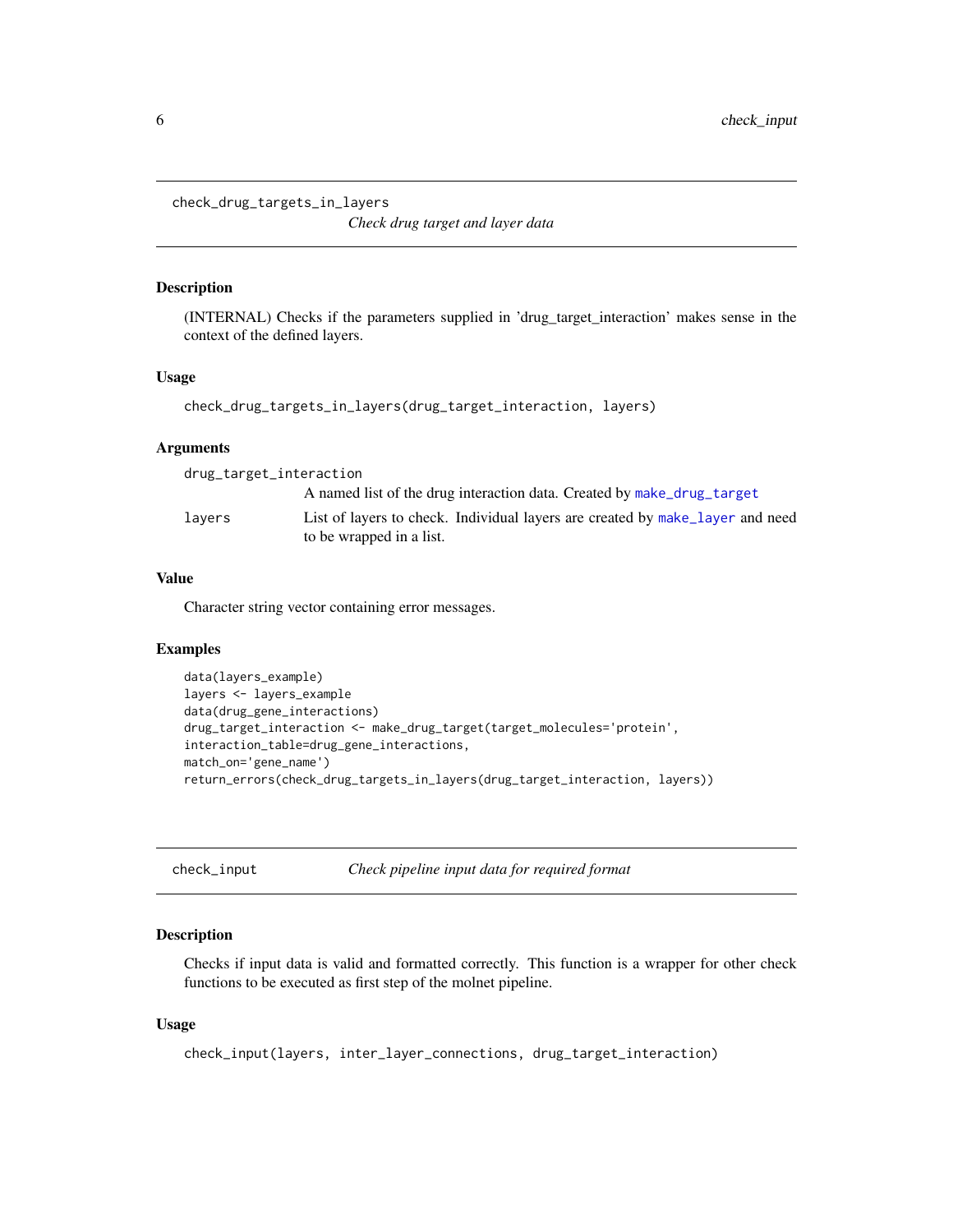<span id="page-5-0"></span>check\_drug\_targets\_in\_layers

*Check drug target and layer data*

# Description

(INTERNAL) Checks if the parameters supplied in 'drug\_target\_interaction' makes sense in the context of the defined layers.

# Usage

check\_drug\_targets\_in\_layers(drug\_target\_interaction, layers)

# Arguments

| drug_target_interaction |                                                                                                           |
|-------------------------|-----------------------------------------------------------------------------------------------------------|
|                         | A named list of the drug interaction data. Created by make_drug_target                                    |
| lavers                  | List of layers to check. Individual layers are created by make layer and need<br>to be wrapped in a list. |

# Value

Character string vector containing error messages.

#### Examples

```
data(layers_example)
layers <- layers_example
data(drug_gene_interactions)
drug_target_interaction <- make_drug_target(target_molecules='protein',
interaction_table=drug_gene_interactions,
match_on='gene_name')
return_errors(check_drug_targets_in_layers(drug_target_interaction, layers))
```
check\_input *Check pipeline input data for required format*

# Description

Checks if input data is valid and formatted correctly. This function is a wrapper for other check functions to be executed as first step of the molnet pipeline.

# Usage

```
check_input(layers, inter_layer_connections, drug_target_interaction)
```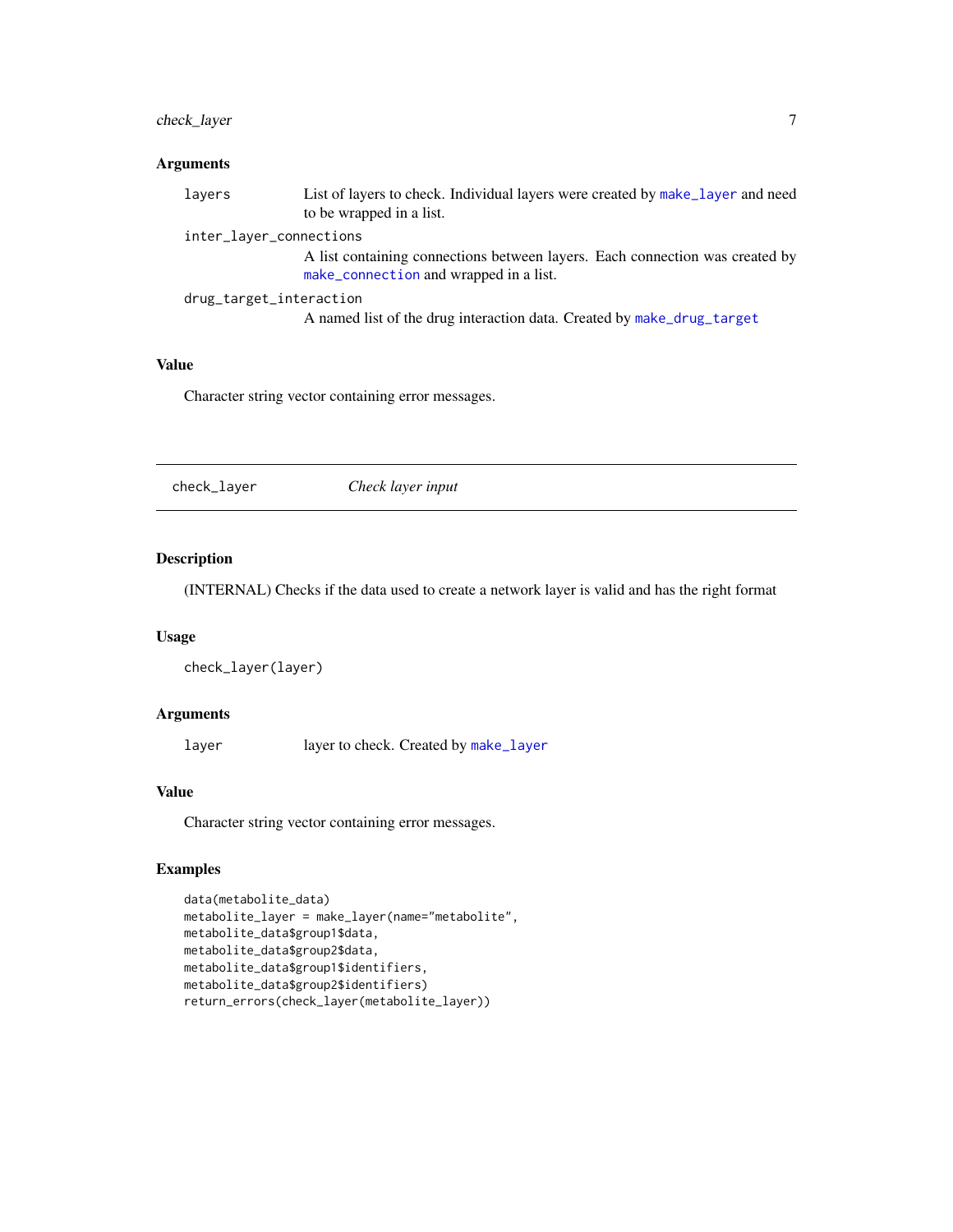# <span id="page-6-0"></span>check\_layer 7

# Arguments

| layers | List of layers to check. Individual layers were created by make_layer and need<br>to be wrapped in a list.             |
|--------|------------------------------------------------------------------------------------------------------------------------|
|        | inter_layer_connections                                                                                                |
|        | A list containing connections between layers. Each connection was created by<br>make_connection and wrapped in a list. |
|        | drug_target_interaction                                                                                                |
|        | A named list of the drug interaction data. Created by make_drug_target                                                 |

#### Value

Character string vector containing error messages.

check\_layer *Check layer input*

# Description

(INTERNAL) Checks if the data used to create a network layer is valid and has the right format

# Usage

check\_layer(layer)

# Arguments

layer layer to check. Created by [make\\_layer](#page-32-1)

# Value

Character string vector containing error messages.

# Examples

```
data(metabolite_data)
metabolite_layer = make_layer(name="metabolite",
metabolite_data$group1$data,
metabolite_data$group2$data,
metabolite_data$group1$identifiers,
metabolite_data$group2$identifiers)
return_errors(check_layer(metabolite_layer))
```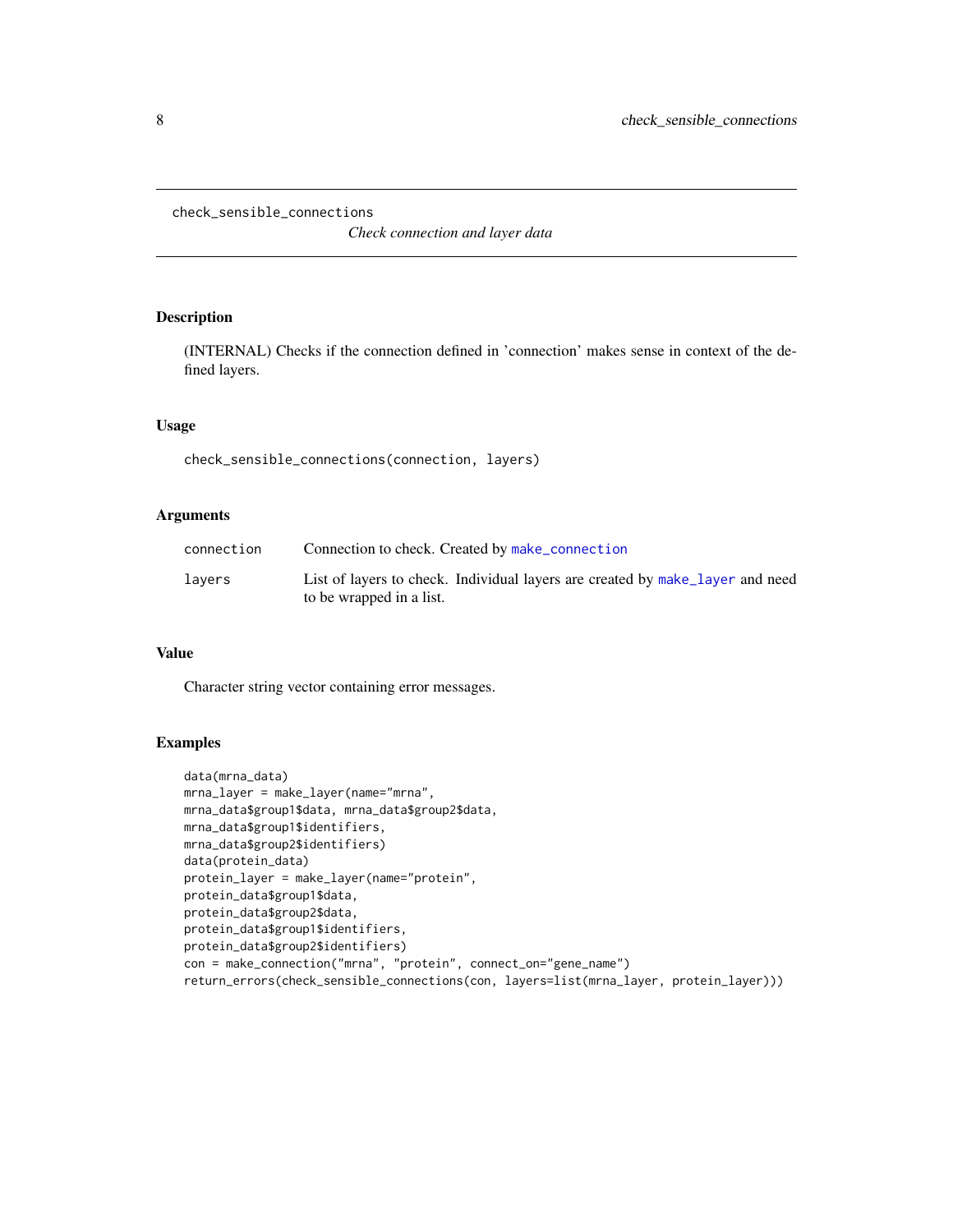<span id="page-7-0"></span>check\_sensible\_connections

*Check connection and layer data*

# Description

(INTERNAL) Checks if the connection defined in 'connection' makes sense in context of the defined layers.

#### Usage

check\_sensible\_connections(connection, layers)

# Arguments

| connection | Connection to check. Created by make_connection                                                           |
|------------|-----------------------------------------------------------------------------------------------------------|
| lavers     | List of layers to check. Individual layers are created by make layer and need<br>to be wrapped in a list. |

# Value

Character string vector containing error messages.

# Examples

```
data(mrna_data)
mrna_layer = make_layer(name="mrna",
mrna_data$group1$data, mrna_data$group2$data,
mrna_data$group1$identifiers,
mrna_data$group2$identifiers)
data(protein_data)
protein_layer = make_layer(name="protein",
protein_data$group1$data,
protein_data$group2$data,
protein_data$group1$identifiers,
protein_data$group2$identifiers)
con = make_connection("mrna", "protein", connect_on="gene_name")
return_errors(check_sensible_connections(con, layers=list(mrna_layer, protein_layer)))
```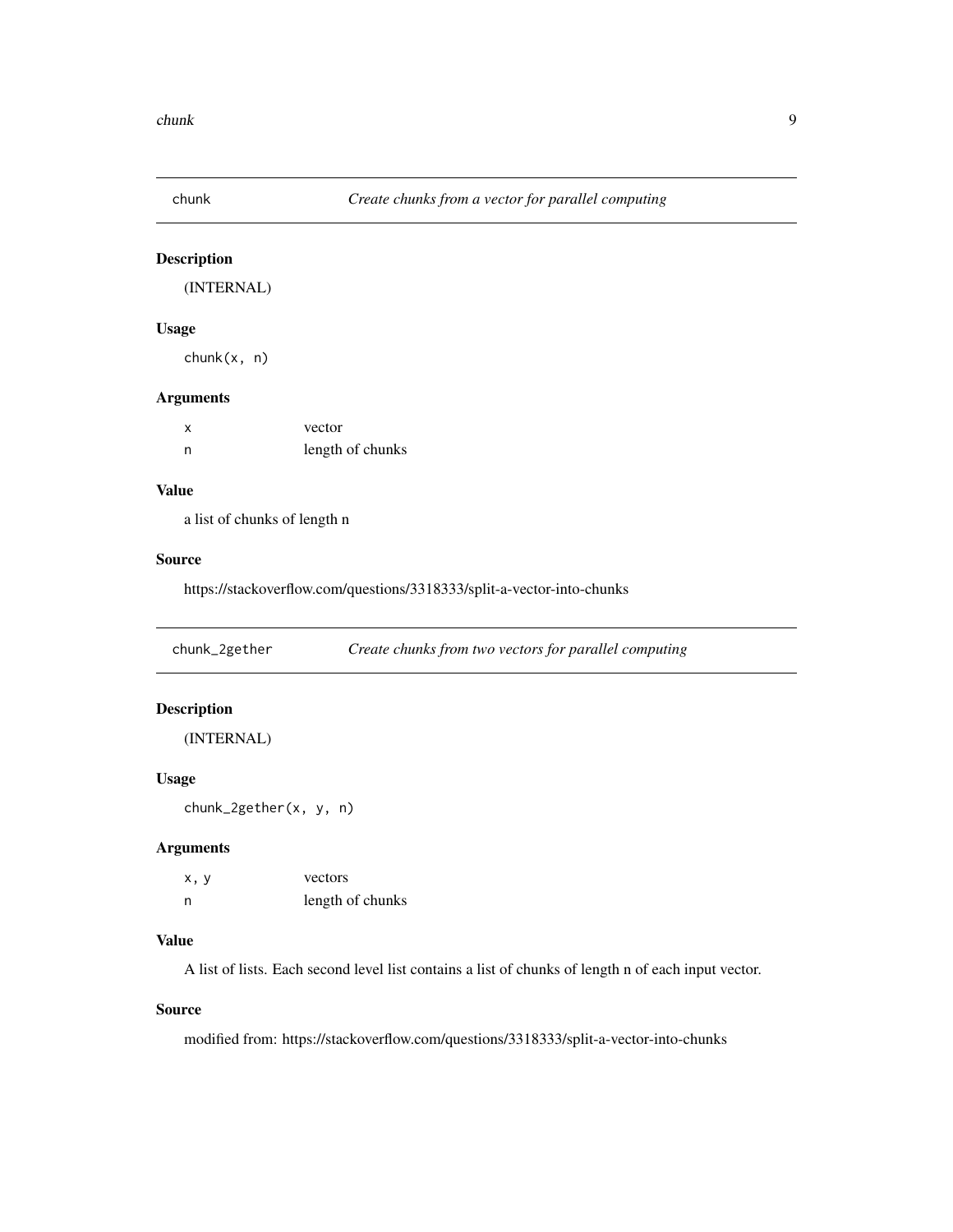<span id="page-8-0"></span>

# Description

(INTERNAL)

# Usage

chunk(x, n)

#### Arguments

| X | vector           |
|---|------------------|
| n | length of chunks |

# Value

a list of chunks of length n

# Source

https://stackoverflow.com/questions/3318333/split-a-vector-into-chunks

chunk\_2gether *Create chunks from two vectors for parallel computing*

# Description

(INTERNAL)

# Usage

chunk\_2gether(x, y, n)

# Arguments

| x, y | vectors          |
|------|------------------|
| n    | length of chunks |

# Value

A list of lists. Each second level list contains a list of chunks of length n of each input vector.

# Source

modified from: https://stackoverflow.com/questions/3318333/split-a-vector-into-chunks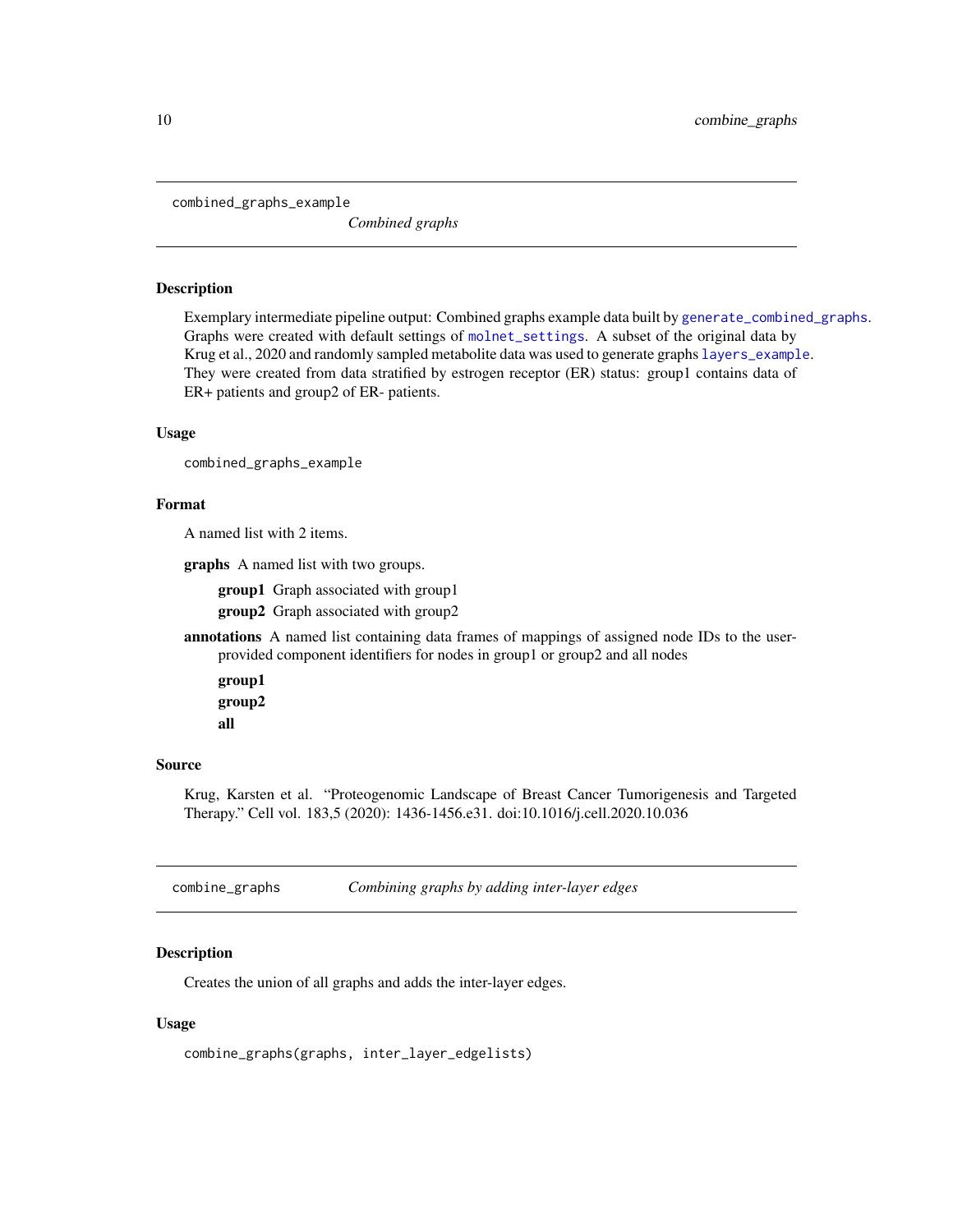<span id="page-9-0"></span>combined\_graphs\_example

*Combined graphs*

#### Description

Exemplary intermediate pipeline output: Combined graphs example data built by [generate\\_combined\\_graphs](#page-17-1). Graphs were created with default settings of [molnet\\_settings](#page-34-1). A subset of the original data by Krug et al., 2020 and randomly sampled metabolite data was used to generate graphs [layers\\_example](#page-28-1). They were created from data stratified by estrogen receptor (ER) status: group1 contains data of ER+ patients and group2 of ER- patients.

# Usage

combined\_graphs\_example

# Format

A named list with 2 items.

graphs A named list with two groups.

group1 Graph associated with group1

group2 Graph associated with group2

annotations A named list containing data frames of mappings of assigned node IDs to the userprovided component identifiers for nodes in group1 or group2 and all nodes

group1 group2 all

#### Source

Krug, Karsten et al. "Proteogenomic Landscape of Breast Cancer Tumorigenesis and Targeted Therapy." Cell vol. 183,5 (2020): 1436-1456.e31. doi:10.1016/j.cell.2020.10.036

combine\_graphs *Combining graphs by adding inter-layer edges*

# Description

Creates the union of all graphs and adds the inter-layer edges.

#### Usage

combine\_graphs(graphs, inter\_layer\_edgelists)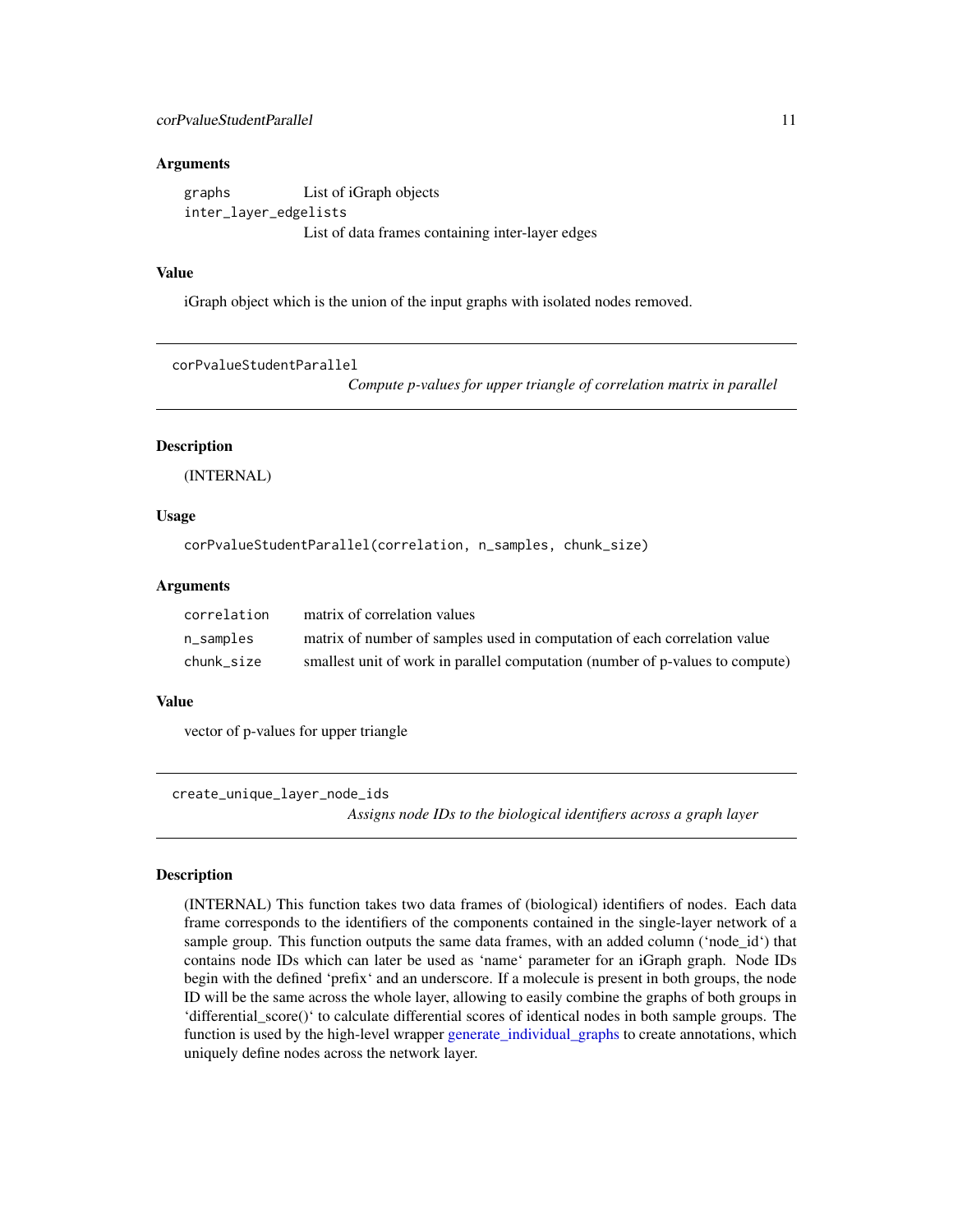# <span id="page-10-0"></span>Arguments

graphs List of iGraph objects inter\_layer\_edgelists List of data frames containing inter-layer edges

# Value

iGraph object which is the union of the input graphs with isolated nodes removed.

```
corPvalueStudentParallel
```
*Compute p-values for upper triangle of correlation matrix in parallel*

#### **Description**

(INTERNAL)

#### Usage

corPvalueStudentParallel(correlation, n\_samples, chunk\_size)

#### **Arguments**

| correlation | matrix of correlation values                                                  |
|-------------|-------------------------------------------------------------------------------|
| n_samples   | matrix of number of samples used in computation of each correlation value     |
| chunk size  | smallest unit of work in parallel computation (number of p-values to compute) |

# Value

vector of p-values for upper triangle

<span id="page-10-1"></span>create\_unique\_layer\_node\_ids *Assigns node IDs to the biological identifiers across a graph layer*

#### Description

(INTERNAL) This function takes two data frames of (biological) identifiers of nodes. Each data frame corresponds to the identifiers of the components contained in the single-layer network of a sample group. This function outputs the same data frames, with an added column ('node\_id') that contains node IDs which can later be used as 'name' parameter for an iGraph graph. Node IDs begin with the defined 'prefix' and an underscore. If a molecule is present in both groups, the node ID will be the same across the whole layer, allowing to easily combine the graphs of both groups in 'differential\_score()' to calculate differential scores of identical nodes in both sample groups. The function is used by the high-level wrapper [generate\\_individual\\_graphs](#page-18-1) to create annotations, which uniquely define nodes across the network layer.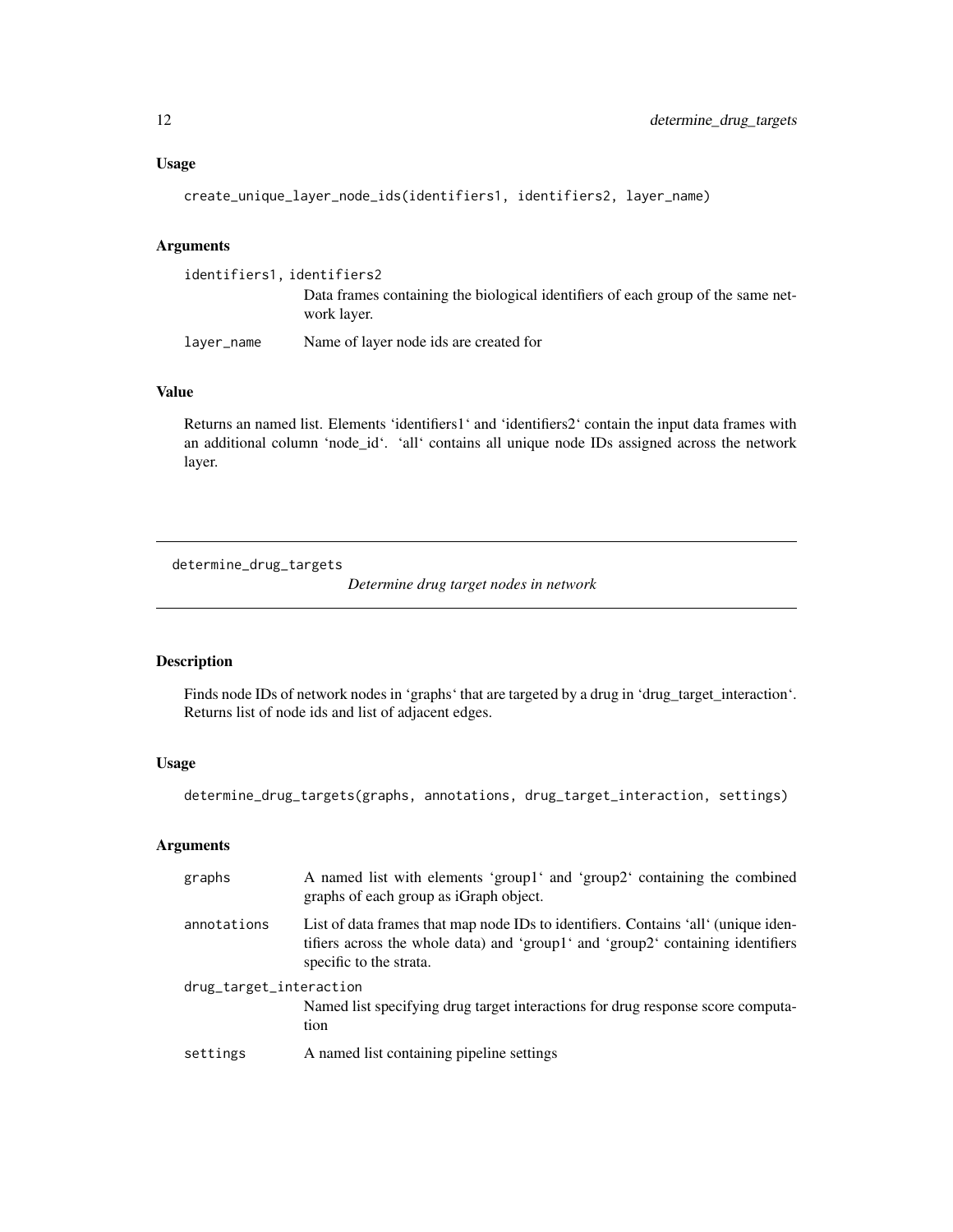# <span id="page-11-0"></span>Usage

```
create_unique_layer_node_ids(identifiers1, identifiers2, layer_name)
```
#### Arguments

| identifiers1, identifiers2 |                                                                                                 |
|----------------------------|-------------------------------------------------------------------------------------------------|
|                            | Data frames containing the biological identifiers of each group of the same net-<br>work layer. |
| laver_name                 | Name of layer node ids are created for                                                          |

# Value

Returns an named list. Elements 'identifiers1' and 'identifiers2' contain the input data frames with an additional column 'node\_id'. 'all' contains all unique node IDs assigned across the network layer.

<span id="page-11-1"></span>determine\_drug\_targets

*Determine drug target nodes in network*

# Description

Finds node IDs of network nodes in 'graphs' that are targeted by a drug in 'drug\_target\_interaction'. Returns list of node ids and list of adjacent edges.

# Usage

determine\_drug\_targets(graphs, annotations, drug\_target\_interaction, settings)

# Arguments

| graphs                  | A named list with elements 'group1' and 'group2' containing the combined<br>graphs of each group as iGraph object.                                                                               |
|-------------------------|--------------------------------------------------------------------------------------------------------------------------------------------------------------------------------------------------|
| annotations             | List of data frames that map node IDs to identifiers. Contains 'all' (unique iden-<br>tifiers across the whole data) and 'group1' and 'group2' containing identifiers<br>specific to the strata. |
| drug_target_interaction | Named list specifying drug target interactions for drug response score computa-<br>tion                                                                                                          |
| settings                | A named list containing pipeline settings                                                                                                                                                        |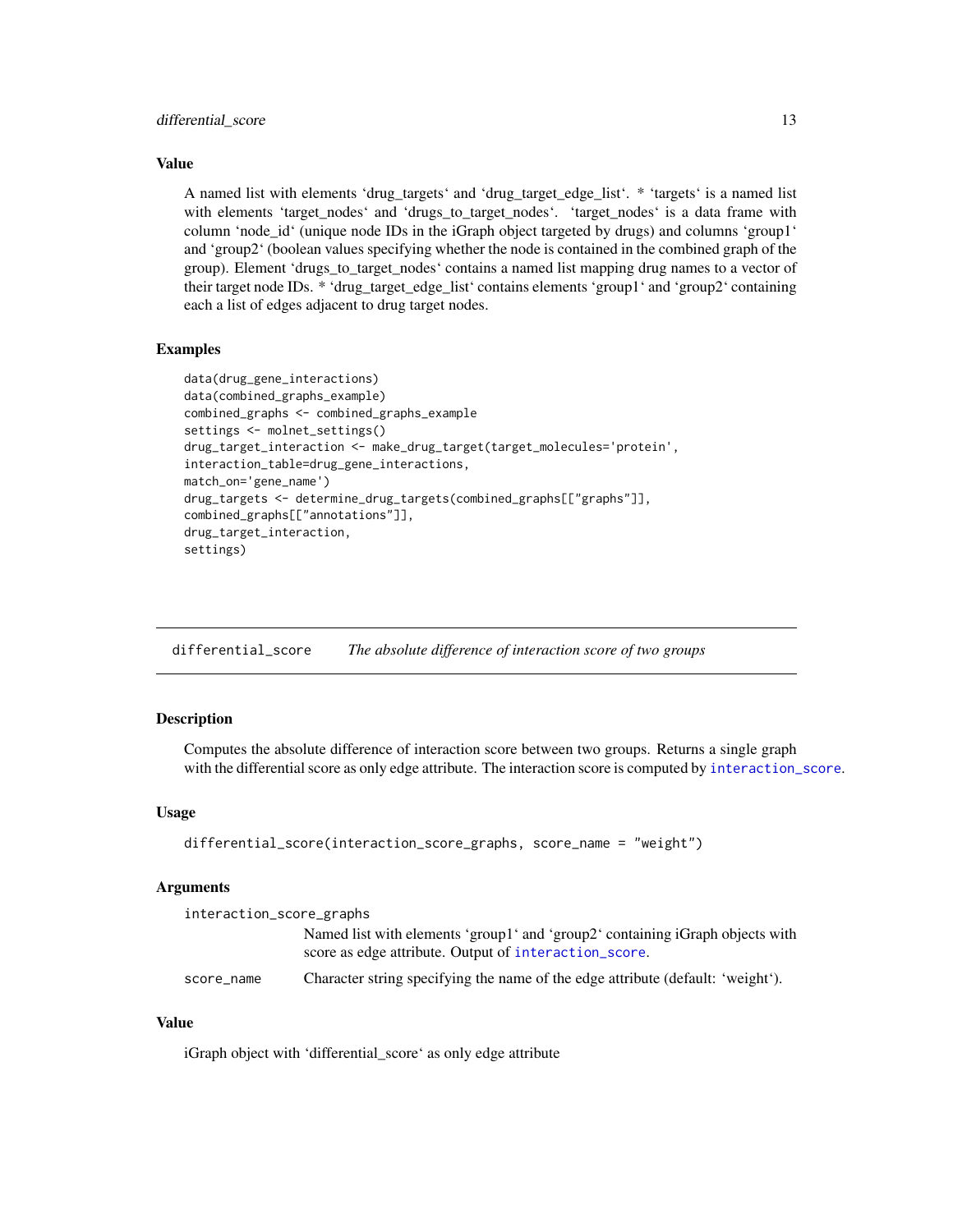#### <span id="page-12-0"></span>differential\_score 13

# Value

A named list with elements 'drug\_targets' and 'drug\_target\_edge\_list'. \* 'targets' is a named list with elements 'target\_nodes' and 'drugs\_to\_target\_nodes'. 'target\_nodes' is a data frame with column 'node\_id' (unique node IDs in the iGraph object targeted by drugs) and columns 'group1' and 'group2' (boolean values specifying whether the node is contained in the combined graph of the group). Element 'drugs\_to\_target\_nodes' contains a named list mapping drug names to a vector of their target node IDs. \* 'drug\_target\_edge\_list' contains elements 'group1' and 'group2' containing each a list of edges adjacent to drug target nodes.

# Examples

```
data(drug_gene_interactions)
data(combined_graphs_example)
combined_graphs <- combined_graphs_example
settings <- molnet_settings()
drug_target_interaction <- make_drug_target(target_molecules='protein',
interaction_table=drug_gene_interactions,
match_on='gene_name')
drug_targets <- determine_drug_targets(combined_graphs[["graphs"]],
combined_graphs[["annotations"]],
drug_target_interaction,
settings)
```
<span id="page-12-1"></span>differential\_score *The absolute difference of interaction score of two groups*

# Description

Computes the absolute difference of interaction score between two groups. Returns a single graph with the differential score as only edge attribute. The interaction score is computed by [interaction\\_score](#page-25-1).

# Usage

```
differential_score(interaction_score_graphs, score_name = "weight")
```
#### Arguments

| interaction_score_graphs |                                                                                                                                        |  |
|--------------------------|----------------------------------------------------------------------------------------------------------------------------------------|--|
|                          | Named list with elements 'group1' and 'group2' containing iGraph objects with<br>score as edge attribute. Output of interaction_score. |  |
| score name               | Character string specifying the name of the edge attribute (default: 'weight').                                                        |  |

#### Value

iGraph object with 'differential\_score' as only edge attribute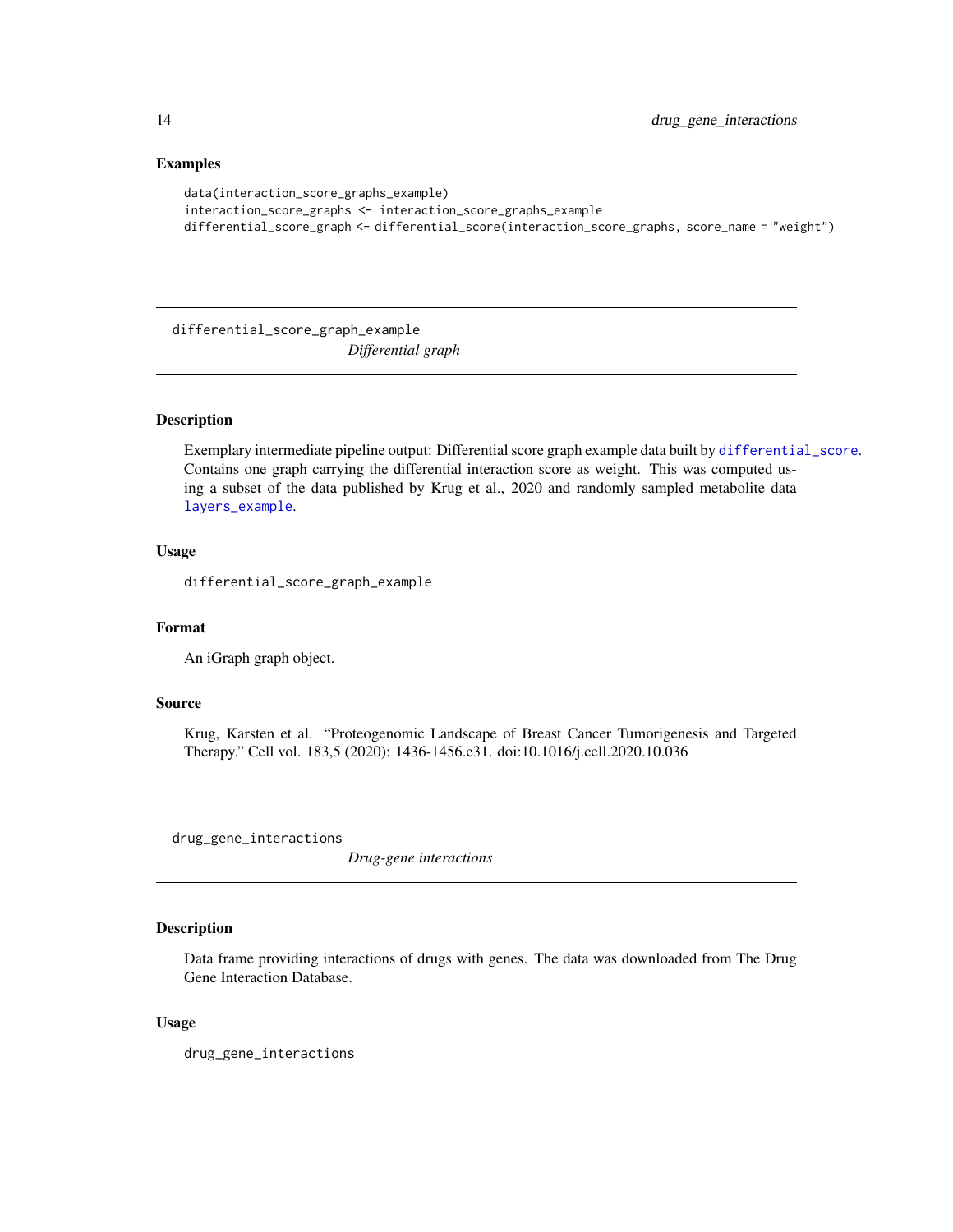# Examples

```
data(interaction_score_graphs_example)
interaction_score_graphs <- interaction_score_graphs_example
differential_score_graph <- differential_score(interaction_score_graphs, score_name = "weight")
```
differential\_score\_graph\_example *Differential graph*

# Description

Exemplary intermediate pipeline output: Differential score graph example data built by [differential\\_score](#page-12-1). Contains one graph carrying the differential interaction score as weight. This was computed using a subset of the data published by Krug et al., 2020 and randomly sampled metabolite data [layers\\_example](#page-28-1).

#### Usage

differential\_score\_graph\_example

#### Format

An iGraph graph object.

# Source

Krug, Karsten et al. "Proteogenomic Landscape of Breast Cancer Tumorigenesis and Targeted Therapy." Cell vol. 183,5 (2020): 1436-1456.e31. doi:10.1016/j.cell.2020.10.036

drug\_gene\_interactions

*Drug-gene interactions*

# Description

Data frame providing interactions of drugs with genes. The data was downloaded from The Drug Gene Interaction Database.

#### Usage

drug\_gene\_interactions

<span id="page-13-0"></span>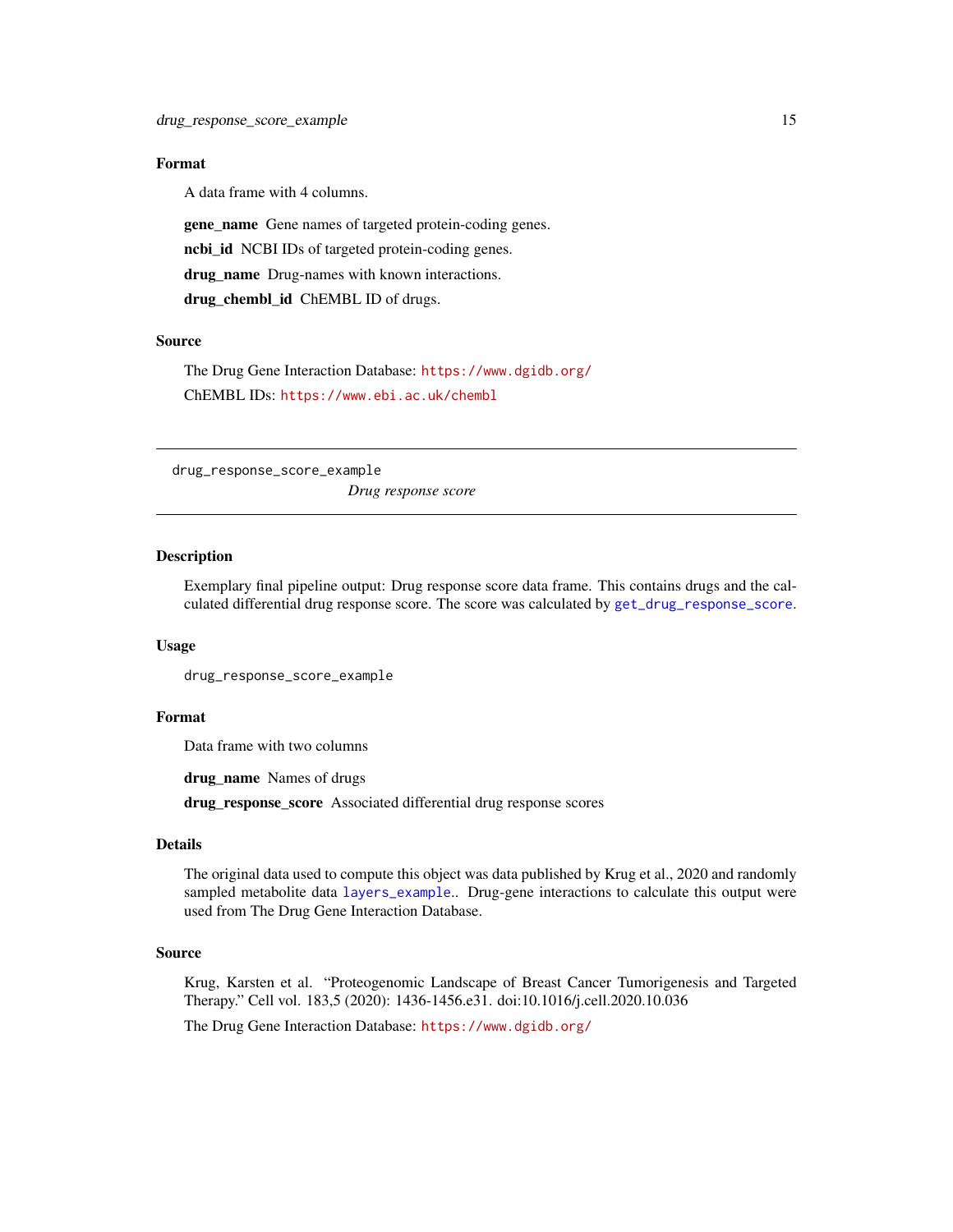# <span id="page-14-0"></span>Format

A data frame with 4 columns.

gene\_name Gene names of targeted protein-coding genes. ncbi\_id NCBI IDs of targeted protein-coding genes. drug\_name Drug-names with known interactions.

drug\_chembl\_id ChEMBL ID of drugs.

# Source

The Drug Gene Interaction Database: <https://www.dgidb.org/> ChEMBL IDs: <https://www.ebi.ac.uk/chembl>

drug\_response\_score\_example *Drug response score*

# Description

Exemplary final pipeline output: Drug response score data frame. This contains drugs and the calculated differential drug response score. The score was calculated by [get\\_drug\\_response\\_score](#page-21-1).

#### Usage

drug\_response\_score\_example

#### Format

Data frame with two columns

drug\_name Names of drugs

drug\_response\_score Associated differential drug response scores

# Details

The original data used to compute this object was data published by Krug et al., 2020 and randomly sampled metabolite data [layers\\_example](#page-28-1).. Drug-gene interactions to calculate this output were used from The Drug Gene Interaction Database.

#### Source

Krug, Karsten et al. "Proteogenomic Landscape of Breast Cancer Tumorigenesis and Targeted Therapy." Cell vol. 183,5 (2020): 1436-1456.e31. doi:10.1016/j.cell.2020.10.036

The Drug Gene Interaction Database: <https://www.dgidb.org/>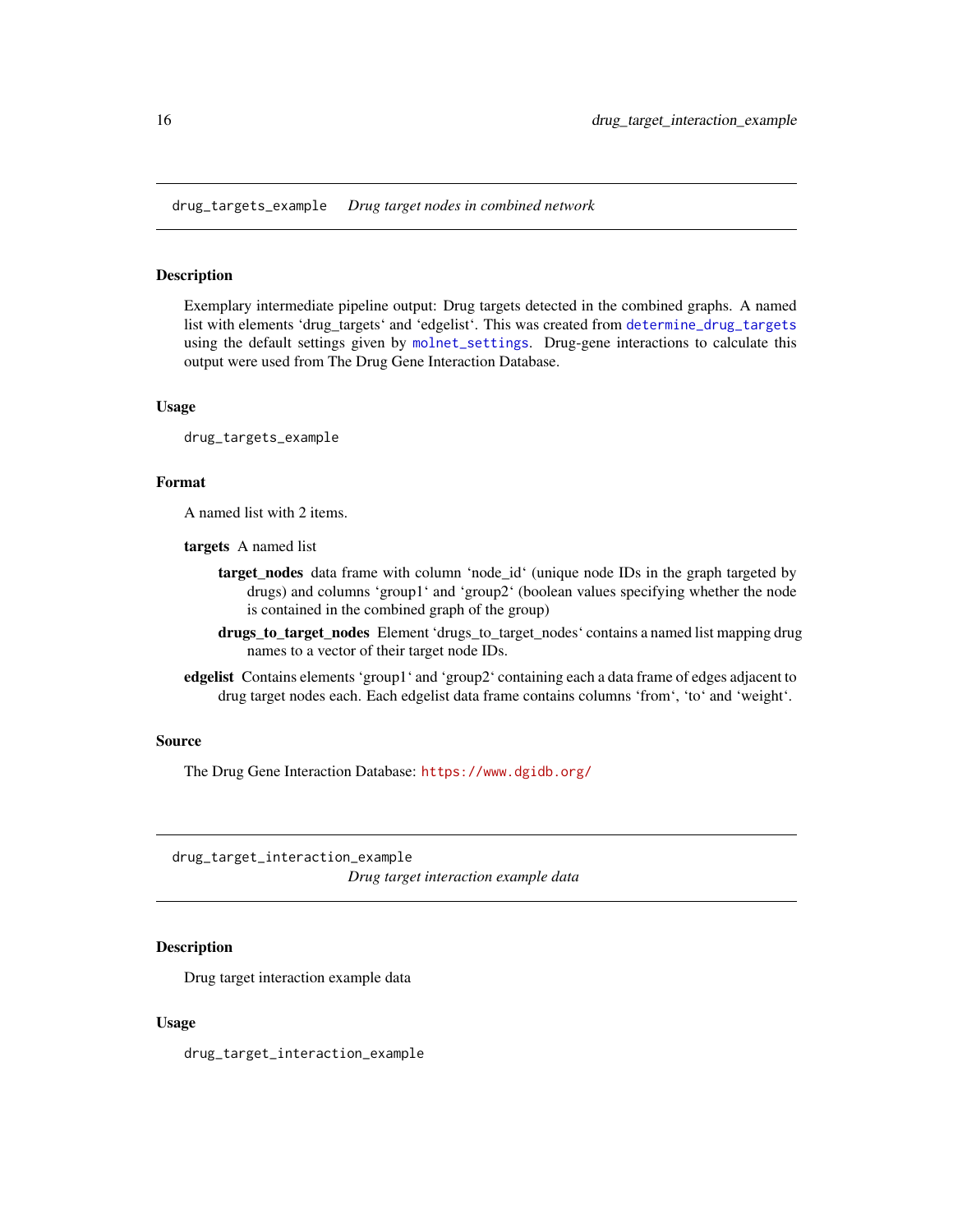<span id="page-15-0"></span>drug\_targets\_example *Drug target nodes in combined network*

# Description

Exemplary intermediate pipeline output: Drug targets detected in the combined graphs. A named list with elements 'drug\_targets' and 'edgelist'. This was created from [determine\\_drug\\_targets](#page-11-1) using the default settings given by [molnet\\_settings](#page-34-1). Drug-gene interactions to calculate this output were used from The Drug Gene Interaction Database.

#### Usage

drug\_targets\_example

#### Format

A named list with 2 items.

targets A named list

- target\_nodes data frame with column 'node\_id' (unique node IDs in the graph targeted by drugs) and columns 'group1' and 'group2' (boolean values specifying whether the node is contained in the combined graph of the group)
- drugs\_to\_target\_nodes Element 'drugs\_to\_target\_nodes' contains a named list mapping drug names to a vector of their target node IDs.
- edgelist Contains elements 'group1' and 'group2' containing each a data frame of edges adjacent to drug target nodes each. Each edgelist data frame contains columns 'from', 'to' and 'weight'.

# Source

The Drug Gene Interaction Database: <https://www.dgidb.org/>

drug\_target\_interaction\_example *Drug target interaction example data*

# Description

Drug target interaction example data

#### Usage

drug\_target\_interaction\_example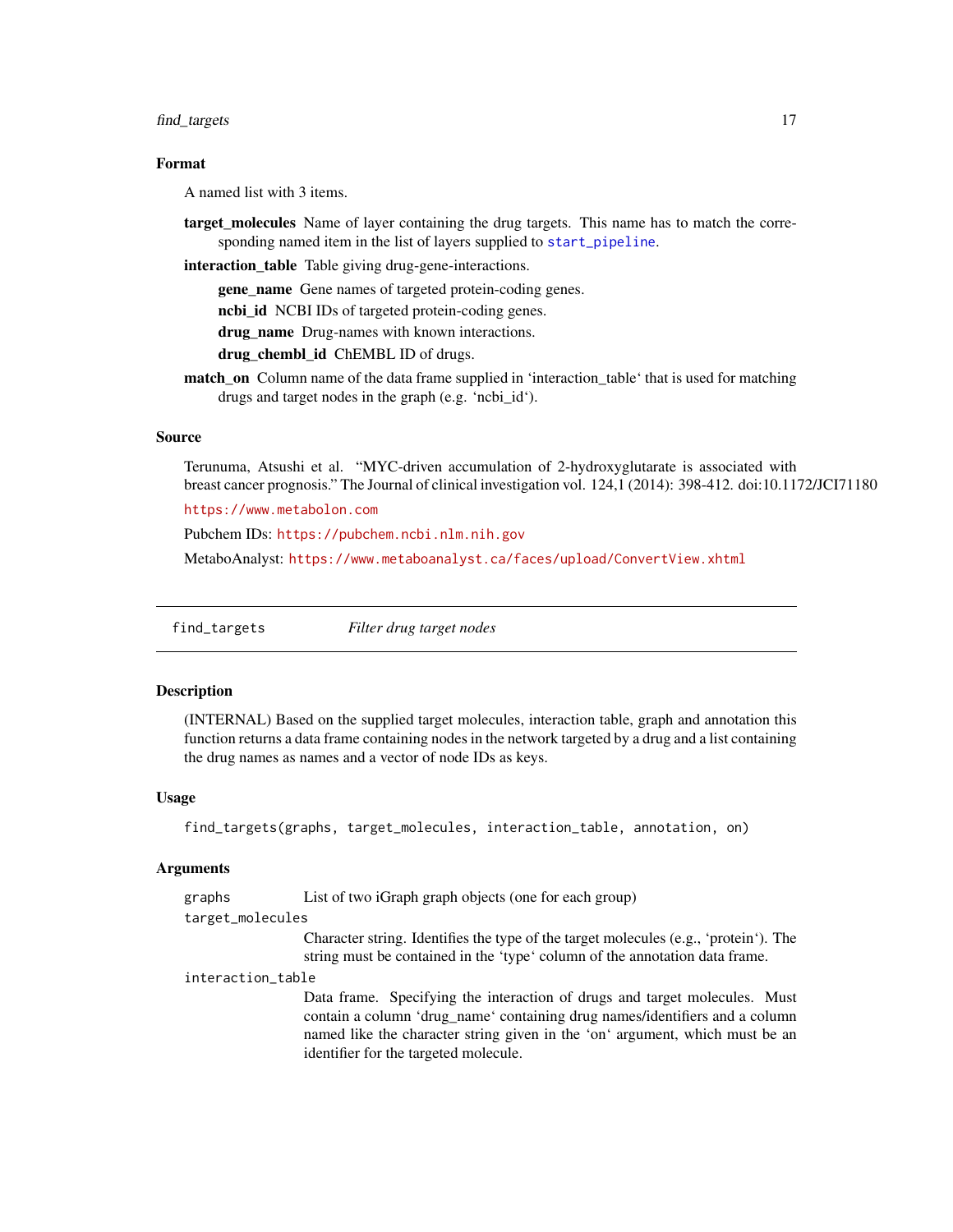#### <span id="page-16-0"></span>find\_targets 17

# Format

A named list with 3 items.

target\_molecules Name of layer containing the drug targets. This name has to match the corresponding named item in the list of layers supplied to [start\\_pipeline](#page-44-1).

interaction\_table Table giving drug-gene-interactions.

gene\_name Gene names of targeted protein-coding genes.

nchi id NCBI IDs of targeted protein-coding genes.

drug name Drug-names with known interactions.

drug\_chembl\_id ChEMBL ID of drugs.

match\_on Column name of the data frame supplied in 'interaction\_table' that is used for matching drugs and target nodes in the graph (e.g. 'ncbi\_id').

# Source

Terunuma, Atsushi et al. "MYC-driven accumulation of 2-hydroxyglutarate is associated with breast cancer prognosis." The Journal of clinical investigation vol. 124,1 (2014): 398-412. doi:10.1172/JCI71180

<https://www.metabolon.com>

Pubchem IDs: <https://pubchem.ncbi.nlm.nih.gov>

MetaboAnalyst: <https://www.metaboanalyst.ca/faces/upload/ConvertView.xhtml>

find\_targets *Filter drug target nodes*

# Description

(INTERNAL) Based on the supplied target molecules, interaction table, graph and annotation this function returns a data frame containing nodes in the network targeted by a drug and a list containing the drug names as names and a vector of node IDs as keys.

#### Usage

```
find_targets(graphs, target_molecules, interaction_table, annotation, on)
```
#### Arguments

graphs List of two iGraph graph objects (one for each group)

target\_molecules

Character string. Identifies the type of the target molecules (e.g., 'protein'). The string must be contained in the 'type' column of the annotation data frame.

#### interaction\_table

Data frame. Specifying the interaction of drugs and target molecules. Must contain a column 'drug\_name' containing drug names/identifiers and a column named like the character string given in the 'on' argument, which must be an identifier for the targeted molecule.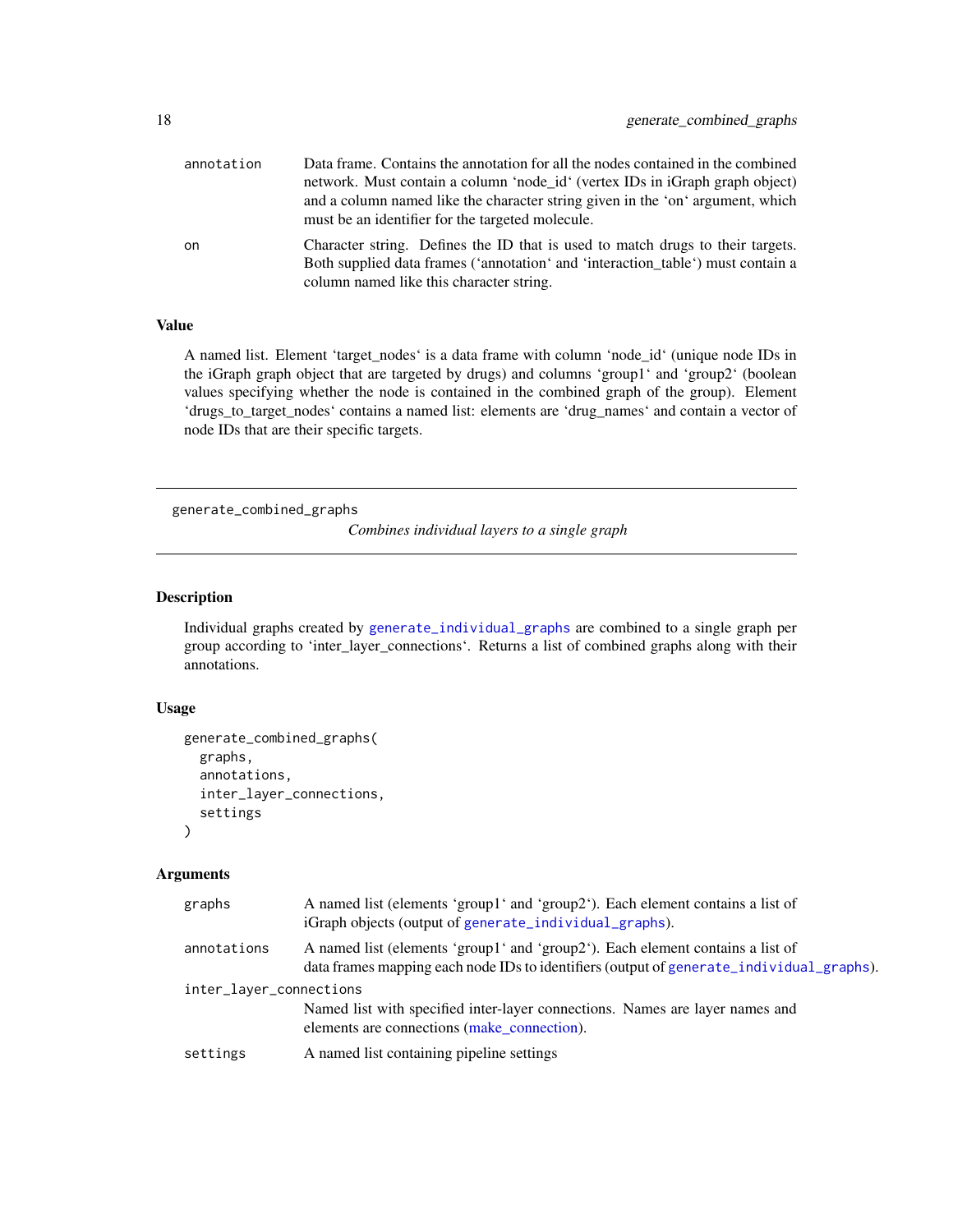<span id="page-17-0"></span>

| annotation | Data frame. Contains the annotation for all the nodes contained in the combined<br>network. Must contain a column 'node id' (vertex IDs in iGraph graph object)<br>and a column named like the character string given in the 'on' argument, which<br>must be an identifier for the targeted molecule. |
|------------|-------------------------------------------------------------------------------------------------------------------------------------------------------------------------------------------------------------------------------------------------------------------------------------------------------|
| on         | Character string. Defines the ID that is used to match drugs to their targets.<br>Both supplied data frames ('annotation' and 'interaction_table') must contain a<br>column named like this character string.                                                                                         |

# Value

A named list. Element 'target\_nodes' is a data frame with column 'node\_id' (unique node IDs in the iGraph graph object that are targeted by drugs) and columns 'group1' and 'group2' (boolean values specifying whether the node is contained in the combined graph of the group). Element 'drugs\_to\_target\_nodes' contains a named list: elements are 'drug\_names' and contain a vector of node IDs that are their specific targets.

<span id="page-17-1"></span>generate\_combined\_graphs

*Combines individual layers to a single graph*

# Description

Individual graphs created by [generate\\_individual\\_graphs](#page-18-1) are combined to a single graph per group according to 'inter\_layer\_connections'. Returns a list of combined graphs along with their annotations.

#### Usage

```
generate_combined_graphs(
 graphs,
  annotations,
  inter_layer_connections,
  settings
)
```
# Arguments

| graphs                  | A named list (elements 'group1' and 'group2'). Each element contains a list of<br>iGraph objects (output of generate_individual_graphs).                                   |  |
|-------------------------|----------------------------------------------------------------------------------------------------------------------------------------------------------------------------|--|
| annotations             | A named list (elements 'group1' and 'group2'). Each element contains a list of<br>data frames mapping each node IDs to identifiers (output of generate_individual_graphs). |  |
| inter_layer_connections |                                                                                                                                                                            |  |
|                         | Named list with specified inter-layer connections. Names are layer names and<br>elements are connections (make connection).                                                |  |
| settings                | A named list containing pipeline settings                                                                                                                                  |  |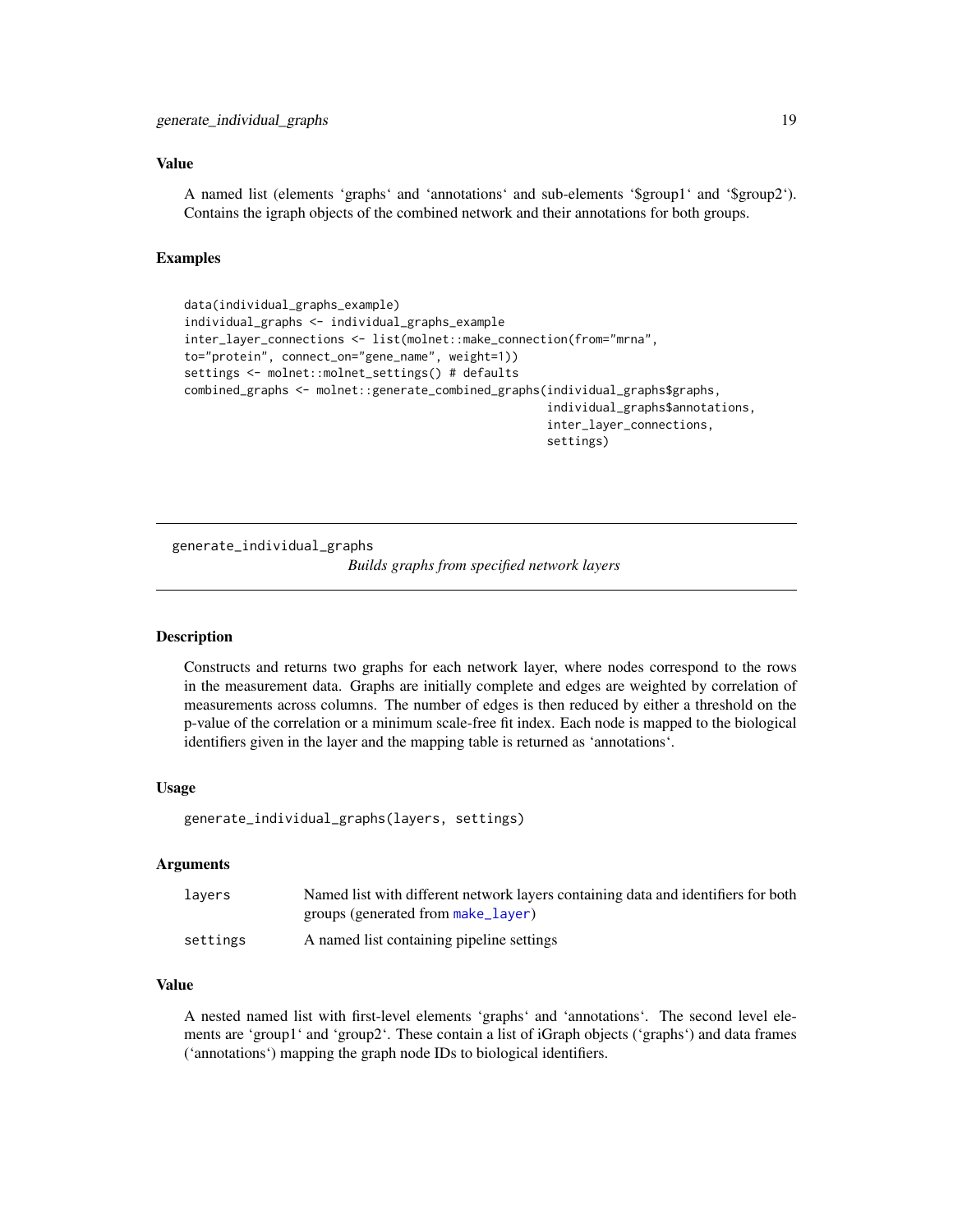# <span id="page-18-0"></span>Value

A named list (elements 'graphs' and 'annotations' and sub-elements '\$group1' and '\$group2'). Contains the igraph objects of the combined network and their annotations for both groups.

#### Examples

```
data(individual_graphs_example)
individual_graphs <- individual_graphs_example
inter_layer_connections <- list(molnet::make_connection(from="mrna",
to="protein", connect_on="gene_name", weight=1))
settings <- molnet::molnet_settings() # defaults
combined_graphs <- molnet::generate_combined_graphs(individual_graphs$graphs,
                                                    individual_graphs$annotations,
                                                    inter_layer_connections,
                                                    settings)
```
<span id="page-18-1"></span>generate\_individual\_graphs *Builds graphs from specified network layers*

#### **Description**

Constructs and returns two graphs for each network layer, where nodes correspond to the rows in the measurement data. Graphs are initially complete and edges are weighted by correlation of measurements across columns. The number of edges is then reduced by either a threshold on the p-value of the correlation or a minimum scale-free fit index. Each node is mapped to the biological identifiers given in the layer and the mapping table is returned as 'annotations'.

#### Usage

generate\_individual\_graphs(layers, settings)

# Arguments

| lavers   | Named list with different network layers containing data and identifiers for both |
|----------|-----------------------------------------------------------------------------------|
|          | groups (generated from make_layer)                                                |
| settings | A named list containing pipeline settings                                         |

#### Value

A nested named list with first-level elements 'graphs' and 'annotations'. The second level elements are 'group1' and 'group2'. These contain a list of iGraph objects ('graphs') and data frames ('annotations') mapping the graph node IDs to biological identifiers.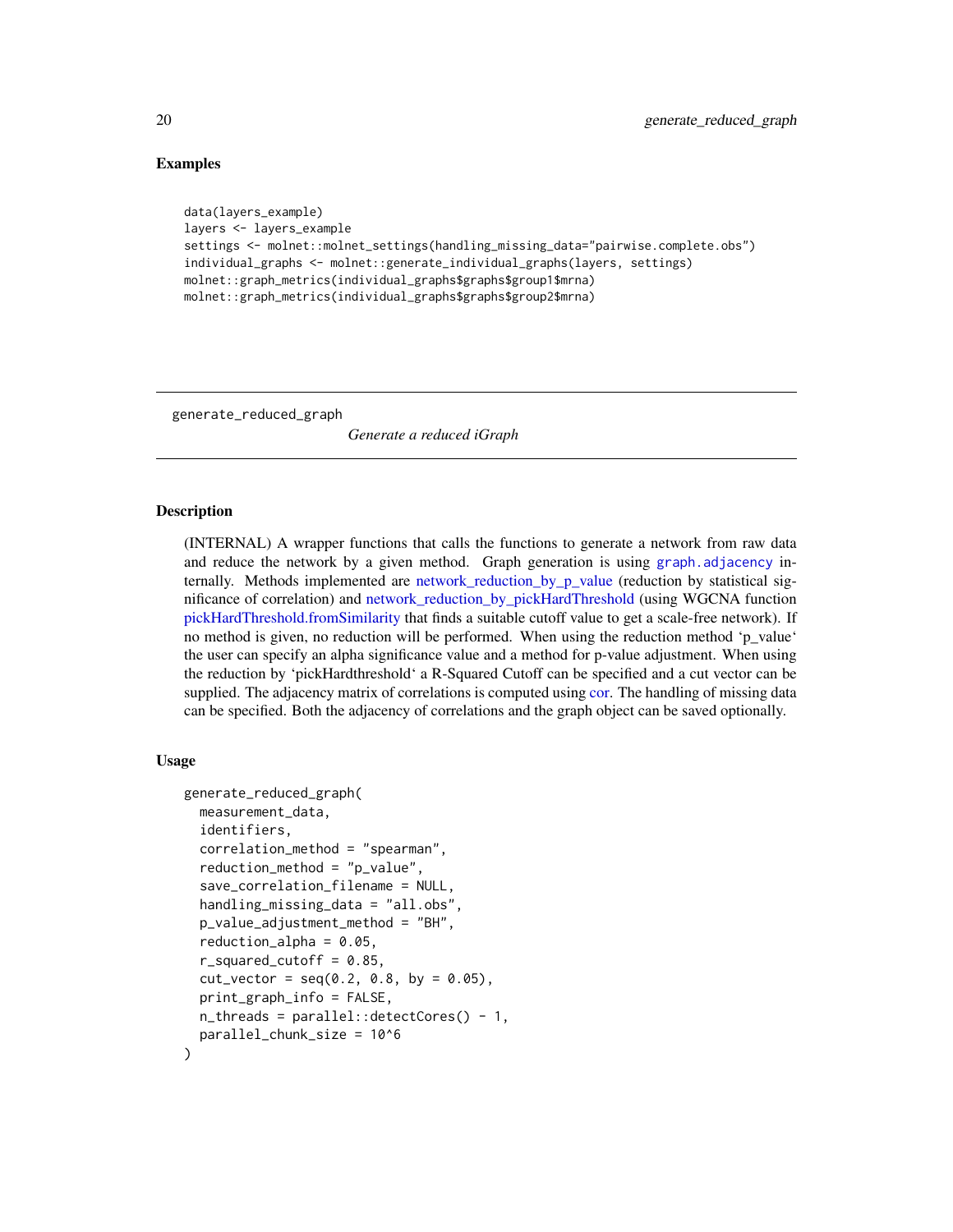# Examples

```
data(layers_example)
layers <- layers_example
settings <- molnet::molnet_settings(handling_missing_data="pairwise.complete.obs")
individual_graphs <- molnet::generate_individual_graphs(layers, settings)
molnet::graph_metrics(individual_graphs$graphs$group1$mrna)
molnet::graph_metrics(individual_graphs$graphs$group2$mrna)
```
generate\_reduced\_graph

*Generate a reduced iGraph*

# Description

(INTERNAL) A wrapper functions that calls the functions to generate a network from raw data and reduce the network by a given method. Graph generation is using [graph.adjacency](#page-0-0) internally. Methods implemented are [network\\_reduction\\_by\\_p\\_value](#page-38-1) (reduction by statistical significance of correlation) and [network\\_reduction\\_by\\_pickHardThreshold](#page-37-1) (using WGCNA function [pickHardThreshold.fromSimilarity](#page-0-0) that finds a suitable cutoff value to get a scale-free network). If no method is given, no reduction will be performed. When using the reduction method 'p\_value' the user can specify an alpha significance value and a method for p-value adjustment. When using the reduction by 'pickHardthreshold' a R-Squared Cutoff can be specified and a cut vector can be supplied. The adjacency matrix of correlations is computed using [cor.](#page-0-0) The handling of missing data can be specified. Both the adjacency of correlations and the graph object can be saved optionally.

# Usage

```
generate_reduced_graph(
  measurement_data,
  identifiers,
  correlation_method = "spearman",
  reduction_method = "p_value",
  save_correlation_filename = NULL,
  handling_missing_data = "all.obs",
  p_value_adjustment_method = "BH",
  reduction_alpha = 0.05,
  r_squared_cutoff = 0.85,
  cut\_vector = seq(0.2, 0.8, by = 0.05),
  print_graph_info = FALSE,
 n_{\text{th}} n \text{th} reads = parallel:: detectCores() - 1,
  parallel_chunk_size = 10^6
```

```
)
```
<span id="page-19-0"></span>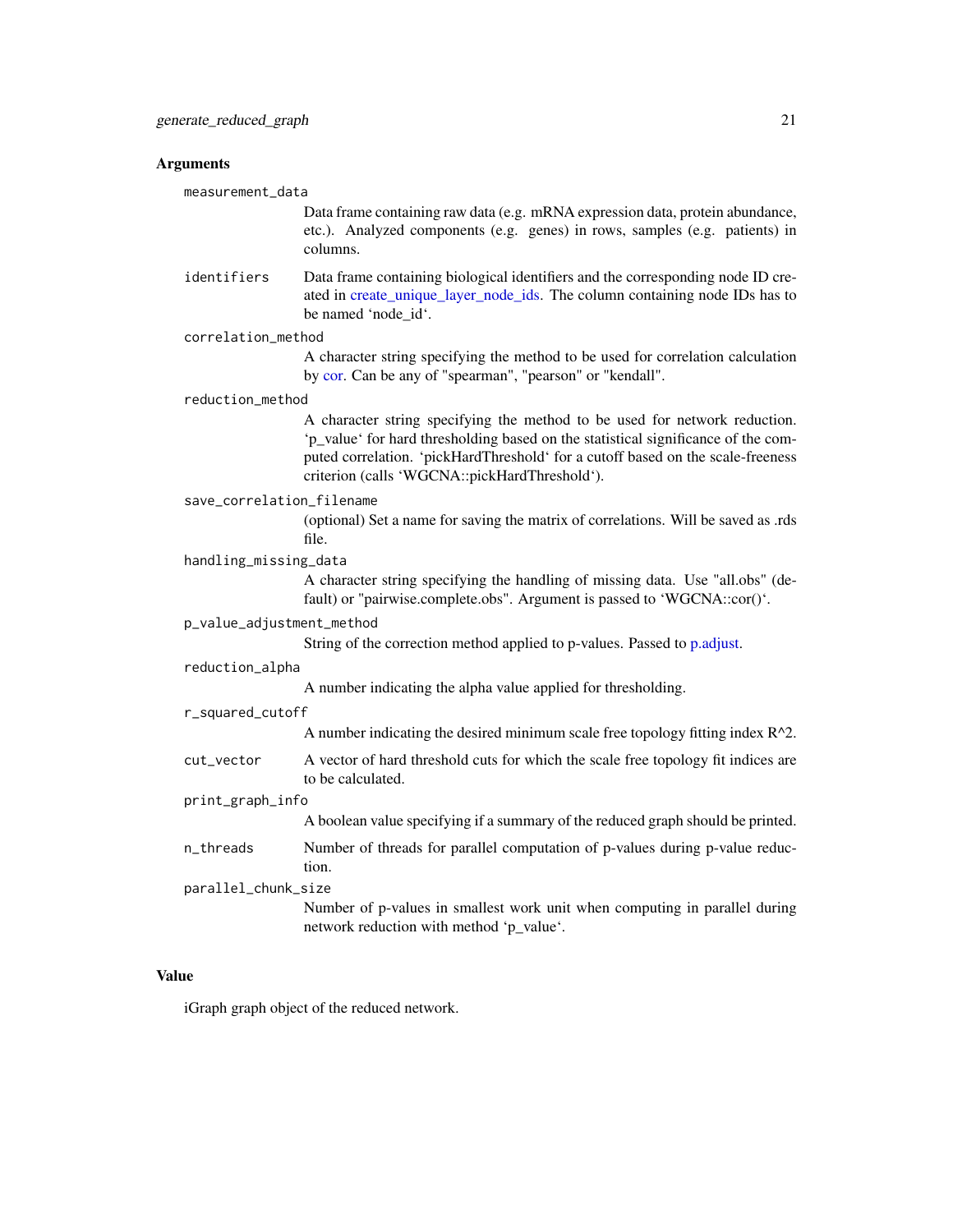#### <span id="page-20-0"></span>Arguments

measurement\_data

Data frame containing raw data (e.g. mRNA expression data, protein abundance, etc.). Analyzed components (e.g. genes) in rows, samples (e.g. patients) in columns.

identifiers Data frame containing biological identifiers and the corresponding node ID created in [create\\_unique\\_layer\\_node\\_ids.](#page-10-1) The column containing node IDs has to be named 'node\_id'.

#### correlation\_method

A character string specifying the method to be used for correlation calculation by [cor.](#page-0-0) Can be any of "spearman", "pearson" or "kendall".

#### reduction\_method

A character string specifying the method to be used for network reduction. 'p\_value' for hard thresholding based on the statistical significance of the computed correlation. 'pickHardThreshold' for a cutoff based on the scale-freeness criterion (calls 'WGCNA::pickHardThreshold').

#### save\_correlation\_filename

(optional) Set a name for saving the matrix of correlations. Will be saved as .rds file.

# handling\_missing\_data

A character string specifying the handling of missing data. Use "all.obs" (default) or "pairwise.complete.obs". Argument is passed to 'WGCNA::cor()'.

# p\_value\_adjustment\_method

String of the correction method applied to p-values. Passed to [p.adjust.](#page-0-0)

#### reduction\_alpha

A number indicating the alpha value applied for thresholding.

#### r\_squared\_cutoff

A number indicating the desired minimum scale free topology fitting index R^2.

cut\_vector A vector of hard threshold cuts for which the scale free topology fit indices are to be calculated.

#### print\_graph\_info

A boolean value specifying if a summary of the reduced graph should be printed.

n\_threads Number of threads for parallel computation of p-values during p-value reduction.

parallel\_chunk\_size

Number of p-values in smallest work unit when computing in parallel during network reduction with method 'p\_value'.

#### Value

iGraph graph object of the reduced network.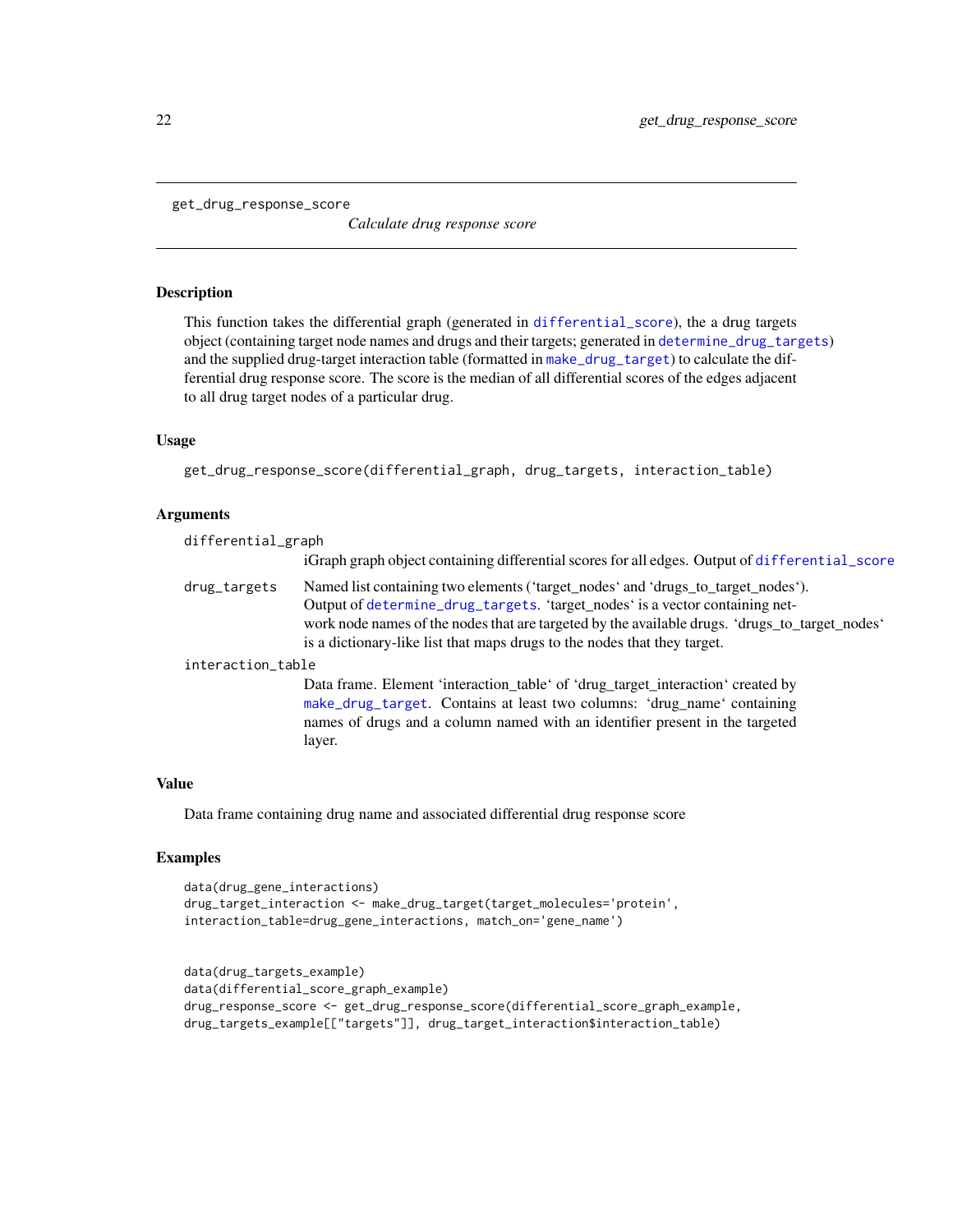<span id="page-21-1"></span><span id="page-21-0"></span>get\_drug\_response\_score

*Calculate drug response score*

# Description

This function takes the differential graph (generated in [differential\\_score](#page-12-1)), the a drug targets object (containing target node names and drugs and their targets; generated in [determine\\_drug\\_targets](#page-11-1)) and the supplied drug-target interaction table (formatted in [make\\_drug\\_target](#page-31-1)) to calculate the differential drug response score. The score is the median of all differential scores of the edges adjacent to all drug target nodes of a particular drug.

# Usage

get\_drug\_response\_score(differential\_graph, drug\_targets, interaction\_table)

# Arguments

| differential_graph |                                                                                                                                                                                                                                                                                                                                                |  |
|--------------------|------------------------------------------------------------------------------------------------------------------------------------------------------------------------------------------------------------------------------------------------------------------------------------------------------------------------------------------------|--|
|                    | iGraph graph object containing differential scores for all edges. Output of differential_score                                                                                                                                                                                                                                                 |  |
| drug_targets       | Named list containing two elements ('target_nodes' and 'drugs_to_target_nodes').<br>Output of determine_drug_targets. 'target_nodes' is a vector containing net-<br>work node names of the nodes that are targeted by the available drugs. 'drugs_to_target_nodes'<br>is a dictionary-like list that maps drugs to the nodes that they target. |  |
| interaction_table  |                                                                                                                                                                                                                                                                                                                                                |  |
|                    | Data frame. Element 'interaction_table' of 'drug_target_interaction' created by<br>make_drug_target. Contains at least two columns: 'drug_name' containing<br>names of drugs and a column named with an identifier present in the targeted                                                                                                     |  |

layer.

#### Value

Data frame containing drug name and associated differential drug response score

#### Examples

```
data(drug_gene_interactions)
drug_target_interaction <- make_drug_target(target_molecules='protein',
interaction_table=drug_gene_interactions, match_on='gene_name')
```

```
data(drug_targets_example)
data(differential_score_graph_example)
drug_response_score <- get_drug_response_score(differential_score_graph_example,
drug_targets_example[["targets"]], drug_target_interaction$interaction_table)
```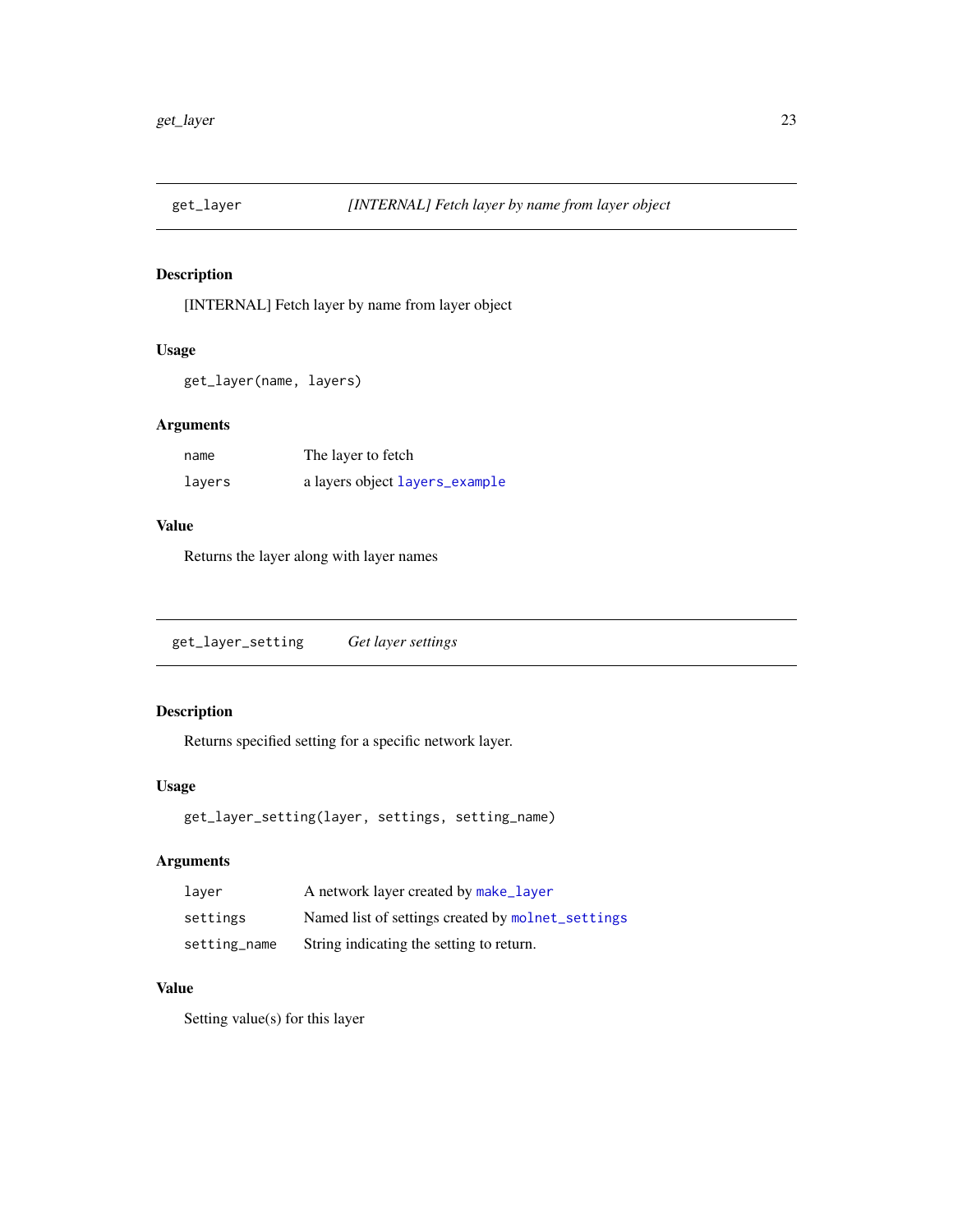<span id="page-22-0"></span>

# Description

[INTERNAL] Fetch layer by name from layer object

# Usage

```
get_layer(name, layers)
```
# Arguments

| name   | The layer to fetch             |
|--------|--------------------------------|
| layers | a layers object layers_example |

# Value

Returns the layer along with layer names

```
get_layer_setting Get layer settings
```
# Description

Returns specified setting for a specific network layer.

# Usage

```
get_layer_setting(layer, settings, setting_name)
```
# Arguments

| laver        | A network layer created by make_layer             |
|--------------|---------------------------------------------------|
| settings     | Named list of settings created by molnet_settings |
| setting_name | String indicating the setting to return.          |

# Value

Setting value(s) for this layer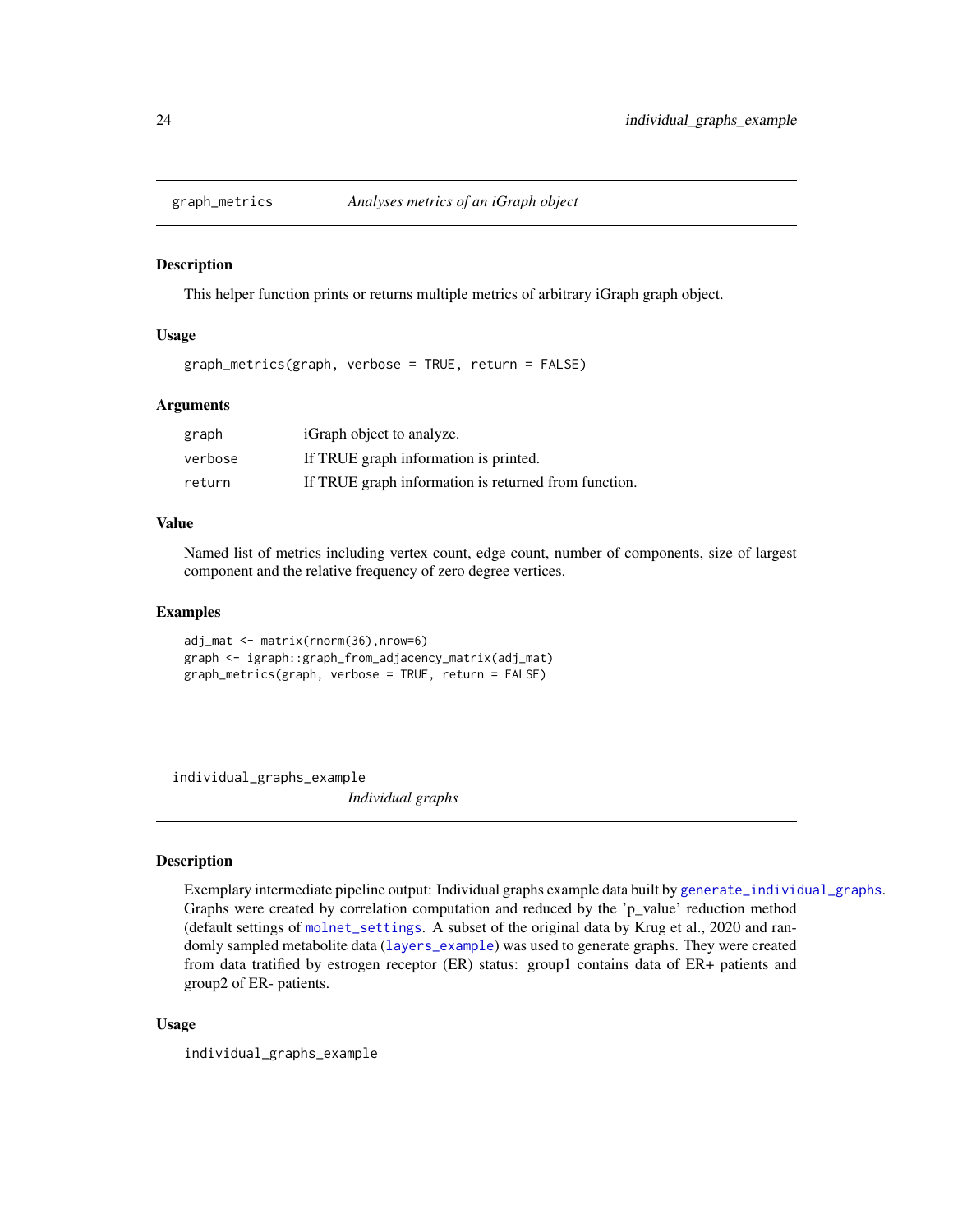<span id="page-23-0"></span>

#### Description

This helper function prints or returns multiple metrics of arbitrary iGraph graph object.

# Usage

graph\_metrics(graph, verbose = TRUE, return = FALSE)

# Arguments

| graph   | iGraph object to analyze.                            |
|---------|------------------------------------------------------|
| verbose | If TRUE graph information is printed.                |
| return  | If TRUE graph information is returned from function. |

# Value

Named list of metrics including vertex count, edge count, number of components, size of largest component and the relative frequency of zero degree vertices.

# Examples

```
adj_mat <- matrix(rnorm(36),nrow=6)
graph <- igraph::graph_from_adjacency_matrix(adj_mat)
graph_metrics(graph, verbose = TRUE, return = FALSE)
```
individual\_graphs\_example

*Individual graphs*

# Description

Exemplary intermediate pipeline output: Individual graphs example data built by [generate\\_individual\\_graphs](#page-18-1). Graphs were created by correlation computation and reduced by the 'p\_value' reduction method (default settings of [molnet\\_settings](#page-34-1). A subset of the original data by Krug et al., 2020 and randomly sampled metabolite data ([layers\\_example](#page-28-1)) was used to generate graphs. They were created from data tratified by estrogen receptor (ER) status: group1 contains data of ER+ patients and group2 of ER- patients.

#### Usage

individual\_graphs\_example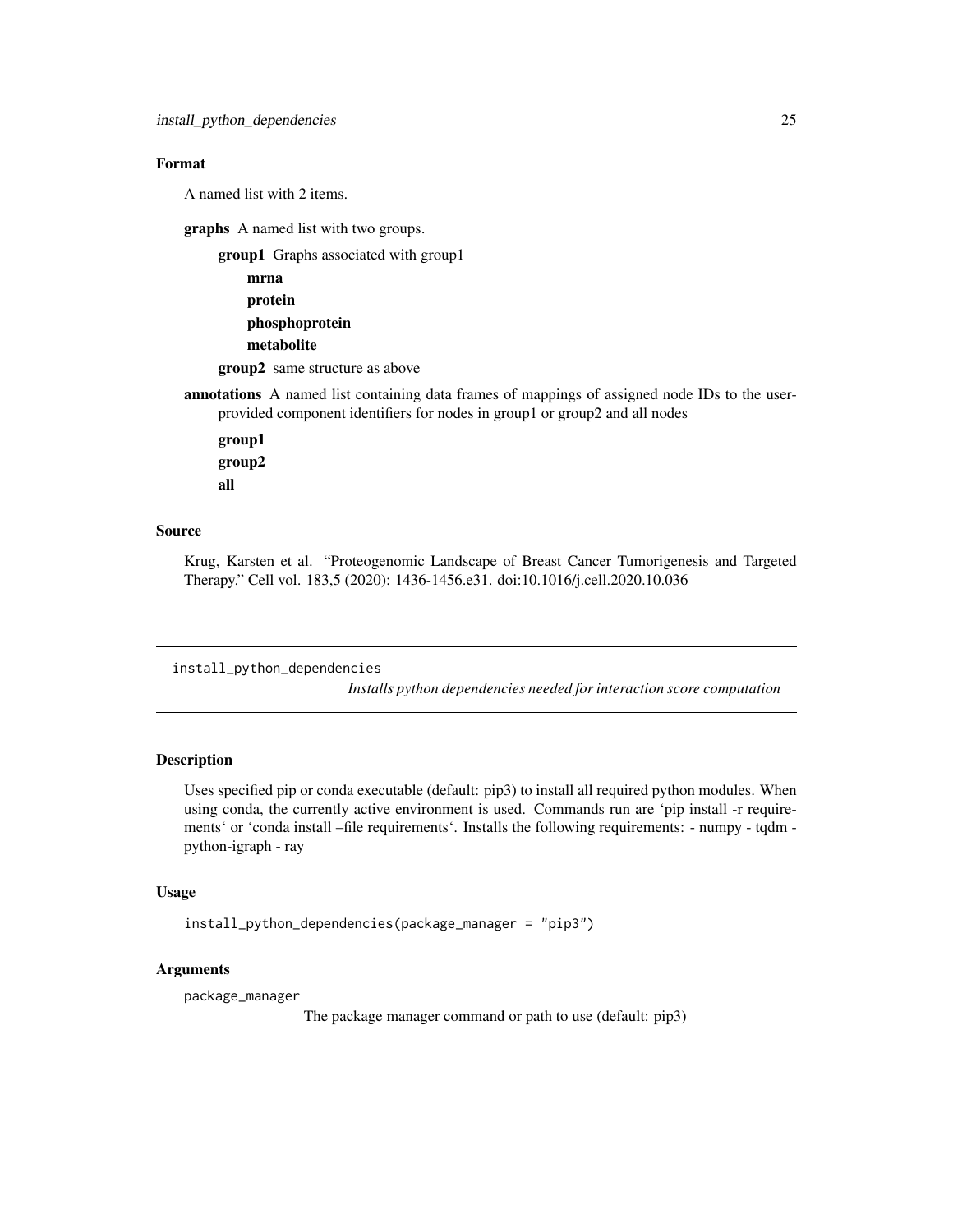# <span id="page-24-0"></span>Format

A named list with 2 items.

graphs A named list with two groups.

group1 Graphs associated with group1

```
mrna
protein
phosphoprotein
metabolite
```
group2 same structure as above

annotations A named list containing data frames of mappings of assigned node IDs to the userprovided component identifiers for nodes in group1 or group2 and all nodes

group1 group2 all

# Source

Krug, Karsten et al. "Proteogenomic Landscape of Breast Cancer Tumorigenesis and Targeted Therapy." Cell vol. 183,5 (2020): 1436-1456.e31. doi:10.1016/j.cell.2020.10.036

install\_python\_dependencies

*Installs python dependencies needed for interaction score computation*

# Description

Uses specified pip or conda executable (default: pip3) to install all required python modules. When using conda, the currently active environment is used. Commands run are 'pip install -r requirements' or 'conda install –file requirements'. Installs the following requirements: - numpy - tqdm python-igraph - ray

# Usage

install\_python\_dependencies(package\_manager = "pip3")

# Arguments

package\_manager

The package manager command or path to use (default: pip3)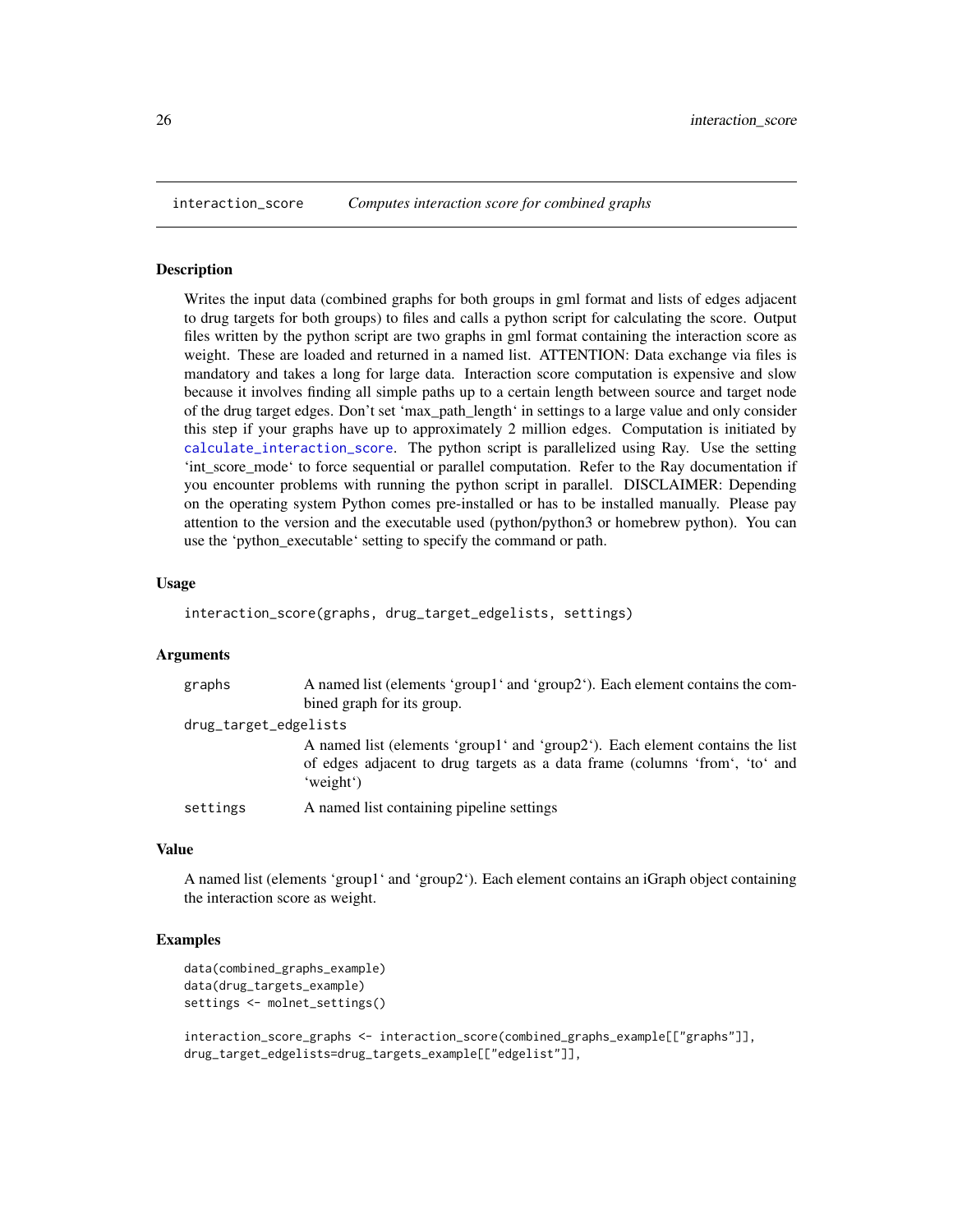<span id="page-25-1"></span><span id="page-25-0"></span>

#### Description

Writes the input data (combined graphs for both groups in gml format and lists of edges adjacent to drug targets for both groups) to files and calls a python script for calculating the score. Output files written by the python script are two graphs in gml format containing the interaction score as weight. These are loaded and returned in a named list. ATTENTION: Data exchange via files is mandatory and takes a long for large data. Interaction score computation is expensive and slow because it involves finding all simple paths up to a certain length between source and target node of the drug target edges. Don't set 'max\_path\_length' in settings to a large value and only consider this step if your graphs have up to approximately 2 million edges. Computation is initiated by [calculate\\_interaction\\_score](#page-2-1). The python script is parallelized using Ray. Use the setting 'int\_score\_mode' to force sequential or parallel computation. Refer to the Ray documentation if you encounter problems with running the python script in parallel. DISCLAIMER: Depending on the operating system Python comes pre-installed or has to be installed manually. Please pay attention to the version and the executable used (python/python3 or homebrew python). You can use the 'python\_executable' setting to specify the command or path.

#### Usage

interaction\_score(graphs, drug\_target\_edgelists, settings)

#### Arguments

| graphs                | A named list (elements 'group1' and 'group2'). Each element contains the com-                                                                                             |
|-----------------------|---------------------------------------------------------------------------------------------------------------------------------------------------------------------------|
|                       | bined graph for its group.                                                                                                                                                |
| drug_target_edgelists |                                                                                                                                                                           |
|                       | A named list (elements 'group1' and 'group2'). Each element contains the list<br>of edges adjacent to drug targets as a data frame (columns 'from', 'to' and<br>'weight') |
| settings              | A named list containing pipeline settings                                                                                                                                 |

#### Value

A named list (elements 'group1' and 'group2'). Each element contains an iGraph object containing the interaction score as weight.

#### Examples

```
data(combined_graphs_example)
data(drug_targets_example)
settings <- molnet_settings()
```
interaction\_score\_graphs <- interaction\_score(combined\_graphs\_example[["graphs"]], drug\_target\_edgelists=drug\_targets\_example[["edgelist"]],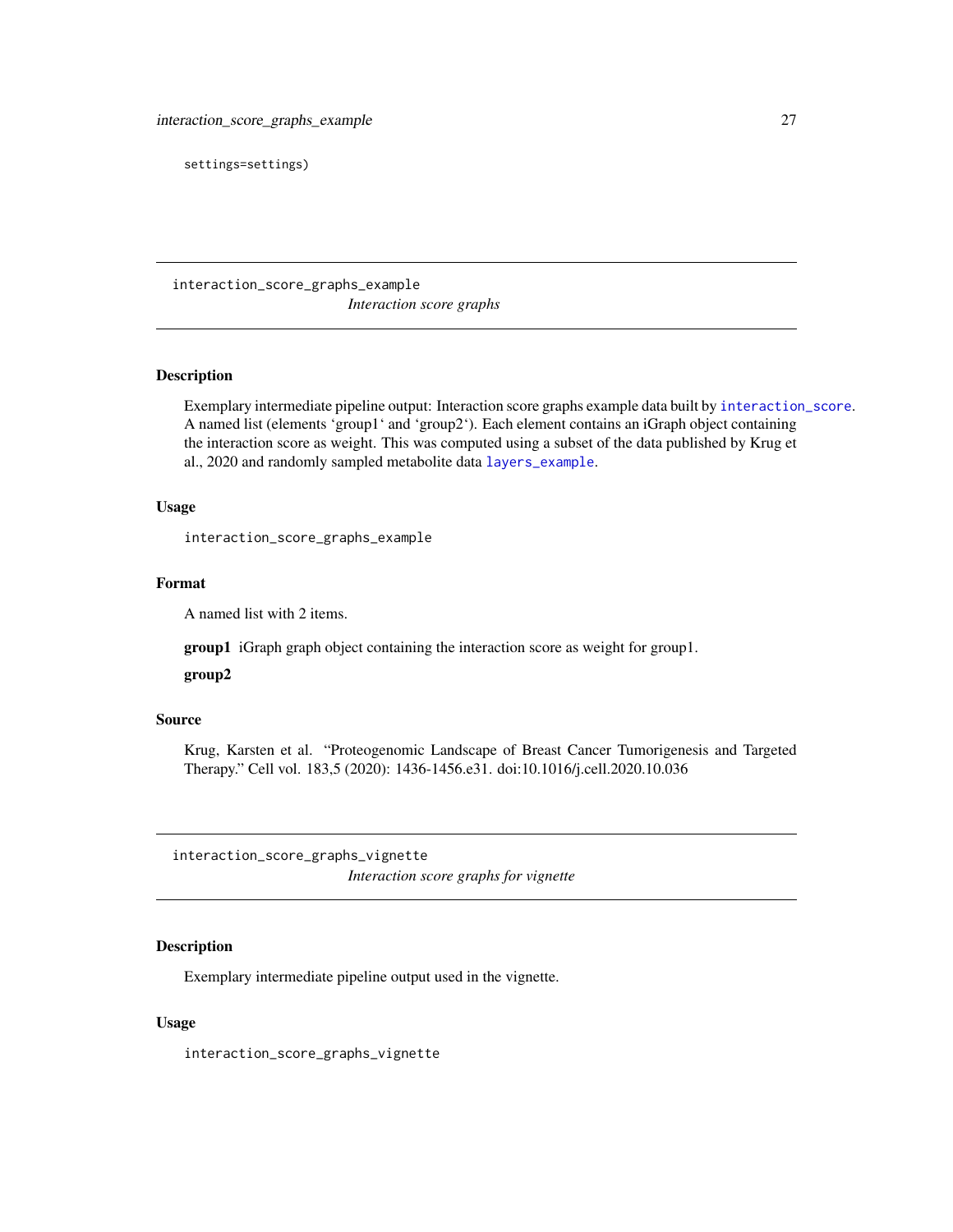<span id="page-26-0"></span>settings=settings)

interaction\_score\_graphs\_example *Interaction score graphs*

# Description

Exemplary intermediate pipeline output: Interaction score graphs example data built by [interaction\\_score](#page-25-1). A named list (elements 'group1' and 'group2'). Each element contains an iGraph object containing the interaction score as weight. This was computed using a subset of the data published by Krug et al., 2020 and randomly sampled metabolite data [layers\\_example](#page-28-1).

# Usage

interaction\_score\_graphs\_example

#### Format

A named list with 2 items.

group1 iGraph graph object containing the interaction score as weight for group1.

#### group2

# Source

Krug, Karsten et al. "Proteogenomic Landscape of Breast Cancer Tumorigenesis and Targeted Therapy." Cell vol. 183,5 (2020): 1436-1456.e31. doi:10.1016/j.cell.2020.10.036

interaction\_score\_graphs\_vignette *Interaction score graphs for vignette*

# Description

Exemplary intermediate pipeline output used in the vignette.

# Usage

interaction\_score\_graphs\_vignette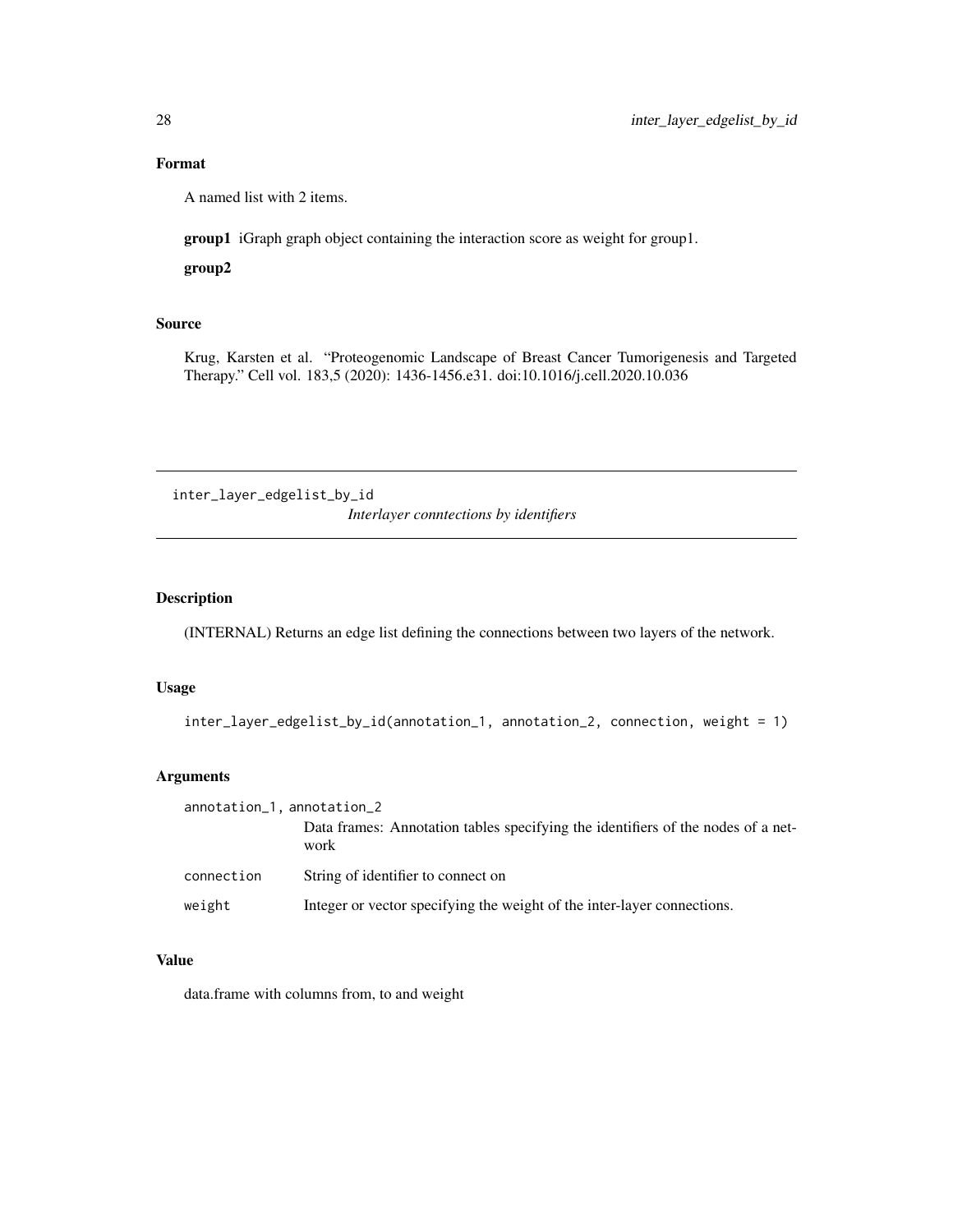# <span id="page-27-0"></span>Format

A named list with 2 items.

group1 iGraph graph object containing the interaction score as weight for group1.

group2

# Source

Krug, Karsten et al. "Proteogenomic Landscape of Breast Cancer Tumorigenesis and Targeted Therapy." Cell vol. 183,5 (2020): 1436-1456.e31. doi:10.1016/j.cell.2020.10.036

inter\_layer\_edgelist\_by\_id *Interlayer conntections by identifiers*

# Description

(INTERNAL) Returns an edge list defining the connections between two layers of the network.

# Usage

```
inter_layer_edgelist_by_id(annotation_1, annotation_2, connection, weight = 1)
```
# Arguments

| annotation_1, annotation_2 |                                                                                          |
|----------------------------|------------------------------------------------------------------------------------------|
|                            | Data frames: Annotation tables specifying the identifiers of the nodes of a net-<br>work |
| connection                 | String of identifier to connect on                                                       |
| weight                     | Integer or vector specifying the weight of the inter-layer connections.                  |

# Value

data.frame with columns from, to and weight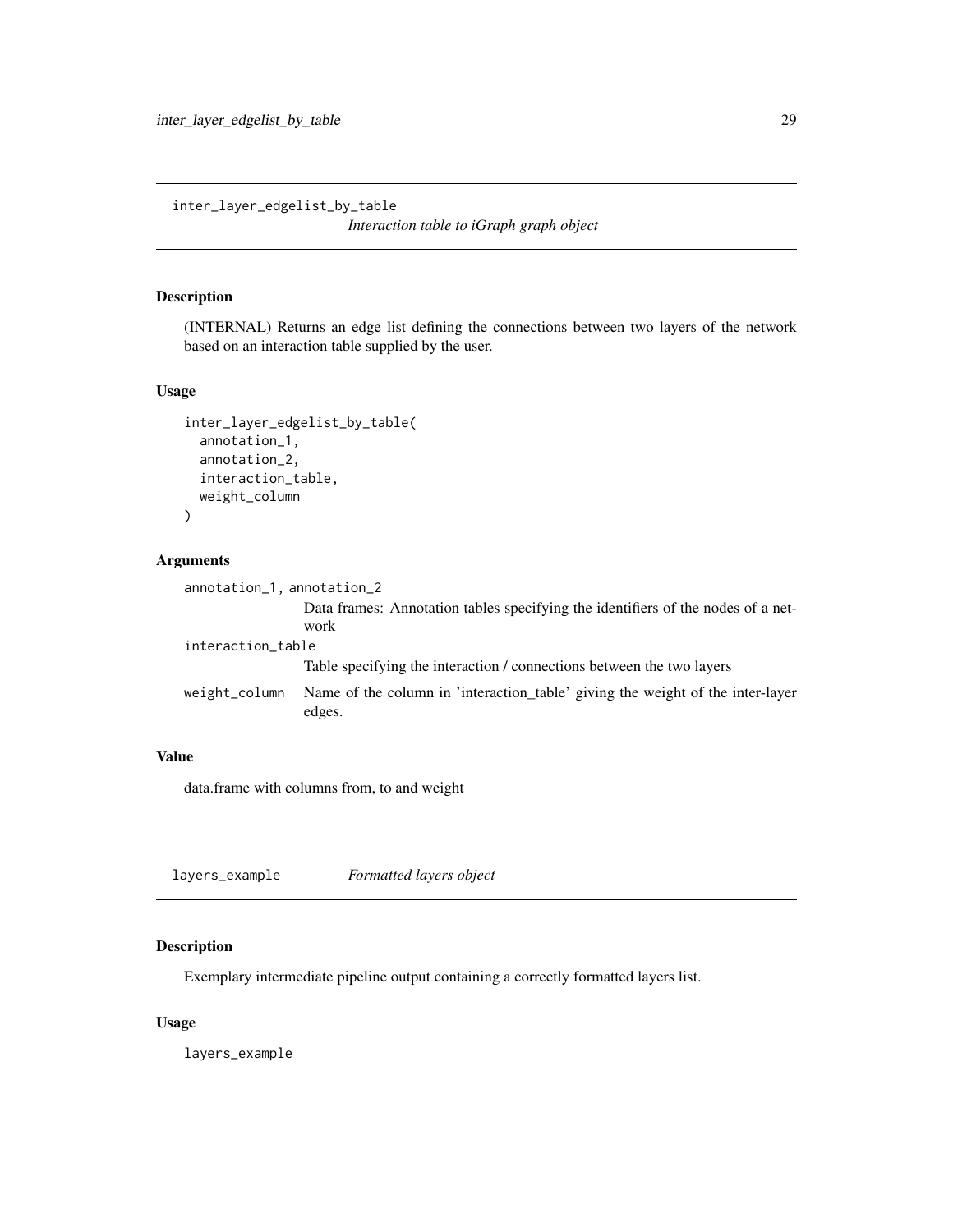<span id="page-28-0"></span>inter\_layer\_edgelist\_by\_table

*Interaction table to iGraph graph object*

# Description

(INTERNAL) Returns an edge list defining the connections between two layers of the network based on an interaction table supplied by the user.

# Usage

```
inter_layer_edgelist_by_table(
  annotation_1,
  annotation_2,
  interaction_table,
  weight_column
\mathcal{E}
```
# Arguments

| annotation_1, annotation_2 |                                                                                          |  |
|----------------------------|------------------------------------------------------------------------------------------|--|
|                            | Data frames: Annotation tables specifying the identifiers of the nodes of a net-<br>work |  |
| interaction_table          |                                                                                          |  |
|                            | Table specifying the interaction / connections between the two layers                    |  |
| weight_column              | Name of the column in 'interaction_table' giving the weight of the inter-layer<br>edges. |  |

# Value

data.frame with columns from, to and weight

<span id="page-28-1"></span>

| layers_example | Formatted layers object |  |
|----------------|-------------------------|--|
|----------------|-------------------------|--|

# Description

Exemplary intermediate pipeline output containing a correctly formatted layers list.

#### Usage

layers\_example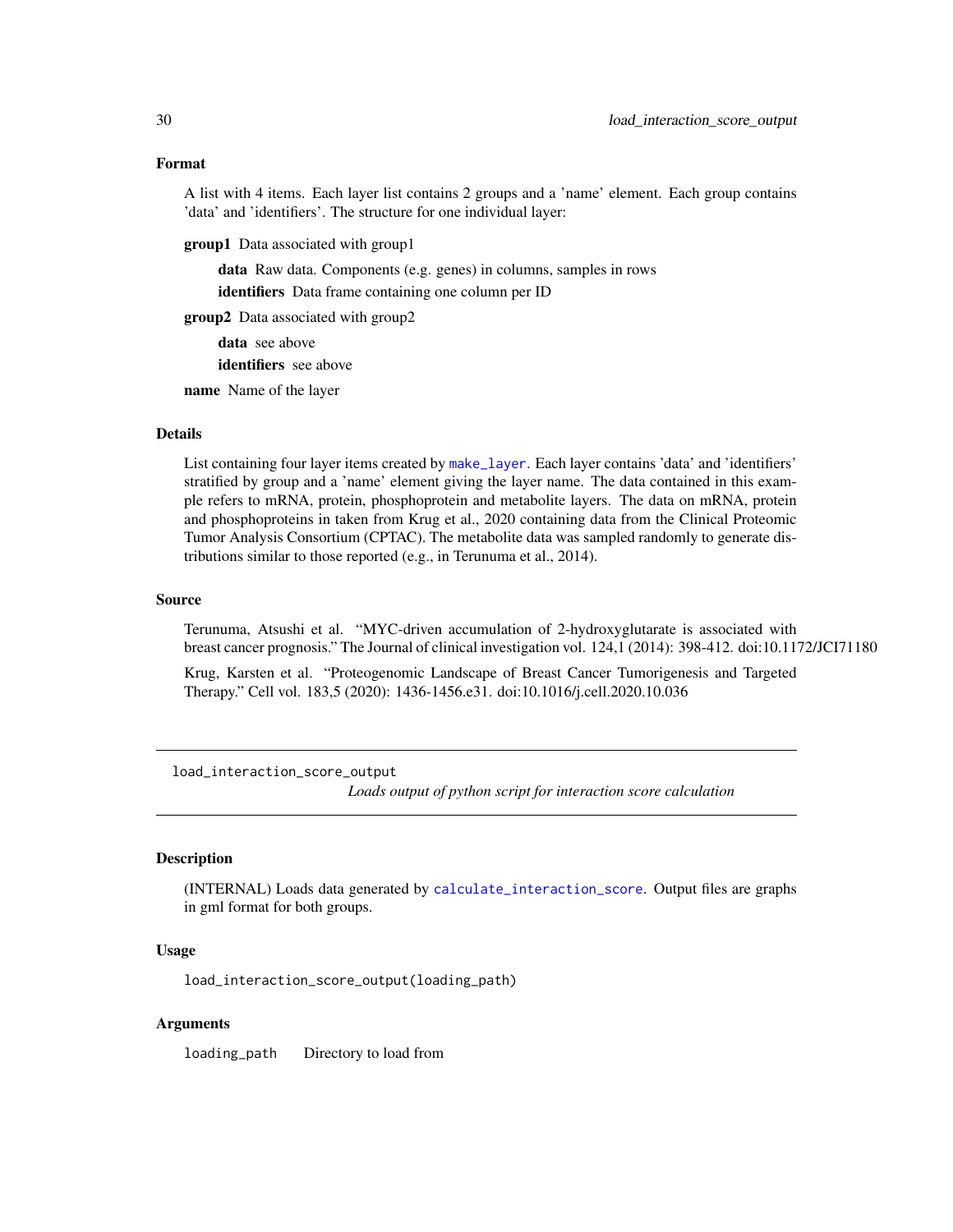<span id="page-29-0"></span>A list with 4 items. Each layer list contains 2 groups and a 'name' element. Each group contains 'data' and 'identifiers'. The structure for one individual layer:

**group1** Data associated with group1

data Raw data. Components (e.g. genes) in columns, samples in rows identifiers Data frame containing one column per ID

group2 Data associated with group2

data see above

identifiers see above

name Name of the layer

#### Details

List containing four layer items created by [make\\_layer](#page-32-1). Each layer contains 'data' and 'identifiers' stratified by group and a 'name' element giving the layer name. The data contained in this example refers to mRNA, protein, phosphoprotein and metabolite layers. The data on mRNA, protein and phosphoproteins in taken from Krug et al., 2020 containing data from the Clinical Proteomic Tumor Analysis Consortium (CPTAC). The metabolite data was sampled randomly to generate distributions similar to those reported (e.g., in Terunuma et al., 2014).

#### Source

Terunuma, Atsushi et al. "MYC-driven accumulation of 2-hydroxyglutarate is associated with breast cancer prognosis." The Journal of clinical investigation vol. 124,1 (2014): 398-412. doi:10.1172/JCI71180

Krug, Karsten et al. "Proteogenomic Landscape of Breast Cancer Tumorigenesis and Targeted Therapy." Cell vol. 183,5 (2020): 1436-1456.e31. doi:10.1016/j.cell.2020.10.036

load\_interaction\_score\_output

*Loads output of python script for interaction score calculation*

# Description

(INTERNAL) Loads data generated by [calculate\\_interaction\\_score](#page-2-1). Output files are graphs in gml format for both groups.

# Usage

load\_interaction\_score\_output(loading\_path)

#### Arguments

loading\_path Directory to load from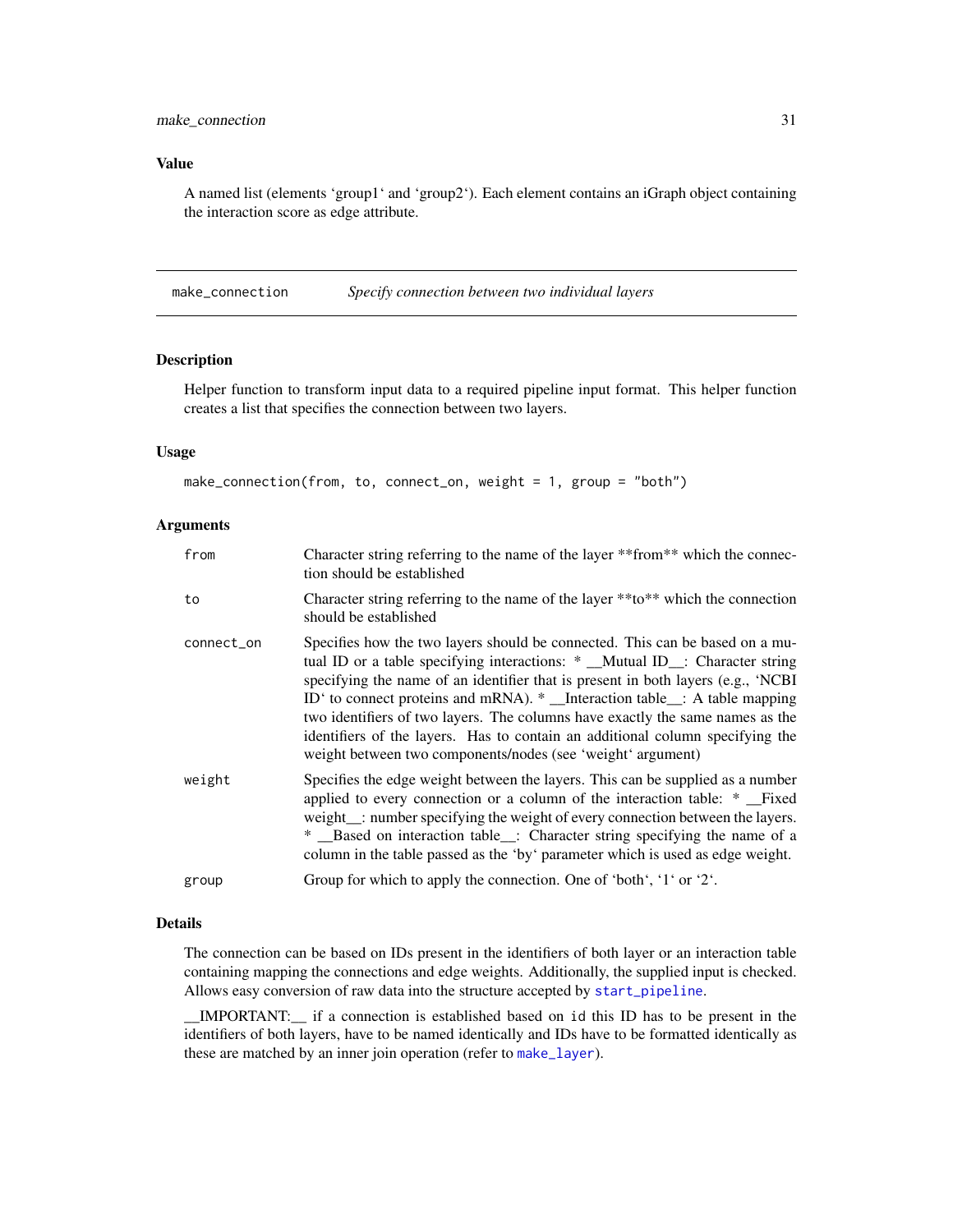# <span id="page-30-0"></span>Value

A named list (elements 'group1' and 'group2'). Each element contains an iGraph object containing the interaction score as edge attribute.

<span id="page-30-1"></span>make\_connection *Specify connection between two individual layers*

#### Description

Helper function to transform input data to a required pipeline input format. This helper function creates a list that specifies the connection between two layers.

# Usage

```
make_connection(from, to, connect_on, weight = 1, group = "both")
```
#### Arguments

| from       | Character string referring to the name of the layer *** from** which the connec-<br>tion should be established                                                                                                                                                                                                                                                                                                                                                                                                                                                 |
|------------|----------------------------------------------------------------------------------------------------------------------------------------------------------------------------------------------------------------------------------------------------------------------------------------------------------------------------------------------------------------------------------------------------------------------------------------------------------------------------------------------------------------------------------------------------------------|
| to         | Character string referring to the name of the layer **to** which the connection<br>should be established                                                                                                                                                                                                                                                                                                                                                                                                                                                       |
| connect_on | Specifies how the two layers should be connected. This can be based on a mu-<br>tual ID or a table specifying interactions: * _Mutual ID_: Character string<br>specifying the name of an identifier that is present in both layers (e.g., 'NCBI<br>ID' to connect proteins and mRNA). * _Interaction table__: A table mapping<br>two identifiers of two layers. The columns have exactly the same names as the<br>identifiers of the layers. Has to contain an additional column specifying the<br>weight between two components/nodes (see 'weight' argument) |
| weight     | Specifies the edge weight between the layers. This can be supplied as a number<br>applied to every connection or a column of the interaction table: *<br>weight _: number specifying the weight of every connection between the layers.<br>* _Based on interaction table_: Character string specifying the name of a<br>column in the table passed as the 'by' parameter which is used as edge weight.                                                                                                                                                         |
| group      | Group for which to apply the connection. One of 'both', '1' or '2'.                                                                                                                                                                                                                                                                                                                                                                                                                                                                                            |

# Details

The connection can be based on IDs present in the identifiers of both layer or an interaction table containing mapping the connections and edge weights. Additionally, the supplied input is checked. Allows easy conversion of raw data into the structure accepted by [start\\_pipeline](#page-44-1).

\_\_IMPORTANT:\_\_ if a connection is established based on id this ID has to be present in the identifiers of both layers, have to be named identically and IDs have to be formatted identically as these are matched by an inner join operation (refer to [make\\_layer](#page-32-1)).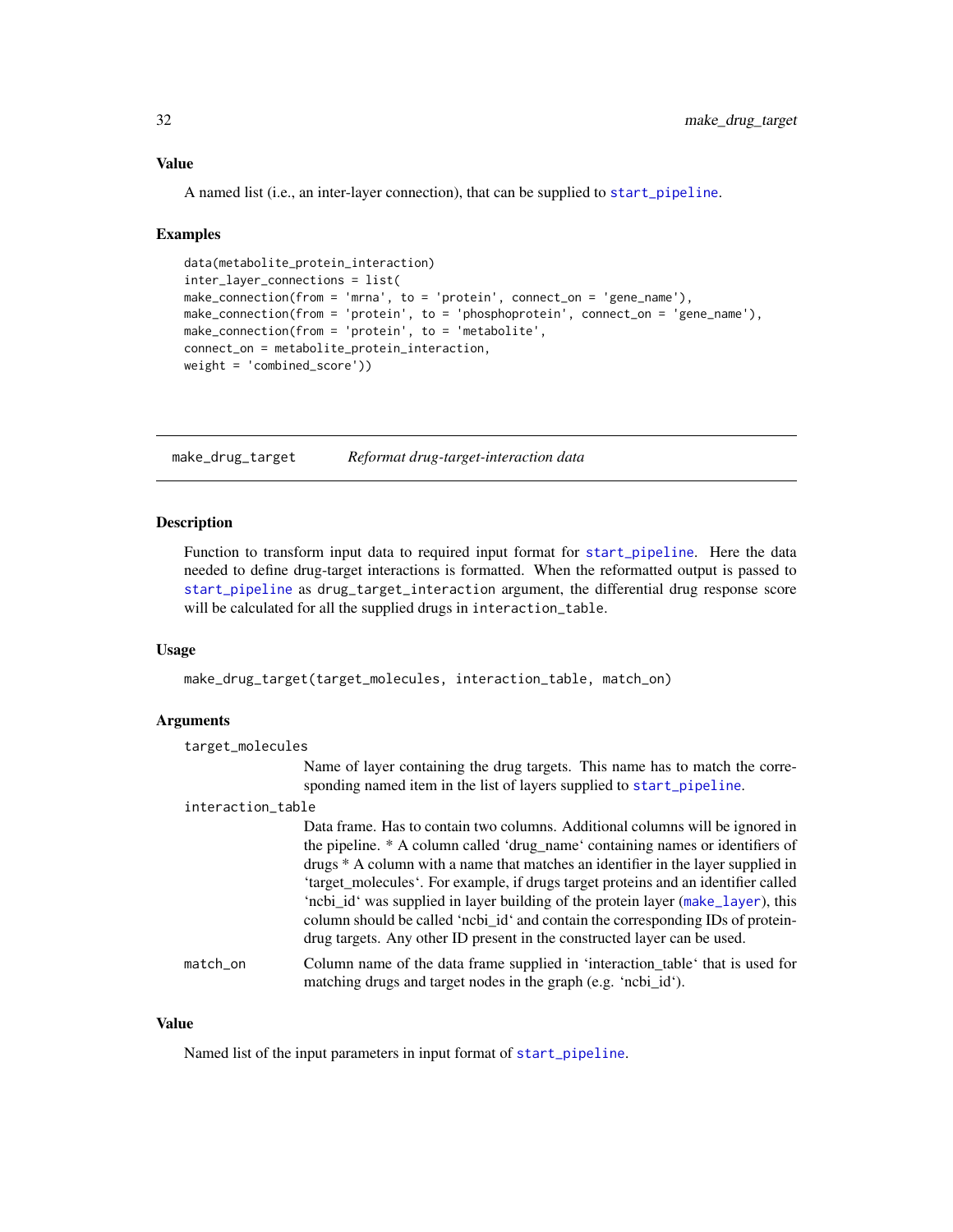#### <span id="page-31-0"></span>Value

A named list (i.e., an inter-layer connection), that can be supplied to [start\\_pipeline](#page-44-1).

#### Examples

```
data(metabolite_protein_interaction)
inter_layer_connections = list(
make_connection(from = 'mrna', to = 'protein', connect_on = 'gene_name'),
make_connection(from = 'protein', to = 'phosphoprotein', connect_on = 'gene_name'),
make_connection(from = 'protein', to = 'metabolite',
connect_on = metabolite_protein_interaction,
weight = 'combined_score'))
```
<span id="page-31-1"></span>make\_drug\_target *Reformat drug-target-interaction data*

# Description

Function to transform input data to required input format for [start\\_pipeline](#page-44-1). Here the data needed to define drug-target interactions is formatted. When the reformatted output is passed to [start\\_pipeline](#page-44-1) as drug\_target\_interaction argument, the differential drug response score will be calculated for all the supplied drugs in interaction\_table.

#### Usage

make\_drug\_target(target\_molecules, interaction\_table, match\_on)

#### Arguments

```
target_molecules
                  Name of layer containing the drug targets. This name has to match the corre-
                  sponding named item in the list of layers supplied to start_pipeline.
interaction_table
                  Data frame. Has to contain two columns. Additional columns will be ignored in
```
the pipeline. \* A column called 'drug\_name' containing names or identifiers of drugs \* A column with a name that matches an identifier in the layer supplied in

'target molecules'. For example, if drugs target proteins and an identifier called 'ncbi\_id' was supplied in layer building of the protein layer ([make\\_layer](#page-32-1)), this column should be called 'ncbi\_id' and contain the corresponding IDs of proteindrug targets. Any other ID present in the constructed layer can be used. match\_on Column name of the data frame supplied in 'interaction\_table' that is used for matching drugs and target nodes in the graph (e.g. 'ncbi\_id').

#### Value

Named list of the input parameters in input format of [start\\_pipeline](#page-44-1).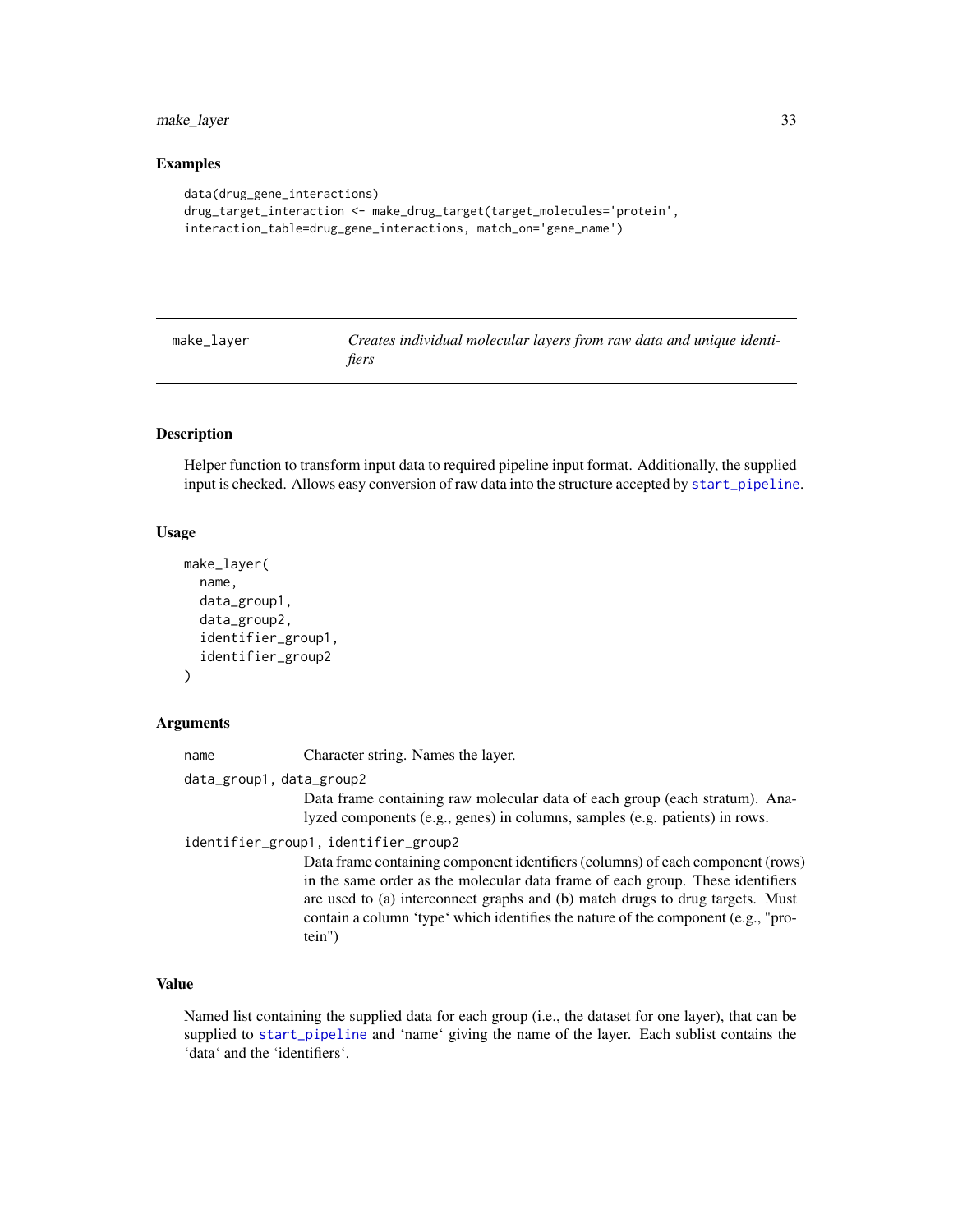# <span id="page-32-0"></span>make\_layer 33

# Examples

```
data(drug_gene_interactions)
drug_target_interaction <- make_drug_target(target_molecules='protein',
interaction_table=drug_gene_interactions, match_on='gene_name')
```
<span id="page-32-1"></span>

| make | 1aver |
|------|-------|
|      |       |

Creates individual molecular layers from raw data and unique identi*fiers*

# Description

Helper function to transform input data to required pipeline input format. Additionally, the supplied input is checked. Allows easy conversion of raw data into the structure accepted by [start\\_pipeline](#page-44-1).

#### Usage

```
make_layer(
  name,
  data_group1,
  data_group2,
  identifier_group1,
  identifier_group2
)
```
#### Arguments

name Character string. Names the layer.

data\_group1, data\_group2

Data frame containing raw molecular data of each group (each stratum). Analyzed components (e.g., genes) in columns, samples (e.g. patients) in rows.

identifier\_group1, identifier\_group2

Data frame containing component identifiers (columns) of each component (rows) in the same order as the molecular data frame of each group. These identifiers are used to (a) interconnect graphs and (b) match drugs to drug targets. Must contain a column 'type' which identifies the nature of the component (e.g., "protein")

# Value

Named list containing the supplied data for each group (i.e., the dataset for one layer), that can be supplied to [start\\_pipeline](#page-44-1) and 'name' giving the name of the layer. Each sublist contains the 'data' and the 'identifiers'.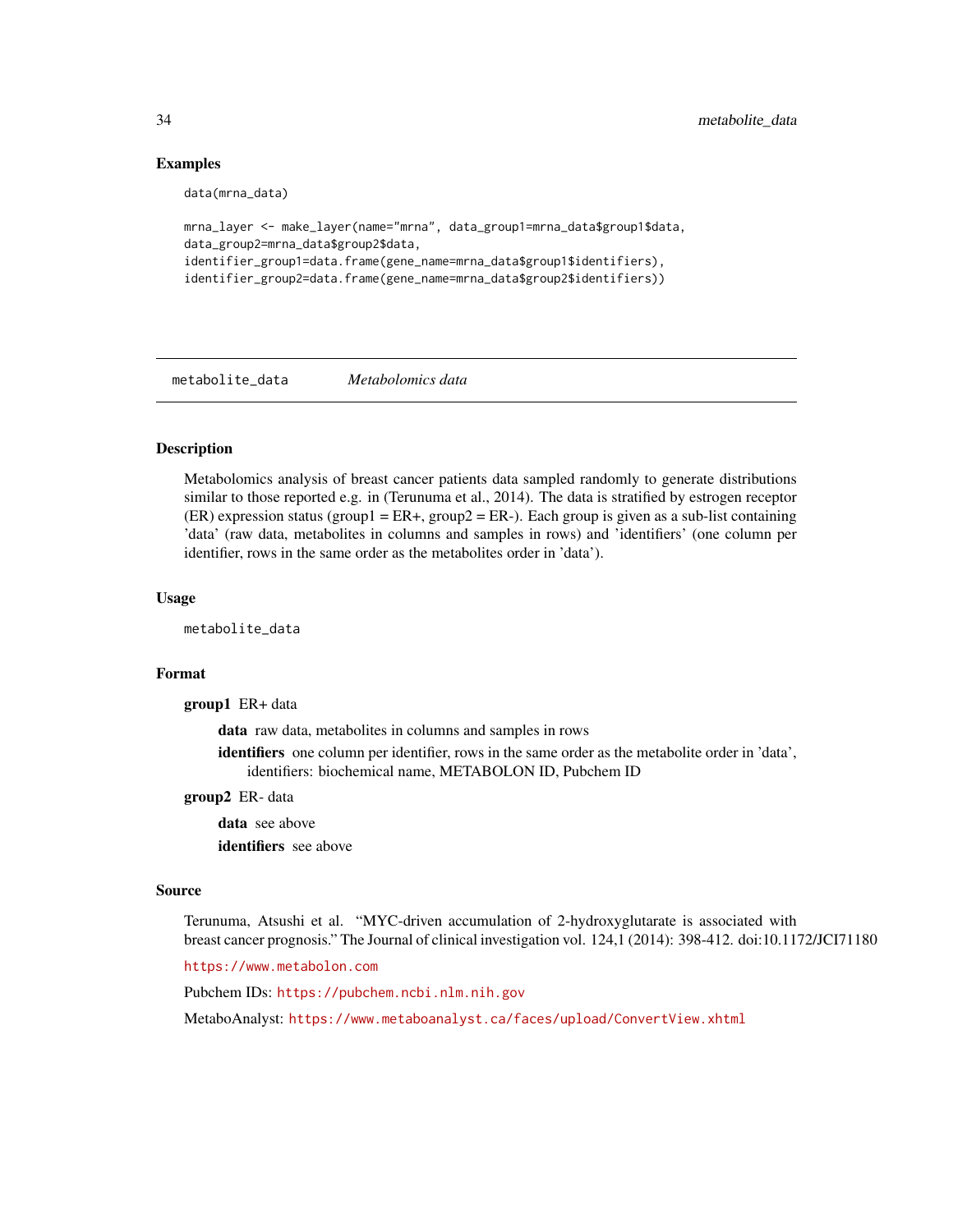# Examples

```
data(mrna_data)
```

```
mrna_layer <- make_layer(name="mrna", data_group1=mrna_data$group1$data,
data_group2=mrna_data$group2$data,
identifier_group1=data.frame(gene_name=mrna_data$group1$identifiers),
identifier_group2=data.frame(gene_name=mrna_data$group2$identifiers))
```
metabolite\_data *Metabolomics data*

# Description

Metabolomics analysis of breast cancer patients data sampled randomly to generate distributions similar to those reported e.g. in (Terunuma et al., 2014). The data is stratified by estrogen receptor  $(ER)$  expression status (group1 =  $ER+$ , group2 =  $ER-$ ). Each group is given as a sub-list containing 'data' (raw data, metabolites in columns and samples in rows) and 'identifiers' (one column per identifier, rows in the same order as the metabolites order in 'data').

#### Usage

metabolite\_data

#### Format

group1 ER+ data

data raw data, metabolites in columns and samples in rows

identifiers one column per identifier, rows in the same order as the metabolite order in 'data', identifiers: biochemical name, METABOLON ID, Pubchem ID

#### group2 ER- data

data see above identifiers see above

#### Source

Terunuma, Atsushi et al. "MYC-driven accumulation of 2-hydroxyglutarate is associated with breast cancer prognosis." The Journal of clinical investigation vol. 124,1 (2014): 398-412. doi:10.1172/JCI71180

<https://www.metabolon.com>

Pubchem IDs: <https://pubchem.ncbi.nlm.nih.gov>

MetaboAnalyst: <https://www.metaboanalyst.ca/faces/upload/ConvertView.xhtml>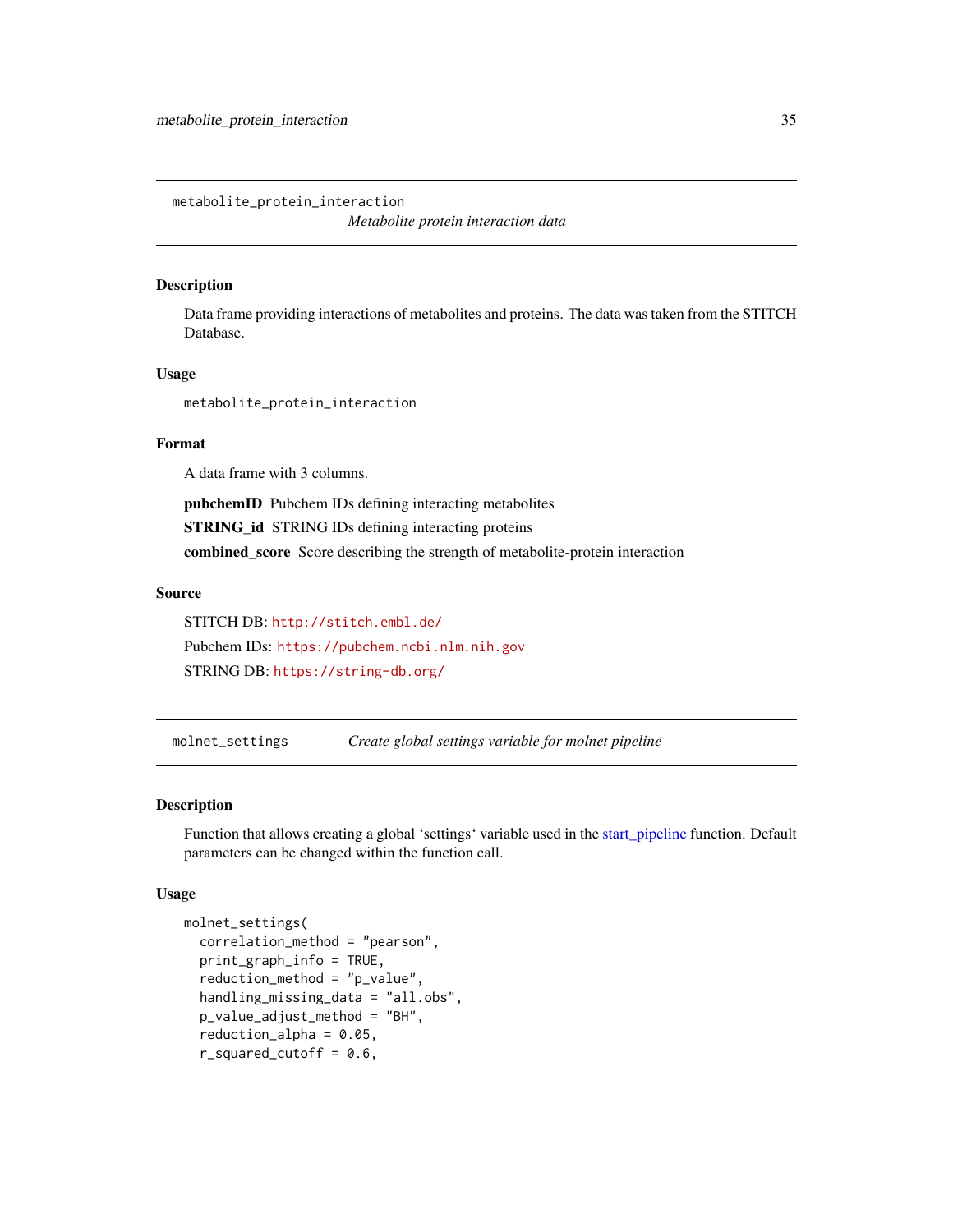<span id="page-34-0"></span>metabolite\_protein\_interaction *Metabolite protein interaction data*

#### Description

Data frame providing interactions of metabolites and proteins. The data was taken from the STITCH Database.

#### Usage

metabolite\_protein\_interaction

# Format

A data frame with 3 columns.

pubchemID Pubchem IDs defining interacting metabolites STRING\_id STRING IDs defining interacting proteins combined\_score Score describing the strength of metabolite-protein interaction

#### Source

STITCH DB: <http://stitch.embl.de/> Pubchem IDs: <https://pubchem.ncbi.nlm.nih.gov> STRING DB: <https://string-db.org/>

<span id="page-34-1"></span>molnet\_settings *Create global settings variable for molnet pipeline*

# Description

Function that allows creating a global 'settings' variable used in the [start\\_pipeline](#page-44-1) function. Default parameters can be changed within the function call.

# Usage

```
molnet_settings(
  correlation_method = "pearson",
 print_graph_info = TRUE,
  reduction_method = "p_value",
  handling_missing_data = "all.obs",
  p_value_adjust_method = "BH",
  reduction_alpha = 0.05,
  r_squared_cutoff = 0.6,
```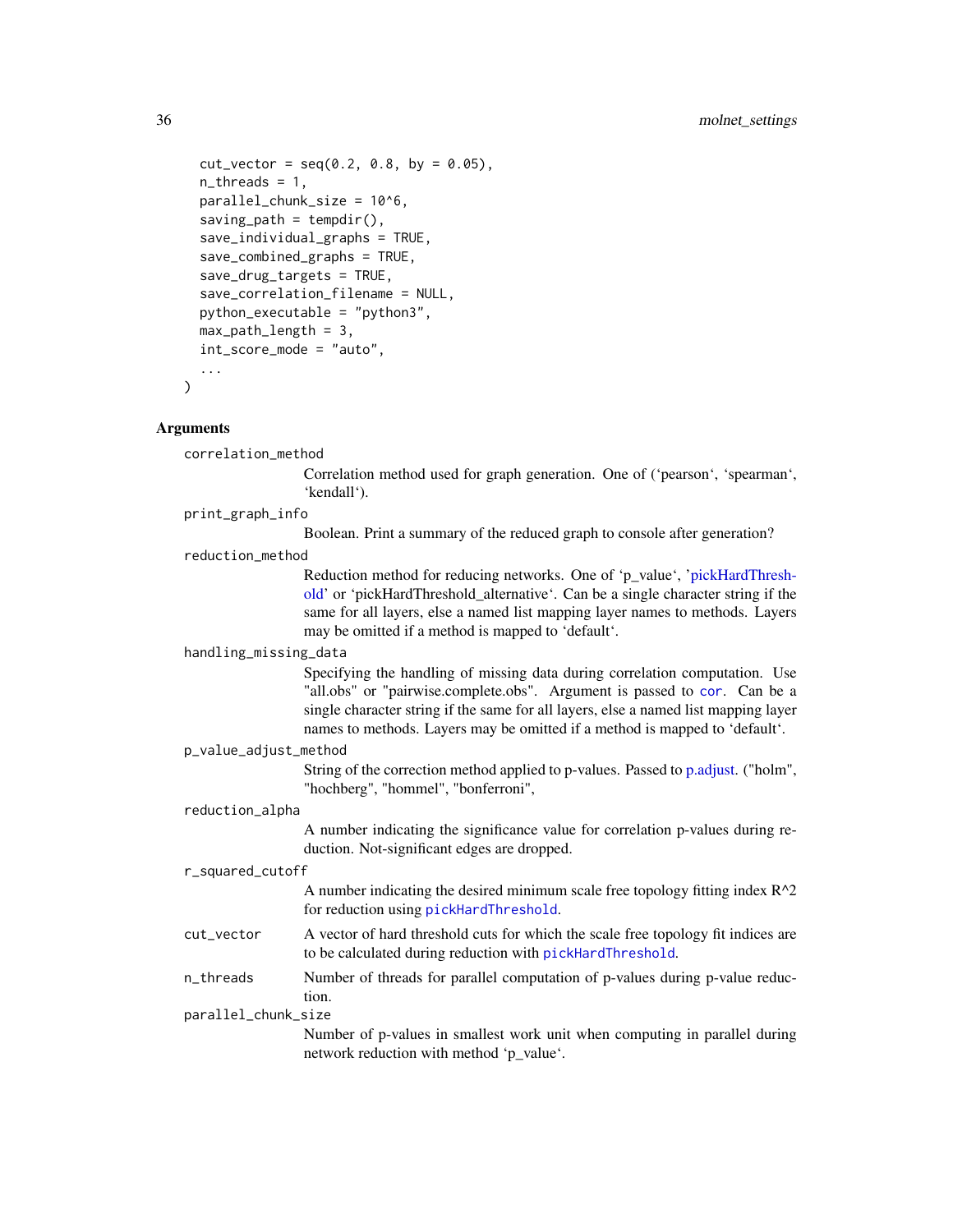```
cut\_vector = seq(0.2, 0.8, by = 0.05),
 n_{th}reads = 1,
 parallel_chunk_size = 10^6,
  saving\_path = tempdir(),
  save\_individual\_graphs = TRUE,save_combined_graphs = TRUE,
  save_drug_targets = TRUE,
  save_correlation_filename = NULL,
 python_executable = "python3",
 max_path_length = 3,
  int_score_mode = "auto",
  ...
)
```
#### **Arguments**

correlation\_method

Correlation method used for graph generation. One of ('pearson', 'spearman', 'kendall').

```
print_graph_info
```
Boolean. Print a summary of the reduced graph to console after generation?

```
reduction_method
```
Reduction method for reducing networks. One of 'p\_value', ['pickHardThresh](#page-0-0)[old'](#page-0-0) or 'pickHardThreshold\_alternative'. Can be a single character string if the same for all layers, else a named list mapping layer names to methods. Layers may be omitted if a method is mapped to 'default'.

# handling\_missing\_data

Specifying the handling of missing data during correlation computation. Use "all.obs" or "pairwise.complete.obs". Argument is passed to [cor](#page-0-0). Can be a single character string if the same for all layers, else a named list mapping layer names to methods. Layers may be omitted if a method is mapped to 'default'.

#### p\_value\_adjust\_method

String of the correction method applied to p-values. Passed to [p.adjust.](#page-0-0) ("holm", "hochberg", "hommel", "bonferroni",

# reduction\_alpha

A number indicating the significance value for correlation p-values during reduction. Not-significant edges are dropped.

#### r\_squared\_cutoff

A number indicating the desired minimum scale free topology fitting index  $R^2$ for reduction using [pickHardThreshold](#page-0-0).

- cut\_vector A vector of hard threshold cuts for which the scale free topology fit indices are to be calculated during reduction with [pickHardThreshold](#page-0-0).
- n\_threads Number of threads for parallel computation of p-values during p-value reduction.

#### parallel\_chunk\_size

Number of p-values in smallest work unit when computing in parallel during network reduction with method 'p\_value'.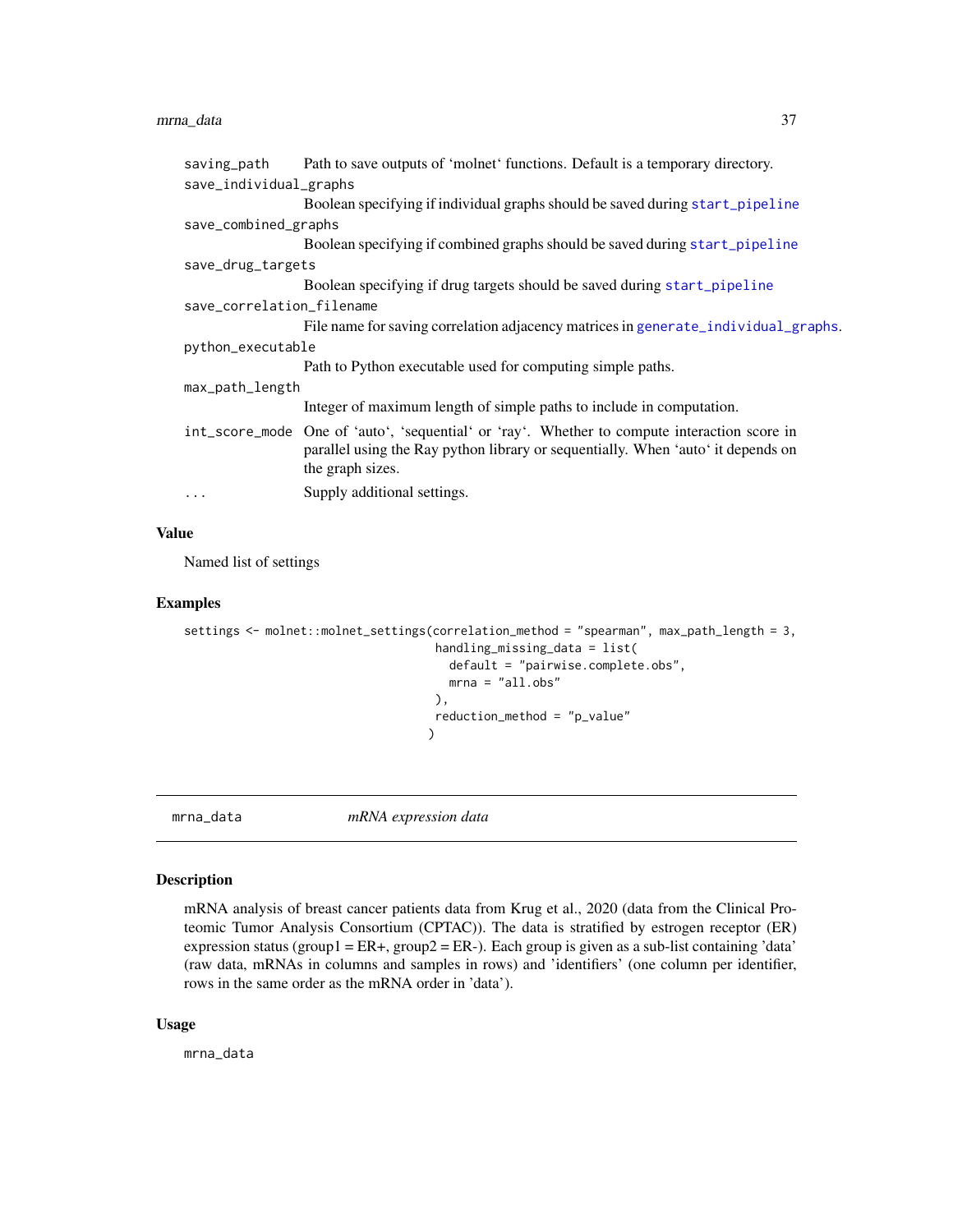# <span id="page-36-0"></span>mrna\_data 37

| saving_path               | Path to save outputs of 'molnet' functions. Default is a temporary directory.                                                                                                                        |
|---------------------------|------------------------------------------------------------------------------------------------------------------------------------------------------------------------------------------------------|
| save_individual_graphs    |                                                                                                                                                                                                      |
|                           | Boolean specifying if individual graphs should be saved during start_pipeline                                                                                                                        |
| save_combined_graphs      |                                                                                                                                                                                                      |
|                           | Boolean specifying if combined graphs should be saved during start_pipeline                                                                                                                          |
| save_drug_targets         |                                                                                                                                                                                                      |
|                           | Boolean specifying if drug targets should be saved during start_pipeline                                                                                                                             |
| save_correlation_filename |                                                                                                                                                                                                      |
|                           | File name for saving correlation adjacency matrices in generate_individual_graphs.                                                                                                                   |
| python_executable         |                                                                                                                                                                                                      |
|                           | Path to Python executable used for computing simple paths.                                                                                                                                           |
| max_path_length           |                                                                                                                                                                                                      |
|                           | Integer of maximum length of simple paths to include in computation.                                                                                                                                 |
|                           | int_score_mode One of 'auto', 'sequential' or 'ray'. Whether to compute interaction score in<br>parallel using the Ray python library or sequentially. When 'auto' it depends on<br>the graph sizes. |
| $\cdots$                  | Supply additional settings.                                                                                                                                                                          |
|                           |                                                                                                                                                                                                      |

# Value

Named list of settings

#### Examples

```
settings <- molnet::molnet_settings(correlation_method = "spearman", max_path_length = 3,
                                      handling_missing_data = list(
                                        default = "pairwise.complete.obs",
                                        mrna = "all.obs"),
                                      reduction_method = "p_value"
                                     \mathcal{L}
```
mrna\_data *mRNA expression data*

# Description

mRNA analysis of breast cancer patients data from Krug et al., 2020 (data from the Clinical Proteomic Tumor Analysis Consortium (CPTAC)). The data is stratified by estrogen receptor (ER) expression status (group1 = ER+, group2 = ER-). Each group is given as a sub-list containing 'data' (raw data, mRNAs in columns and samples in rows) and 'identifiers' (one column per identifier, rows in the same order as the mRNA order in 'data').

#### Usage

mrna\_data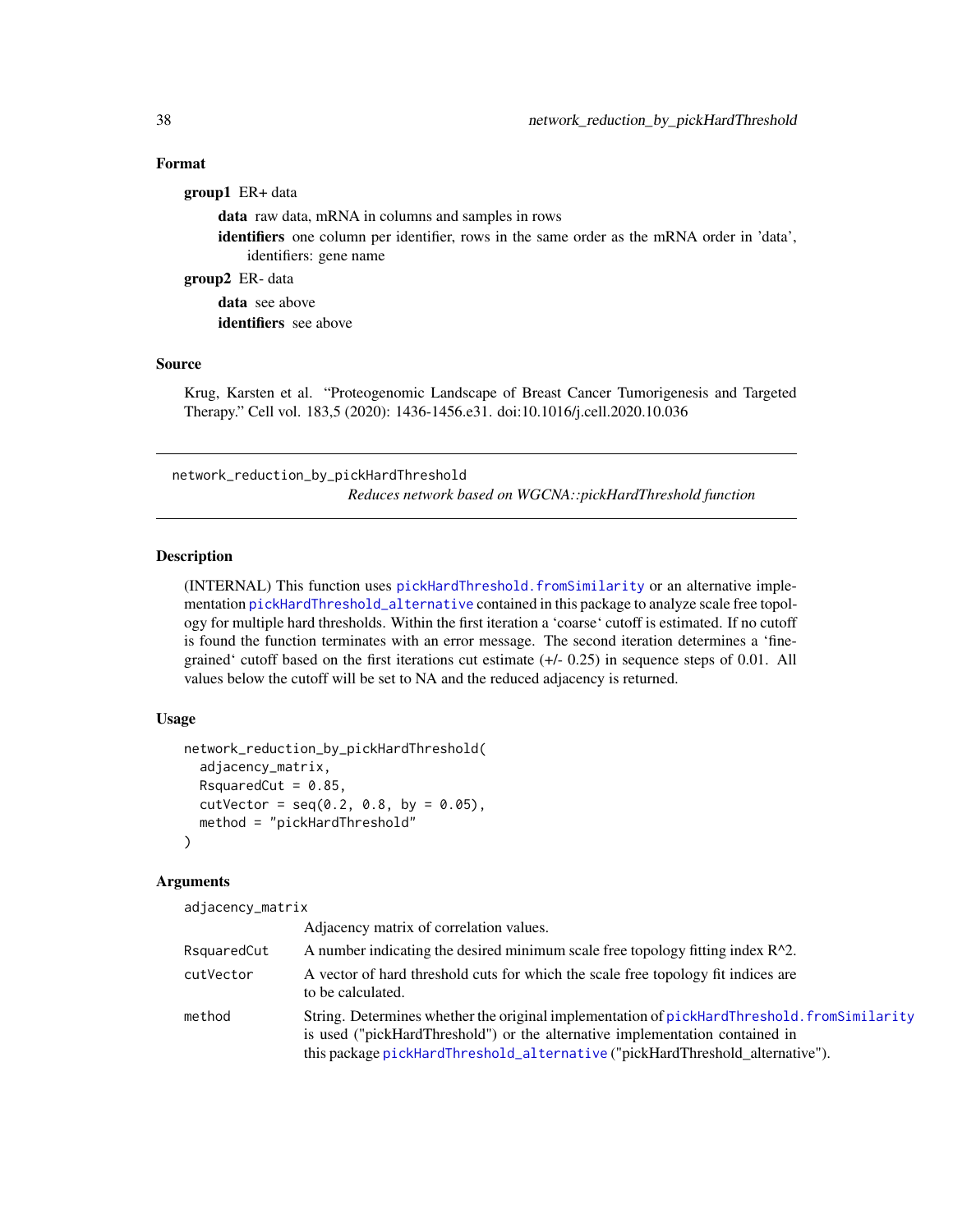# Format

| <b>group1</b> ER+ data                                                                            |
|---------------------------------------------------------------------------------------------------|
| <b>data</b> raw data, mRNA in columns and samples in rows                                         |
| <b>identifiers</b> one column per identifier, rows in the same order as the mRNA order in 'data', |
| identifiers: gene name                                                                            |
| <b>group2</b> ER- data                                                                            |
| <b>data</b> see above                                                                             |
| <b>identifiers</b> see above                                                                      |
|                                                                                                   |

#### Source

Krug, Karsten et al. "Proteogenomic Landscape of Breast Cancer Tumorigenesis and Targeted Therapy." Cell vol. 183,5 (2020): 1436-1456.e31. doi:10.1016/j.cell.2020.10.036

<span id="page-37-1"></span>network\_reduction\_by\_pickHardThreshold *Reduces network based on WGCNA::pickHardThreshold function*

# Description

(INTERNAL) This function uses [pickHardThreshold.fromSimilarity](#page-0-0) or an alternative implementation [pickHardThreshold\\_alternative](#page-40-1) contained in this package to analyze scale free topology for multiple hard thresholds. Within the first iteration a 'coarse' cutoff is estimated. If no cutoff is found the function terminates with an error message. The second iteration determines a 'finegrained' cutoff based on the first iterations cut estimate (+/- 0.25) in sequence steps of 0.01. All values below the cutoff will be set to NA and the reduced adjacency is returned.

# Usage

```
network_reduction_by_pickHardThreshold(
  adjacency_matrix,
  RsquaredCut = 0.85,
  cutVector = seq(0.2, 0.8, by = 0.05),
  method = "pickHardThreshold"
)
```
# Arguments

adjacency\_matrix

|             | Adjacency matrix of correlation values.                                                                                                                                                                                                                      |
|-------------|--------------------------------------------------------------------------------------------------------------------------------------------------------------------------------------------------------------------------------------------------------------|
| RsquaredCut | A number indicating the desired minimum scale free topology fitting index $R^2$ .                                                                                                                                                                            |
| cutVector   | A vector of hard threshold cuts for which the scale free topology fit indices are<br>to be calculated.                                                                                                                                                       |
| method      | String. Determines whether the original implementation of pickHardThreshold. fromSimilarity<br>is used ("pickHardThreshold") or the alternative implementation contained in<br>this package pickHardThreshold_alternative ("pickHardThreshold_alternative"). |

<span id="page-37-0"></span>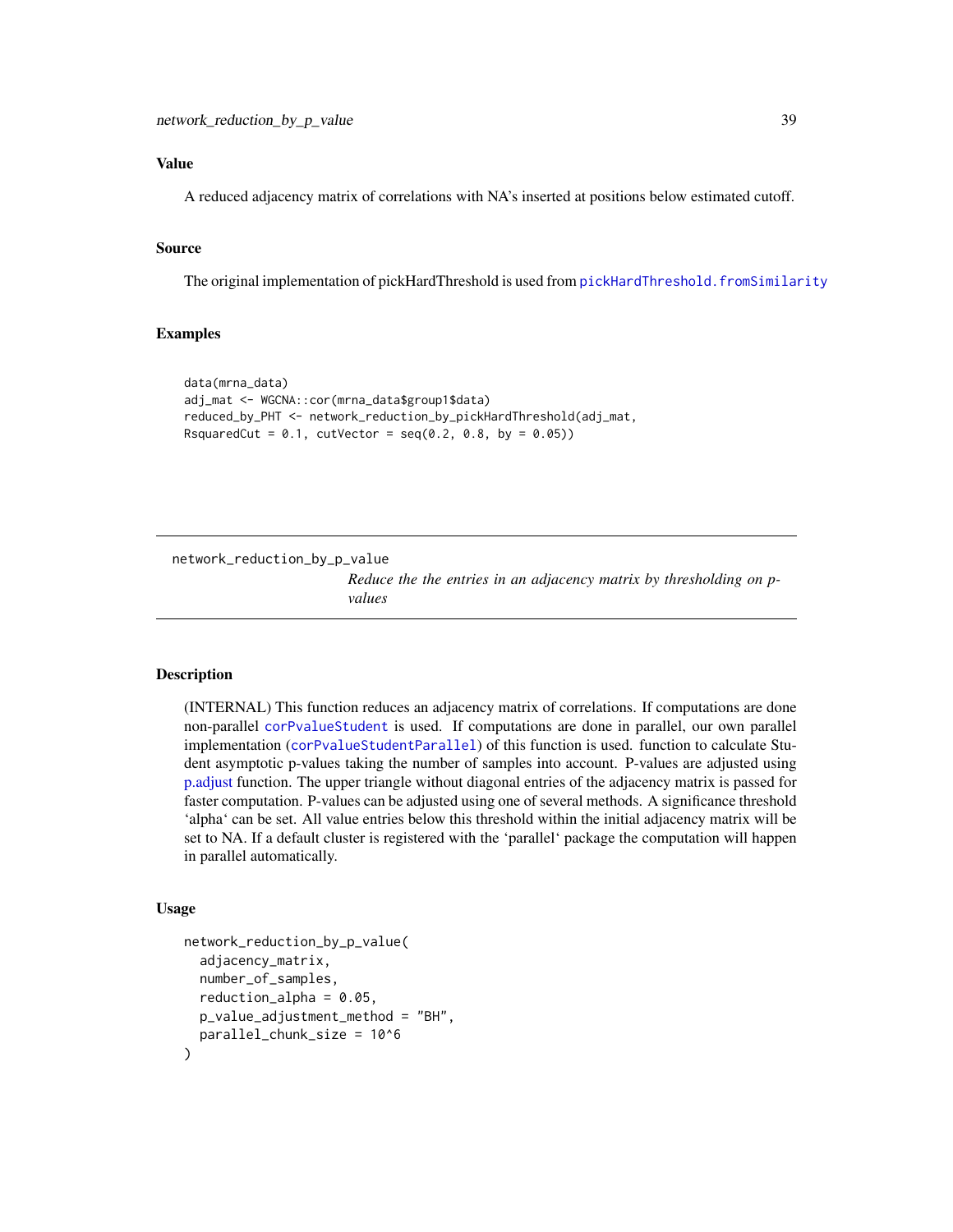# <span id="page-38-0"></span>Value

A reduced adjacency matrix of correlations with NA's inserted at positions below estimated cutoff.

# Source

The original implementation of pickHardThreshold is used from [pickHardThreshold.fromSimilarity](#page-0-0)

# Examples

```
data(mrna_data)
adj_mat <- WGCNA::cor(mrna_data$group1$data)
reduced_by_PHT <- network_reduction_by_pickHardThreshold(adj_mat,
RsquaredCut = 0.1, cutVector = seq(0.2, 0.8, by = 0.05))
```
<span id="page-38-1"></span>network\_reduction\_by\_p\_value

*Reduce the the entries in an adjacency matrix by thresholding on pvalues*

# **Description**

(INTERNAL) This function reduces an adjacency matrix of correlations. If computations are done non-parallel [corPvalueStudent](#page-0-0) is used. If computations are done in parallel, our own parallel implementation ([corPvalueStudentParallel](#page-10-2)) of this function is used. function to calculate Student asymptotic p-values taking the number of samples into account. P-values are adjusted using [p.adjust](#page-0-0) function. The upper triangle without diagonal entries of the adjacency matrix is passed for faster computation. P-values can be adjusted using one of several methods. A significance threshold 'alpha' can be set. All value entries below this threshold within the initial adjacency matrix will be set to NA. If a default cluster is registered with the 'parallel' package the computation will happen in parallel automatically.

#### Usage

```
network_reduction_by_p_value(
  adjacency_matrix,
  number_of_samples,
  reduction_alpha = 0.05,
 p_value_adjustment_method = "BH",
  parallel_chunk_size = 10^6
)
```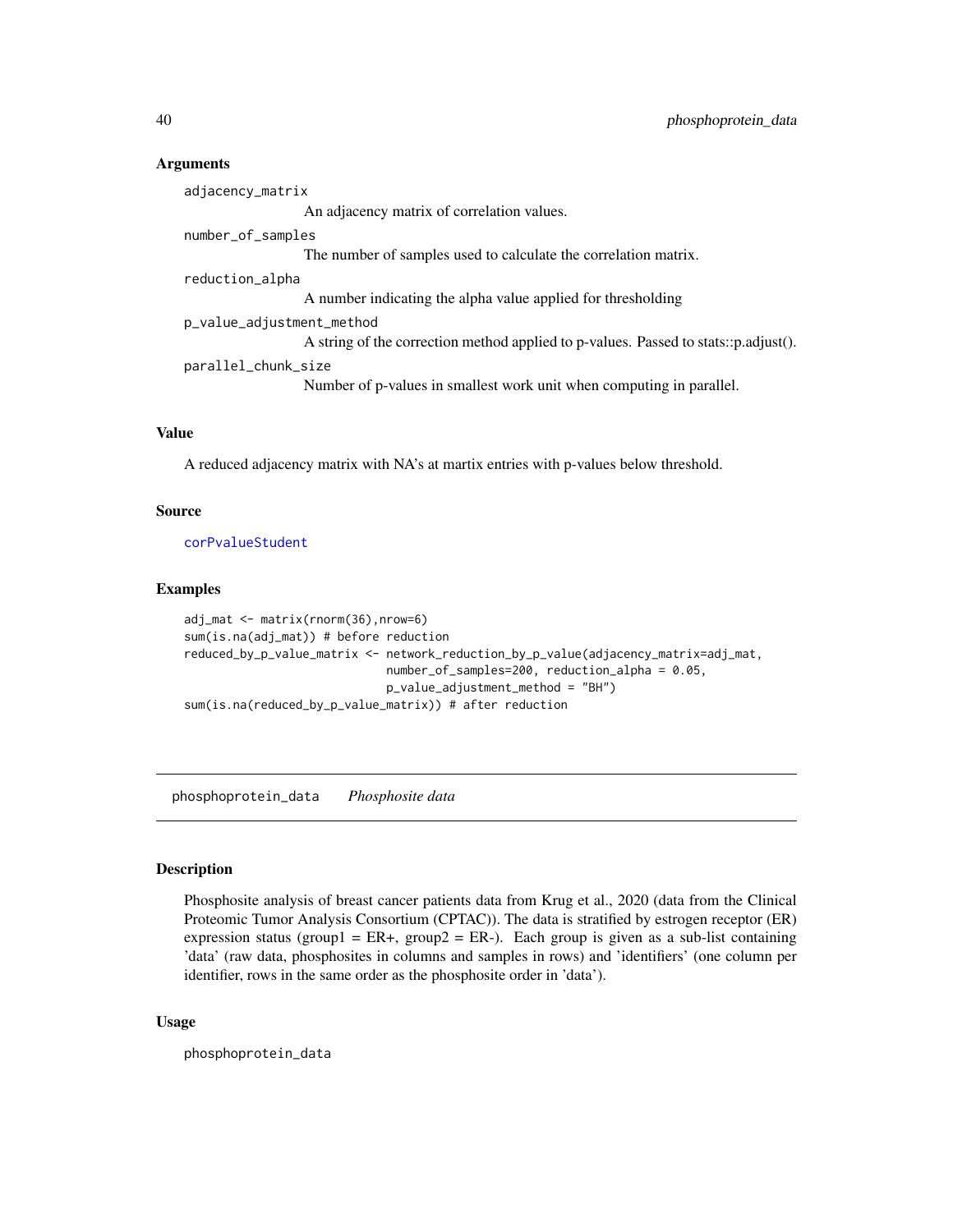# Arguments

adjacency\_matrix An adjacency matrix of correlation values. number\_of\_samples The number of samples used to calculate the correlation matrix. reduction\_alpha A number indicating the alpha value applied for thresholding p\_value\_adjustment\_method A string of the correction method applied to p-values. Passed to stats::p.adjust(). parallel\_chunk\_size Number of p-values in smallest work unit when computing in parallel.

# Value

A reduced adjacency matrix with NA's at martix entries with p-values below threshold.

# Source

[corPvalueStudent](#page-0-0)

# Examples

```
adj_mat <- matrix(rnorm(36),nrow=6)
sum(is.na(adj_mat)) # before reduction
reduced_by_p_value_matrix <- network_reduction_by_p_value(adjacency_matrix=adj_mat,
                             number_of_samples=200, reduction_alpha = 0.05,
                             p_value_adjustment_method = "BH")
sum(is.na(reduced_by_p_value_matrix)) # after reduction
```
phosphoprotein\_data *Phosphosite data*

# Description

Phosphosite analysis of breast cancer patients data from Krug et al., 2020 (data from the Clinical Proteomic Tumor Analysis Consortium (CPTAC)). The data is stratified by estrogen receptor (ER) expression status (group1 = ER+, group2 = ER-). Each group is given as a sub-list containing 'data' (raw data, phosphosites in columns and samples in rows) and 'identifiers' (one column per identifier, rows in the same order as the phosphosite order in 'data').

#### Usage

phosphoprotein\_data

<span id="page-39-0"></span>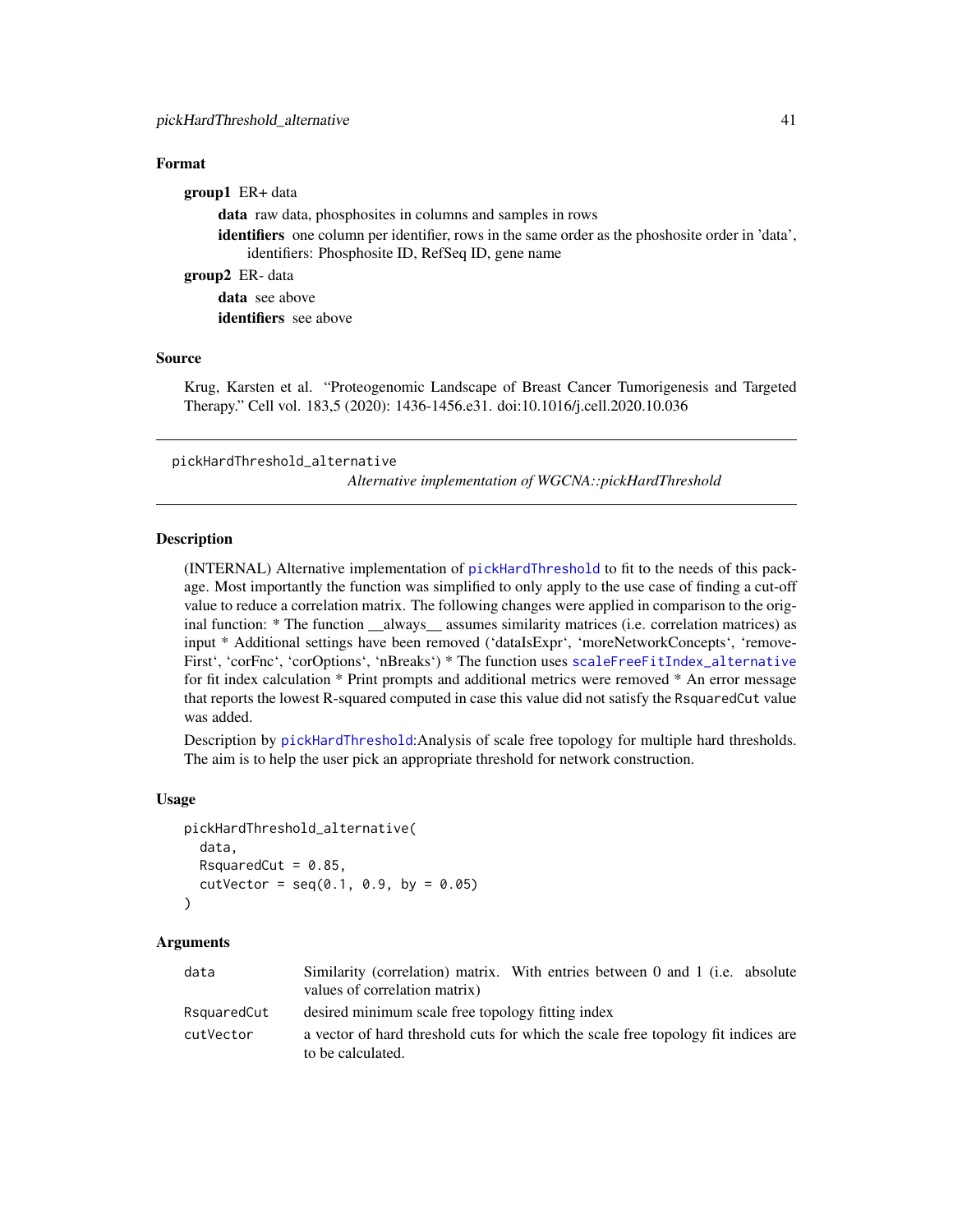# <span id="page-40-0"></span>Format

group1 ER+ data data raw data, phosphosites in columns and samples in rows identifiers one column per identifier, rows in the same order as the phoshosite order in 'data', identifiers: Phosphosite ID, RefSeq ID, gene name

group2 ER- data

data see above identifiers see above

# Source

Krug, Karsten et al. "Proteogenomic Landscape of Breast Cancer Tumorigenesis and Targeted Therapy." Cell vol. 183,5 (2020): 1436-1456.e31. doi:10.1016/j.cell.2020.10.036

<span id="page-40-1"></span>pickHardThreshold\_alternative *Alternative implementation of WGCNA::pickHardThreshold*

# Description

(INTERNAL) Alternative implementation of [pickHardThreshold](#page-0-0) to fit to the needs of this package. Most importantly the function was simplified to only apply to the use case of finding a cut-off value to reduce a correlation matrix. The following changes were applied in comparison to the original function: \* The function \_\_always\_\_ assumes similarity matrices (i.e. correlation matrices) as input \* Additional settings have been removed ('dataIsExpr', 'moreNetworkConcepts', 'remove-First', 'corFnc', 'corOptions', 'nBreaks') \* The function uses [scaleFreeFitIndex\\_alternative](#page-43-1) for fit index calculation \* Print prompts and additional metrics were removed \* An error message that reports the lowest R-squared computed in case this value did not satisfy the RsquaredCut value was added.

Description by [pickHardThreshold](#page-0-0):Analysis of scale free topology for multiple hard thresholds. The aim is to help the user pick an appropriate threshold for network construction.

# Usage

```
pickHardThreshold_alternative(
  data,
  RsquaredCut = 0.85,
  cutVector = seq(0.1, 0.9, by = 0.05))
```
# Arguments

| data        | Similarity (correlation) matrix. With entries between 0 and 1 (i.e. absolute<br>values of correlation matrix) |
|-------------|---------------------------------------------------------------------------------------------------------------|
| RsquaredCut | desired minimum scale free topology fitting index                                                             |
| cutVector   | a vector of hard threshold cuts for which the scale free topology fit indices are<br>to be calculated.        |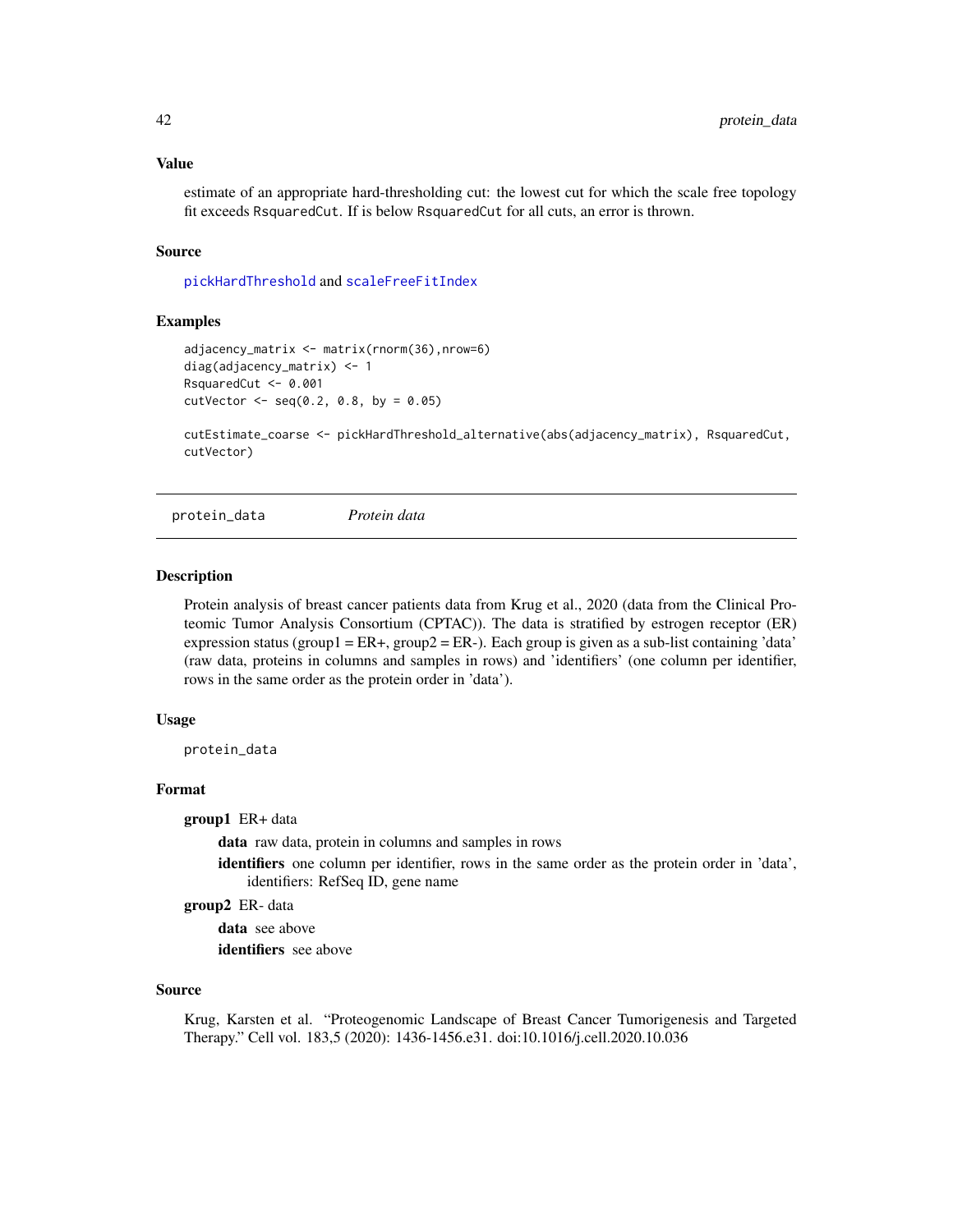#### <span id="page-41-0"></span>Value

estimate of an appropriate hard-thresholding cut: the lowest cut for which the scale free topology fit exceeds RsquaredCut. If is below RsquaredCut for all cuts, an error is thrown.

#### Source

[pickHardThreshold](#page-0-0) and [scaleFreeFitIndex](#page-0-0)

# Examples

```
adjacency_matrix <- matrix(rnorm(36),nrow=6)
diag(adjacency_matrix) <- 1
RsquaredCut <- 0.001
cutVector < -seq(0.2, 0.8, by = 0.05)
```
cutEstimate\_coarse <- pickHardThreshold\_alternative(abs(adjacency\_matrix), RsquaredCut, cutVector)

protein\_data *Protein data*

#### **Description**

Protein analysis of breast cancer patients data from Krug et al., 2020 (data from the Clinical Proteomic Tumor Analysis Consortium (CPTAC)). The data is stratified by estrogen receptor (ER) expression status (group1 = ER+, group2 = ER-). Each group is given as a sub-list containing 'data' (raw data, proteins in columns and samples in rows) and 'identifiers' (one column per identifier, rows in the same order as the protein order in 'data').

# Usage

protein\_data

# Format

group1 ER+ data

data raw data, protein in columns and samples in rows

identifiers one column per identifier, rows in the same order as the protein order in 'data', identifiers: RefSeq ID, gene name

group2 ER- data

data see above identifiers see above

#### Source

Krug, Karsten et al. "Proteogenomic Landscape of Breast Cancer Tumorigenesis and Targeted Therapy." Cell vol. 183,5 (2020): 1436-1456.e31. doi:10.1016/j.cell.2020.10.036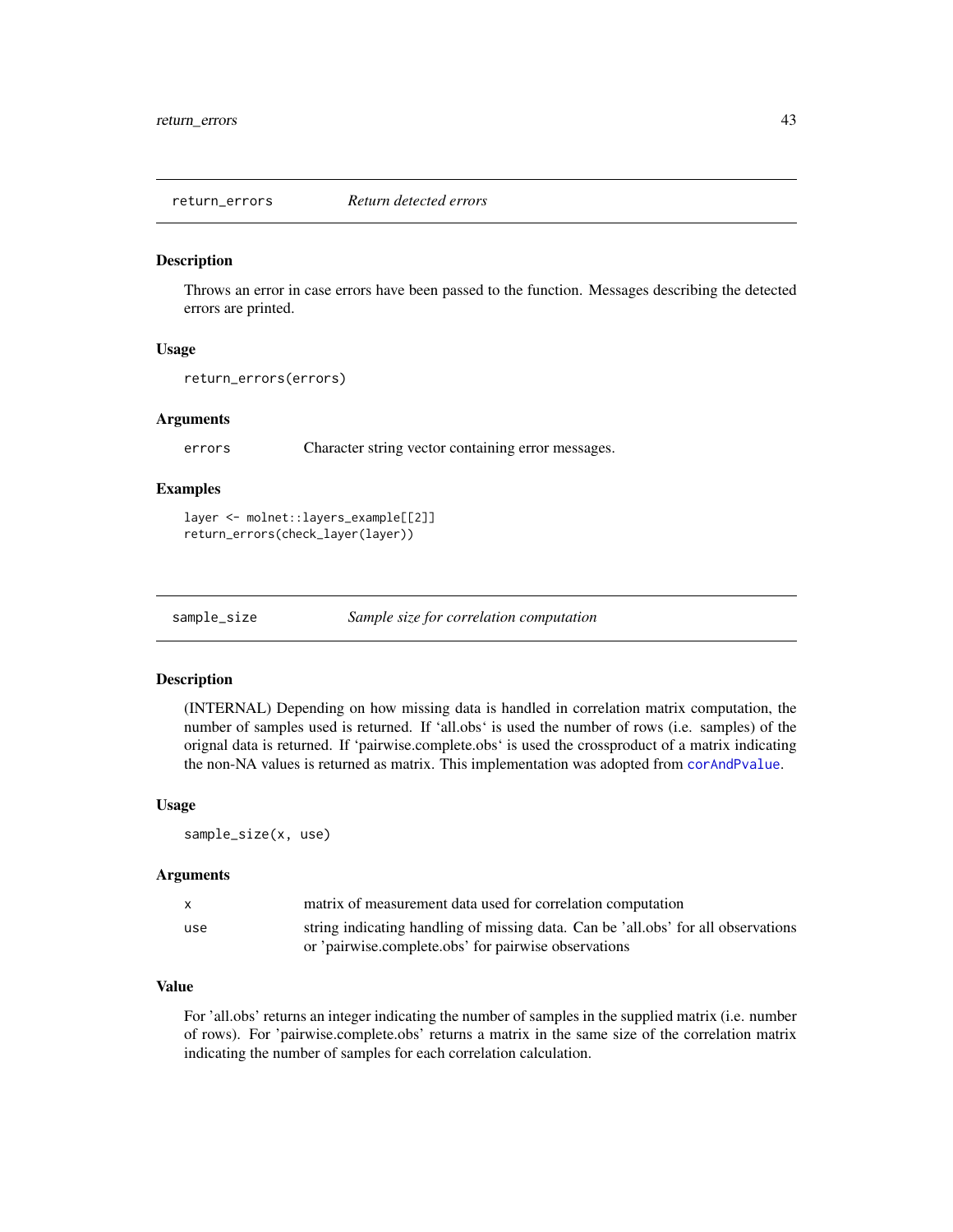<span id="page-42-0"></span>

#### Description

Throws an error in case errors have been passed to the function. Messages describing the detected errors are printed.

# Usage

```
return_errors(errors)
```
# Arguments

errors Character string vector containing error messages.

# Examples

```
layer <- molnet::layers_example[[2]]
return_errors(check_layer(layer))
```
sample\_size *Sample size for correlation computation*

#### Description

(INTERNAL) Depending on how missing data is handled in correlation matrix computation, the number of samples used is returned. If 'all.obs' is used the number of rows (i.e. samples) of the orignal data is returned. If 'pairwise.complete.obs' is used the crossproduct of a matrix indicating the non-NA values is returned as matrix. This implementation was adopted from [corAndPvalue](#page-0-0).

#### Usage

sample\_size(x, use)

#### Arguments

| $\mathsf{x}$ | matrix of measurement data used for correlation computation                       |
|--------------|-----------------------------------------------------------------------------------|
| use          | string indicating handling of missing data. Can be 'all.obs' for all observations |
|              | or 'pairwise.complete.obs' for pairwise observations                              |

# Value

For 'all.obs' returns an integer indicating the number of samples in the supplied matrix (i.e. number of rows). For 'pairwise.complete.obs' returns a matrix in the same size of the correlation matrix indicating the number of samples for each correlation calculation.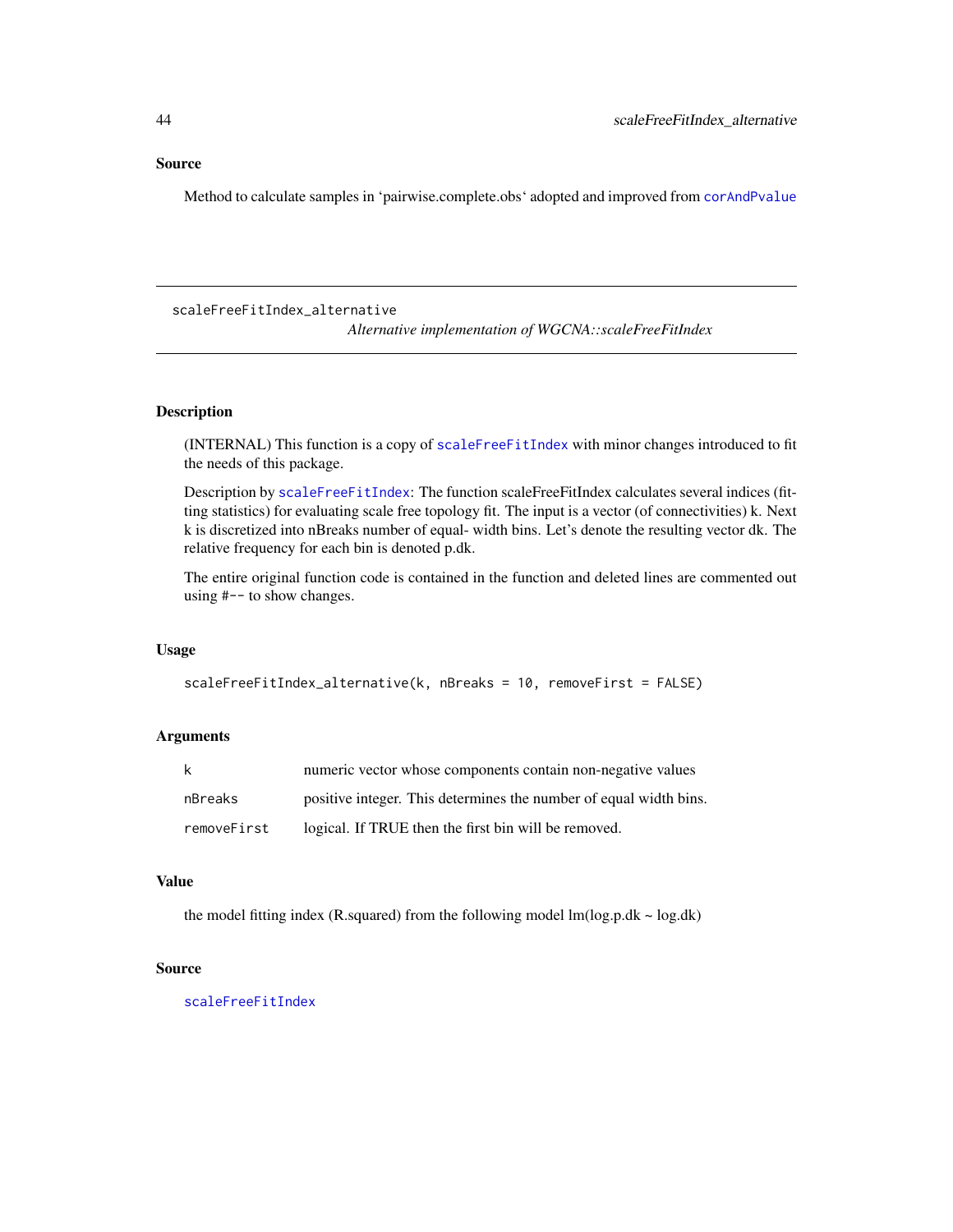#### <span id="page-43-0"></span>Source

Method to calculate samples in 'pairwise.complete.obs' adopted and improved from [corAndPvalue](#page-0-0)

<span id="page-43-1"></span>scaleFreeFitIndex\_alternative

*Alternative implementation of WGCNA::scaleFreeFitIndex*

# Description

(INTERNAL) This function is a copy of [scaleFreeFitIndex](#page-0-0) with minor changes introduced to fit the needs of this package.

Description by [scaleFreeFitIndex](#page-0-0): The function scaleFreeFitIndex calculates several indices (fitting statistics) for evaluating scale free topology fit. The input is a vector (of connectivities) k. Next k is discretized into nBreaks number of equal- width bins. Let's denote the resulting vector dk. The relative frequency for each bin is denoted p.dk.

The entire original function code is contained in the function and deleted lines are commented out using #-- to show changes.

# Usage

```
scaleFreeFitIndex_alternative(k, nBreaks = 10, removeFirst = FALSE)
```
# Arguments

| k           | numeric vector whose components contain non-negative values       |
|-------------|-------------------------------------------------------------------|
| nBreaks     | positive integer. This determines the number of equal width bins. |
| removeFirst | logical. If TRUE then the first bin will be removed.              |

# Value

the model fitting index (R.squared) from the following model  $lm(log.p.dk \sim log.dk)$ 

# Source

[scaleFreeFitIndex](#page-0-0)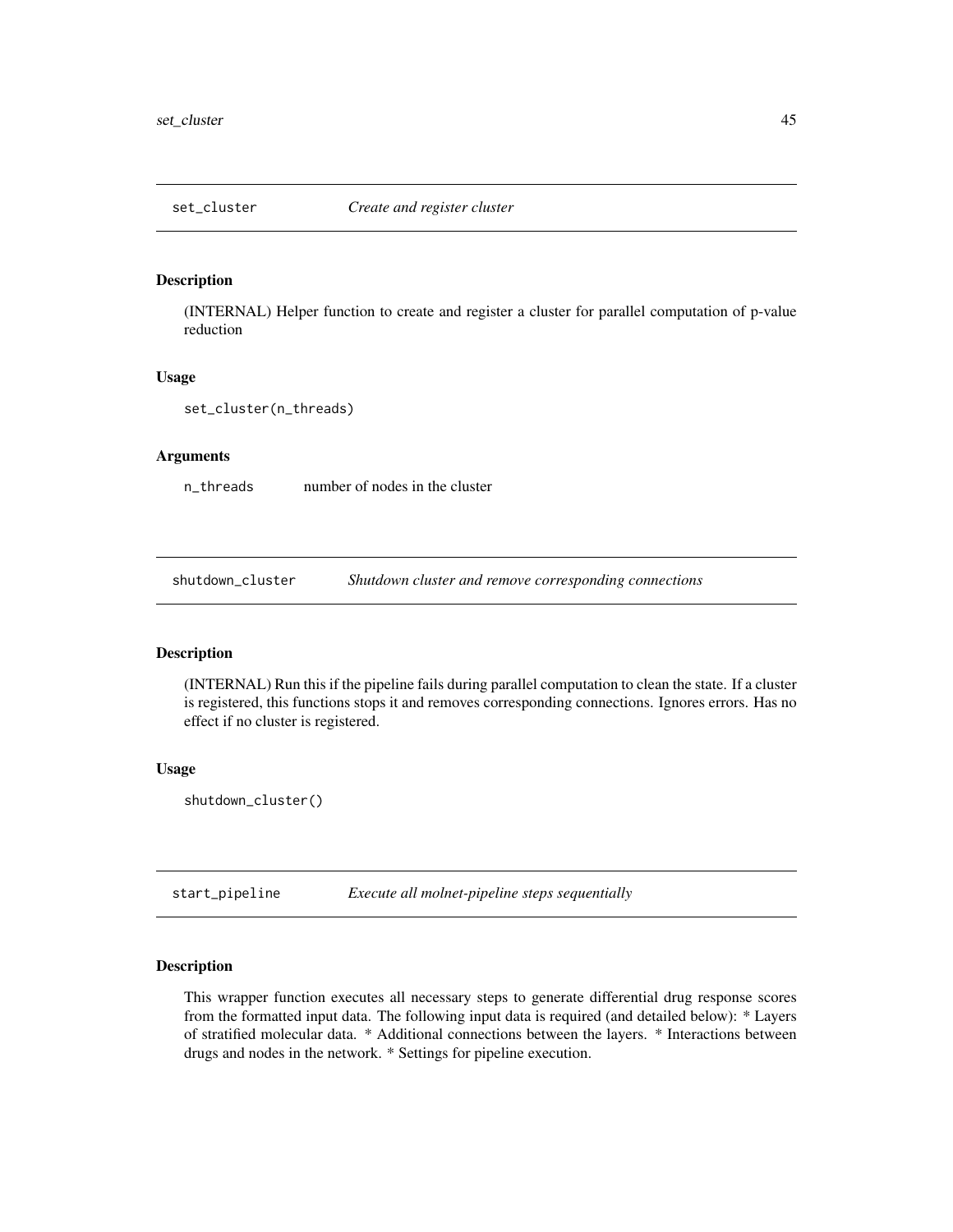<span id="page-44-0"></span>

#### Description

(INTERNAL) Helper function to create and register a cluster for parallel computation of p-value reduction

#### Usage

set\_cluster(n\_threads)

#### Arguments

n\_threads number of nodes in the cluster

shutdown\_cluster *Shutdown cluster and remove corresponding connections*

#### Description

(INTERNAL) Run this if the pipeline fails during parallel computation to clean the state. If a cluster is registered, this functions stops it and removes corresponding connections. Ignores errors. Has no effect if no cluster is registered.

# Usage

shutdown\_cluster()

<span id="page-44-1"></span>start\_pipeline *Execute all molnet-pipeline steps sequentially*

# Description

This wrapper function executes all necessary steps to generate differential drug response scores from the formatted input data. The following input data is required (and detailed below): \* Layers of stratified molecular data. \* Additional connections between the layers. \* Interactions between drugs and nodes in the network. \* Settings for pipeline execution.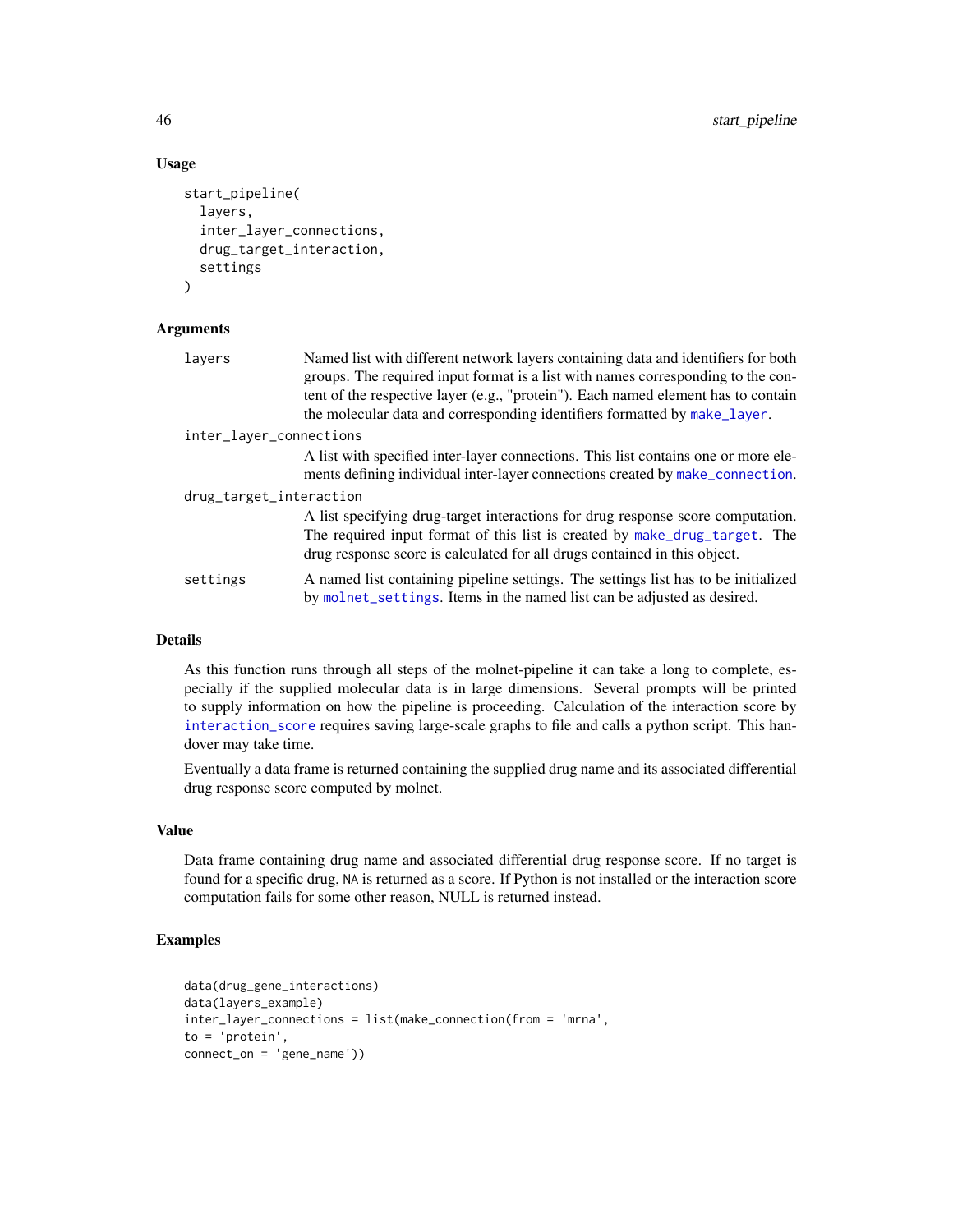# Usage

```
start_pipeline(
  layers,
  inter_layer_connections,
  drug_target_interaction,
  settings
\mathcal{L}
```
#### Arguments

| layers                  | Named list with different network layers containing data and identifiers for both<br>groups. The required input format is a list with names corresponding to the con-<br>tent of the respective layer (e.g., "protein"). Each named element has to contain |
|-------------------------|------------------------------------------------------------------------------------------------------------------------------------------------------------------------------------------------------------------------------------------------------------|
|                         | the molecular data and corresponding identifiers formatted by make_layer.                                                                                                                                                                                  |
| inter_layer_connections |                                                                                                                                                                                                                                                            |
|                         | A list with specified inter-layer connections. This list contains one or more ele-<br>ments defining individual inter-layer connections created by make_connection.                                                                                        |
| drug_target_interaction |                                                                                                                                                                                                                                                            |
|                         | A list specifying drug-target interactions for drug response score computation.<br>The required input format of this list is created by make_drug_target. The<br>drug response score is calculated for all drugs contained in this object.                 |
| settings                | A named list containing pipeline settings. The settings list has to be initialized<br>by molnet_settings. Items in the named list can be adjusted as desired.                                                                                              |
|                         |                                                                                                                                                                                                                                                            |

# Details

As this function runs through all steps of the molnet-pipeline it can take a long to complete, especially if the supplied molecular data is in large dimensions. Several prompts will be printed to supply information on how the pipeline is proceeding. Calculation of the interaction score by [interaction\\_score](#page-25-1) requires saving large-scale graphs to file and calls a python script. This handover may take time.

Eventually a data frame is returned containing the supplied drug name and its associated differential drug response score computed by molnet.

# Value

Data frame containing drug name and associated differential drug response score. If no target is found for a specific drug, NA is returned as a score. If Python is not installed or the interaction score computation fails for some other reason, NULL is returned instead.

#### Examples

```
data(drug_gene_interactions)
data(layers_example)
inter_layer_connections = list(make_connection(from = 'mrna',
to = 'protein',
connect_on = 'gene_name'))
```
<span id="page-45-0"></span>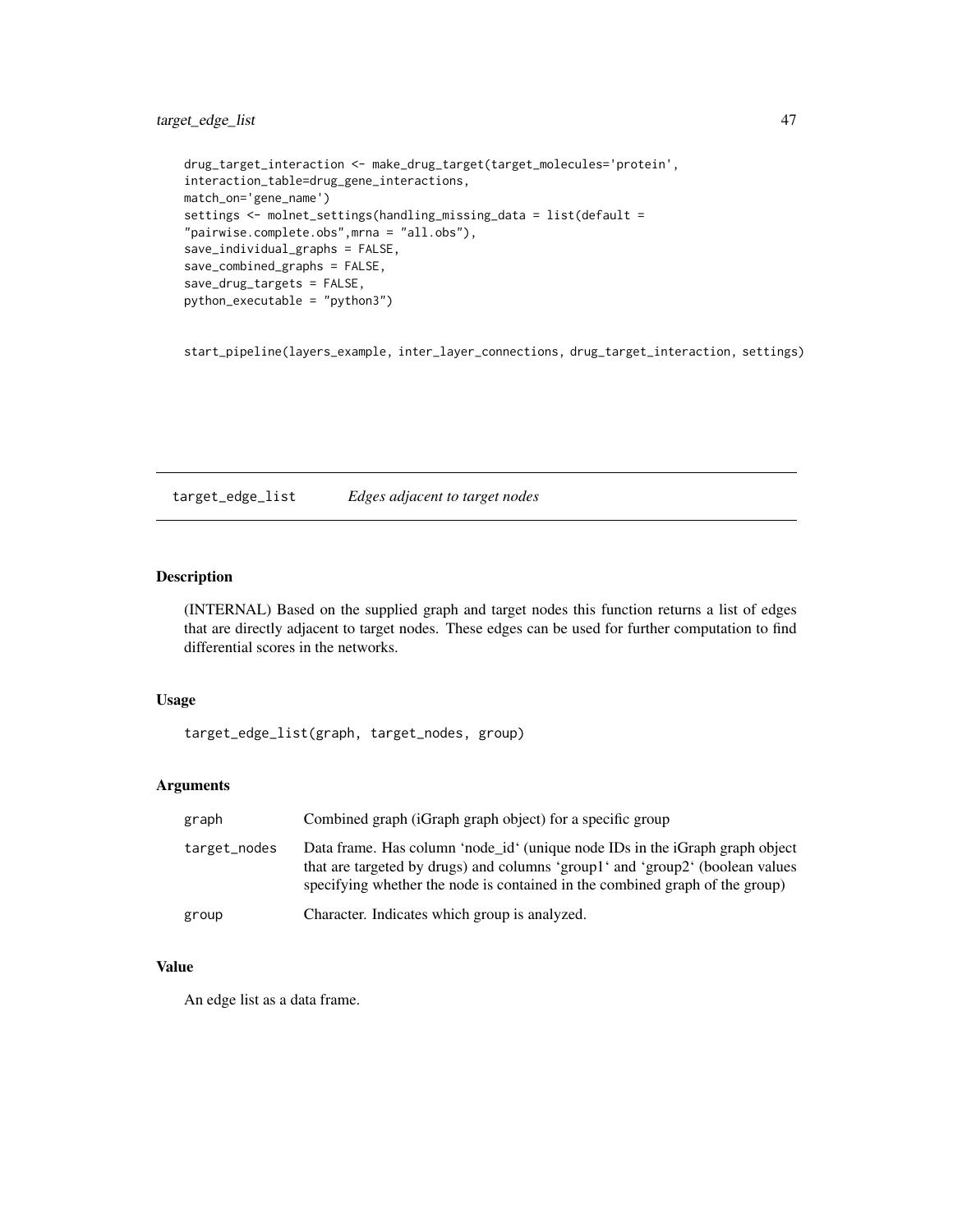# <span id="page-46-0"></span>target\_edge\_list 47

```
drug_target_interaction <- make_drug_target(target_molecules='protein',
interaction_table=drug_gene_interactions,
match_on='gene_name')
settings <- molnet_settings(handling_missing_data = list(default =
"pairwise.complete.obs",mrna = "all.obs"),
save_individual_graphs = FALSE,
save_combined_graphs = FALSE,
save_drug_targets = FALSE,
python_executable = "python3")
```
start\_pipeline(layers\_example, inter\_layer\_connections, drug\_target\_interaction, settings)

target\_edge\_list *Edges adjacent to target nodes*

# Description

(INTERNAL) Based on the supplied graph and target nodes this function returns a list of edges that are directly adjacent to target nodes. These edges can be used for further computation to find differential scores in the networks.

# Usage

target\_edge\_list(graph, target\_nodes, group)

# Arguments

| graph        | Combined graph (iGraph graph object) for a specific group                                                                                                                                                                                     |
|--------------|-----------------------------------------------------------------------------------------------------------------------------------------------------------------------------------------------------------------------------------------------|
| target_nodes | Data frame. Has column 'node_id' (unique node IDs in the iGraph graph object<br>that are targeted by drugs) and columns 'group1' and 'group2' (boolean values<br>specifying whether the node is contained in the combined graph of the group) |
| group        | Character. Indicates which group is analyzed.                                                                                                                                                                                                 |

# Value

An edge list as a data frame.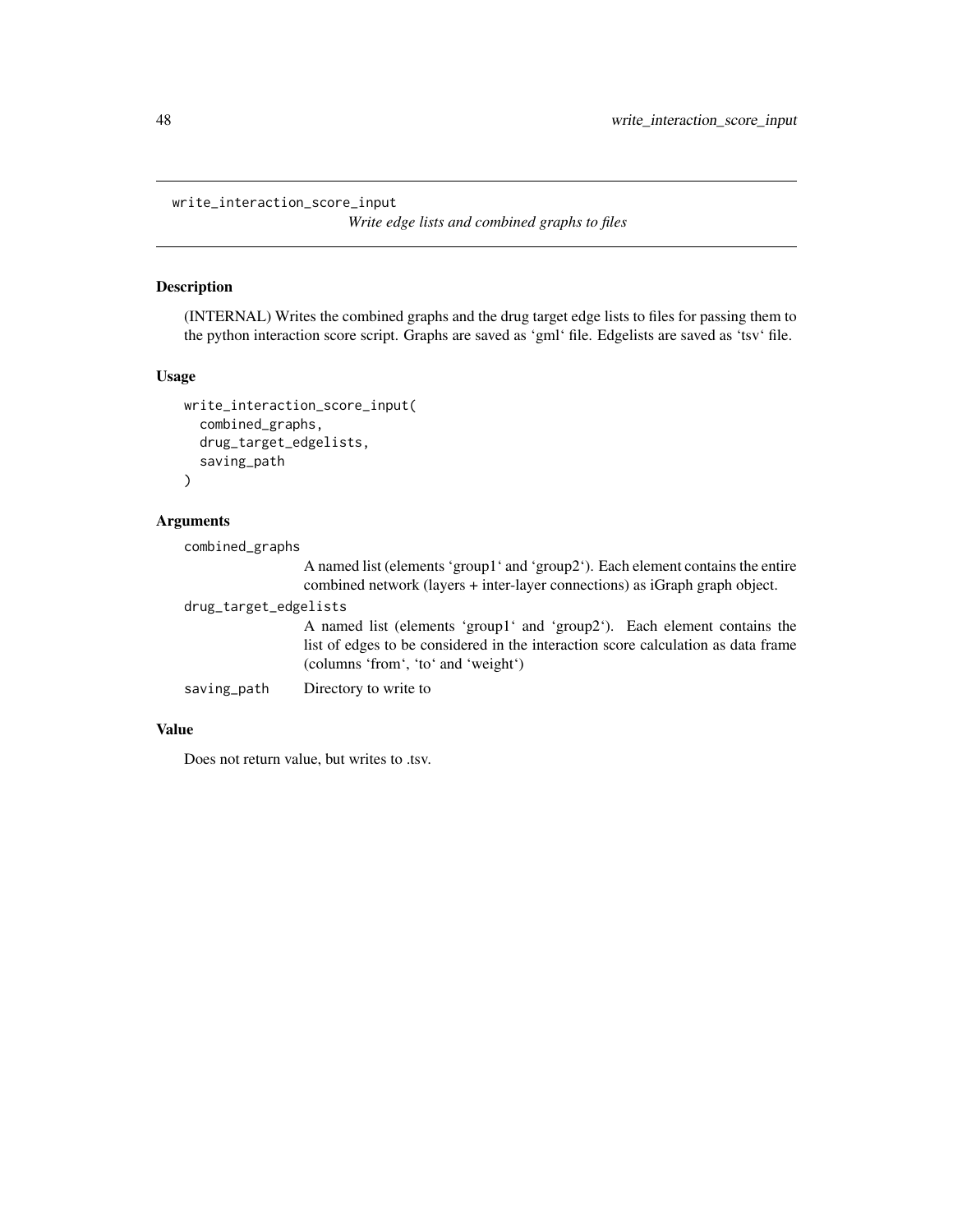<span id="page-47-0"></span>write\_interaction\_score\_input

*Write edge lists and combined graphs to files*

# Description

(INTERNAL) Writes the combined graphs and the drug target edge lists to files for passing them to the python interaction score script. Graphs are saved as 'gml' file. Edgelists are saved as 'tsv' file.

# Usage

```
write_interaction_score_input(
  combined_graphs,
  drug_target_edgelists,
  saving_path
)
```
# Arguments

combined\_graphs

A named list (elements 'group1' and 'group2'). Each element contains the entire combined network (layers + inter-layer connections) as iGraph graph object.

# drug\_target\_edgelists

A named list (elements 'group1' and 'group2'). Each element contains the list of edges to be considered in the interaction score calculation as data frame (columns 'from', 'to' and 'weight')

saving\_path Directory to write to

# Value

Does not return value, but writes to .tsv.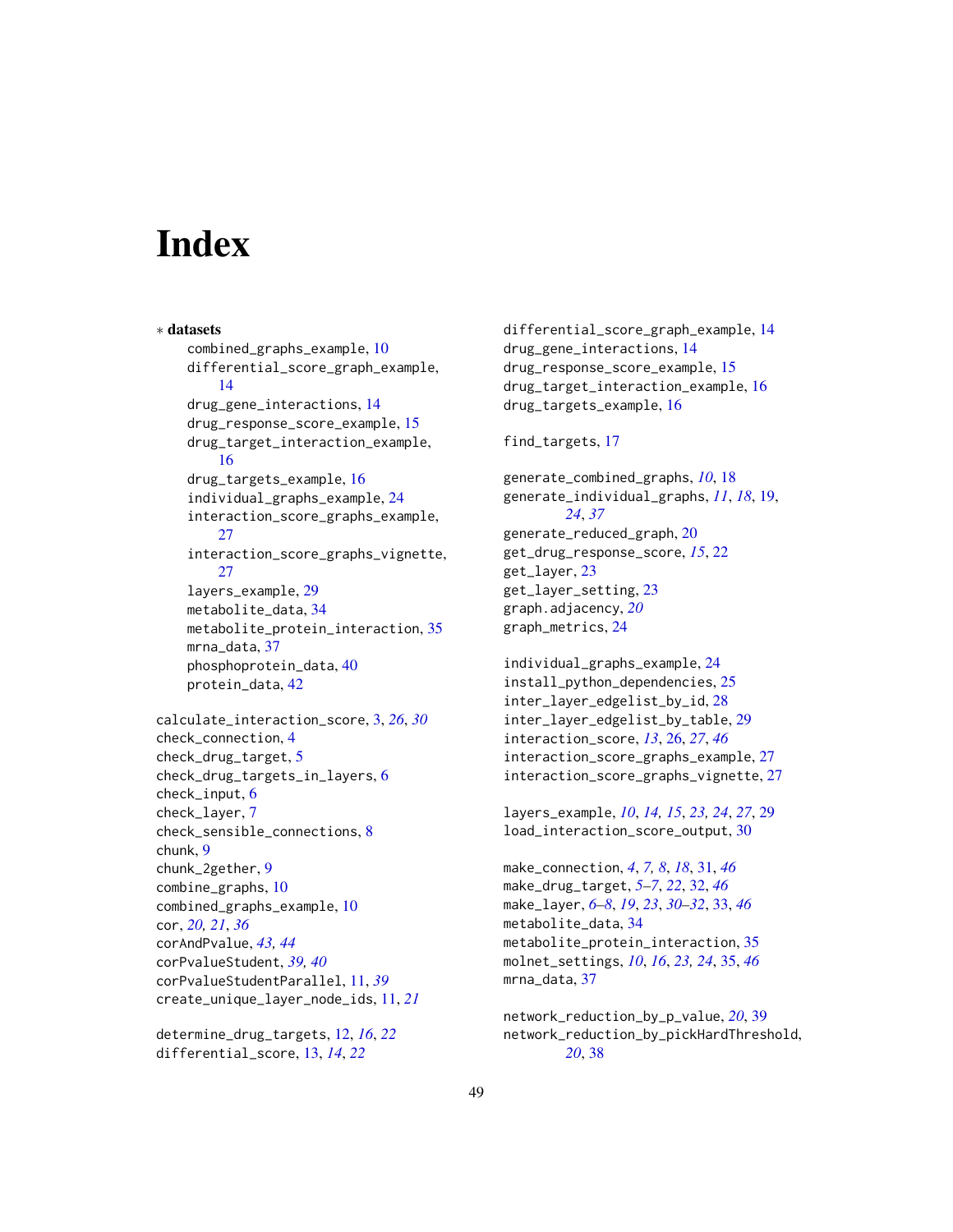# <span id="page-48-0"></span>**Index**

∗ datasets combined\_graphs\_example, [10](#page-9-0) differential\_score\_graph\_example, [14](#page-13-0) drug\_gene\_interactions, [14](#page-13-0) drug\_response\_score\_example, [15](#page-14-0) drug\_target\_interaction\_example, [16](#page-15-0) drug\_targets\_example, [16](#page-15-0) individual\_graphs\_example, [24](#page-23-0) interaction\_score\_graphs\_example, [27](#page-26-0) interaction\_score\_graphs\_vignette,  $27$ layers\_example, [29](#page-28-0) metabolite\_data, [34](#page-33-0) metabolite\_protein\_interaction, [35](#page-34-0) mrna\_data, [37](#page-36-0) phosphoprotein\_data, [40](#page-39-0) protein\_data, [42](#page-41-0) calculate\_interaction\_score, [3,](#page-2-0) *[26](#page-25-0)*, *[30](#page-29-0)* check\_connection, [4](#page-3-0) check\_drug\_target, [5](#page-4-0) check\_drug\_targets\_in\_layers, [6](#page-5-0) check\_input, [6](#page-5-0) check\_layer, [7](#page-6-0) check\_sensible\_connections, [8](#page-7-0) chunk, [9](#page-8-0) chunk\_2gether, [9](#page-8-0) combine\_graphs, [10](#page-9-0) combined\_graphs\_example, [10](#page-9-0) cor, *[20,](#page-19-0) [21](#page-20-0)*, *[36](#page-35-0)* corAndPvalue, *[43,](#page-42-0) [44](#page-43-0)* corPvalueStudent, *[39,](#page-38-0) [40](#page-39-0)* corPvalueStudentParallel, [11,](#page-10-0) *[39](#page-38-0)* create\_unique\_layer\_node\_ids, [11,](#page-10-0) *[21](#page-20-0)*

determine\_drug\_targets, [12,](#page-11-0) *[16](#page-15-0)*, *[22](#page-21-0)* differential\_score, [13,](#page-12-0) *[14](#page-13-0)*, *[22](#page-21-0)*

differential\_score\_graph\_example, [14](#page-13-0) drug\_gene\_interactions, [14](#page-13-0) drug\_response\_score\_example, [15](#page-14-0) drug\_target\_interaction\_example, [16](#page-15-0) drug\_targets\_example, [16](#page-15-0)

find\_targets, [17](#page-16-0)

generate\_combined\_graphs, *[10](#page-9-0)*, [18](#page-17-0) generate\_individual\_graphs, *[11](#page-10-0)*, *[18](#page-17-0)*, [19,](#page-18-0) *[24](#page-23-0)*, *[37](#page-36-0)* generate\_reduced\_graph, [20](#page-19-0) get\_drug\_response\_score, *[15](#page-14-0)*, [22](#page-21-0) get\_layer, [23](#page-22-0) get\_layer\_setting, [23](#page-22-0) graph.adjacency, *[20](#page-19-0)* graph\_metrics, [24](#page-23-0)

individual\_graphs\_example, [24](#page-23-0) install\_python\_dependencies, [25](#page-24-0) inter\_layer\_edgelist\_by\_id, [28](#page-27-0) inter\_layer\_edgelist\_by\_table, [29](#page-28-0) interaction\_score, *[13](#page-12-0)*, [26,](#page-25-0) *[27](#page-26-0)*, *[46](#page-45-0)* interaction\_score\_graphs\_example, [27](#page-26-0) interaction\_score\_graphs\_vignette, [27](#page-26-0)

layers\_example, *[10](#page-9-0)*, *[14,](#page-13-0) [15](#page-14-0)*, *[23,](#page-22-0) [24](#page-23-0)*, *[27](#page-26-0)*, [29](#page-28-0) load\_interaction\_score\_output, [30](#page-29-0)

make\_connection, *[4](#page-3-0)*, *[7,](#page-6-0) [8](#page-7-0)*, *[18](#page-17-0)*, [31,](#page-30-0) *[46](#page-45-0)* make\_drug\_target, *[5](#page-4-0)[–7](#page-6-0)*, *[22](#page-21-0)*, [32,](#page-31-0) *[46](#page-45-0)* make\_layer, *[6](#page-5-0)[–8](#page-7-0)*, *[19](#page-18-0)*, *[23](#page-22-0)*, *[30](#page-29-0)[–32](#page-31-0)*, [33,](#page-32-0) *[46](#page-45-0)* metabolite\_data, [34](#page-33-0) metabolite\_protein\_interaction, [35](#page-34-0) molnet\_settings, *[10](#page-9-0)*, *[16](#page-15-0)*, *[23,](#page-22-0) [24](#page-23-0)*, [35,](#page-34-0) *[46](#page-45-0)* mrna\_data, [37](#page-36-0)

network\_reduction\_by\_p\_value, *[20](#page-19-0)*, [39](#page-38-0) network\_reduction\_by\_pickHardThreshold, *[20](#page-19-0)*, [38](#page-37-0)